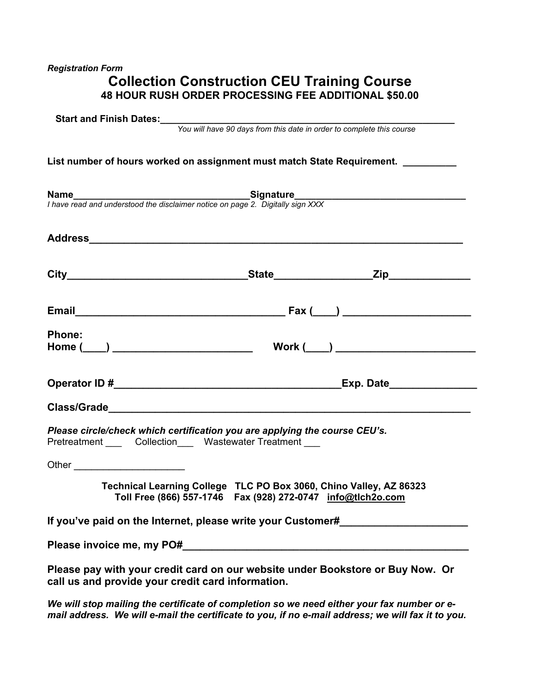# *Registration Form*

# **Collection Construction CEU Training Course 48 HOUR RUSH ORDER PROCESSING FEE ADDITIONAL \$50.00**

| Start and Finish Dates:<br>You will have 90 days from this date in order to complete this course                           |                                                                                                                                     |  |
|----------------------------------------------------------------------------------------------------------------------------|-------------------------------------------------------------------------------------------------------------------------------------|--|
| List number of hours worked on assignment must match State Requirement. ________                                           |                                                                                                                                     |  |
| <b>Name</b><br>I have read and understood the disclaimer notice on page 2. Digitally sign XXX                              |                                                                                                                                     |  |
|                                                                                                                            |                                                                                                                                     |  |
|                                                                                                                            |                                                                                                                                     |  |
|                                                                                                                            |                                                                                                                                     |  |
| <b>Phone:</b>                                                                                                              |                                                                                                                                     |  |
|                                                                                                                            |                                                                                                                                     |  |
|                                                                                                                            |                                                                                                                                     |  |
| Please circle/check which certification you are applying the course CEU's.<br>Pretreatment Collection Wastewater Treatment |                                                                                                                                     |  |
| Other __________________________                                                                                           |                                                                                                                                     |  |
|                                                                                                                            | Technical Learning College TLC PO Box 3060, Chino Valley, AZ 86323<br>Toll Free (866) 557-1746  Fax (928) 272-0747  info@tlch2o.com |  |
| If you've paid on the Internet, please write your Customer#                                                                |                                                                                                                                     |  |
|                                                                                                                            |                                                                                                                                     |  |

*We will stop mailing the certificate of completion so we need either your fax number or email address. We will e-mail the certificate to you, if no e-mail address; we will fax it to you.*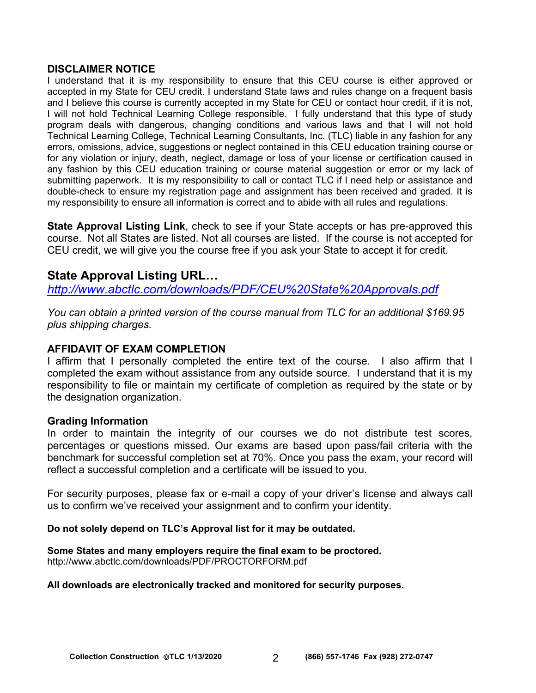## **DISCLAIMER NOTICE**

I understand that it is my responsibility to ensure that this CEU course is either approved or accepted in my State for CEU credit. I understand State laws and rules change on a frequent basis and I believe this course is currently accepted in my State for CEU or contact hour credit, if it is not, I will not hold Technical Learning College responsible. I fully understand that this type of study program deals with dangerous, changing conditions and various laws and that I will not hold Technical Learning College, Technical Learning Consultants, Inc. (TLC) liable in any fashion for any errors, omissions, advice, suggestions or neglect contained in this CEU education training course or for any violation or injury, death, neglect, damage or loss of your license or certification caused in any fashion by this CEU education training or course material suggestion or error or my lack of submitting paperwork. It is my responsibility to call or contact TLC if I need help or assistance and double-check to ensure my registration page and assignment has been received and graded. It is my responsibility to ensure all information is correct and to abide with all rules and regulations.

**State Approval Listing Link**, check to see if your State accepts or has pre-approved this course. Not all States are listed. Not all courses are listed. If the course is not accepted for CEU credit, we will give you the course free if you ask your State to accept it for credit.

# **State Approval Listing URL…**

*<http://www.abctlc.com/downloads/PDF/CEU%20State%20Approvals.pdf>*

*You can obtain a printed version of the course manual from TLC for an additional \$169.95 plus shipping charges.* 

# **AFFIDAVIT OF EXAM COMPLETION**

I affirm that I personally completed the entire text of the course. I also affirm that I completed the exam without assistance from any outside source. I understand that it is my responsibility to file or maintain my certificate of completion as required by the state or by the designation organization.

# **Grading Information**

In order to maintain the integrity of our courses we do not distribute test scores, percentages or questions missed. Our exams are based upon pass/fail criteria with the benchmark for successful completion set at 70%. Once you pass the exam, your record will reflect a successful completion and a certificate will be issued to you.

For security purposes, please fax or e-mail a copy of your driver's license and always call us to confirm we've received your assignment and to confirm your identity.

## **Do not solely depend on TLC's Approval list for it may be outdated.**

## **Some States and many employers require the final exam to be proctored.**

<http://www.abctlc.com/downloads/PDF/PROCTORFORM.pdf>

## **All downloads are electronically tracked and monitored for security purposes.**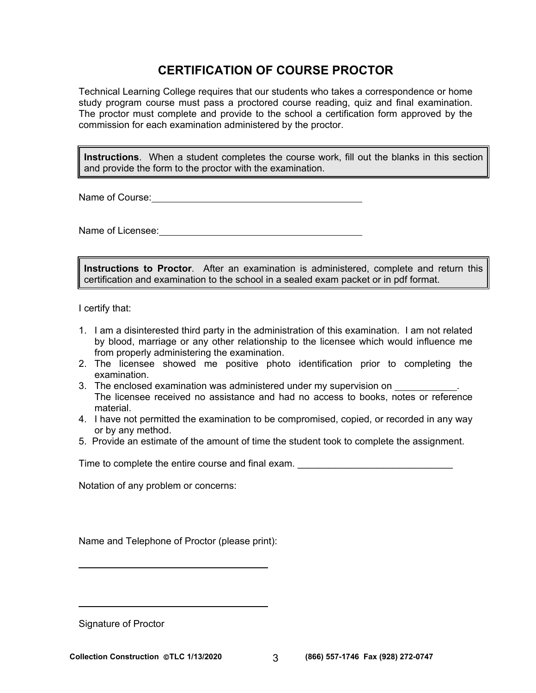# **CERTIFICATION OF COURSE PROCTOR**

Technical Learning College requires that our students who takes a correspondence or home study program course must pass a proctored course reading, quiz and final examination. The proctor must complete and provide to the school a certification form approved by the commission for each examination administered by the proctor.

**Instructions**. When a student completes the course work, fill out the blanks in this section and provide the form to the proctor with the examination.

Name of Course: **Name of Course:** 

Name of Licensee: **Name of Licensee:** 

**Instructions to Proctor**. After an examination is administered, complete and return this certification and examination to the school in a sealed exam packet or in pdf format.

I certify that:

- 1. I am a disinterested third party in the administration of this examination. I am not related by blood, marriage or any other relationship to the licensee which would influence me from properly administering the examination.
- 2. The licensee showed me positive photo identification prior to completing the examination.
- 3. The enclosed examination was administered under my supervision on . The licensee received no assistance and had no access to books, notes or reference material.
- 4. I have not permitted the examination to be compromised, copied, or recorded in any way or by any method.
- 5. Provide an estimate of the amount of time the student took to complete the assignment.

Time to complete the entire course and final exam.

Notation of any problem or concerns:

Name and Telephone of Proctor (please print):

Signature of Proctor

 $\overline{a}$ 

 $\overline{a}$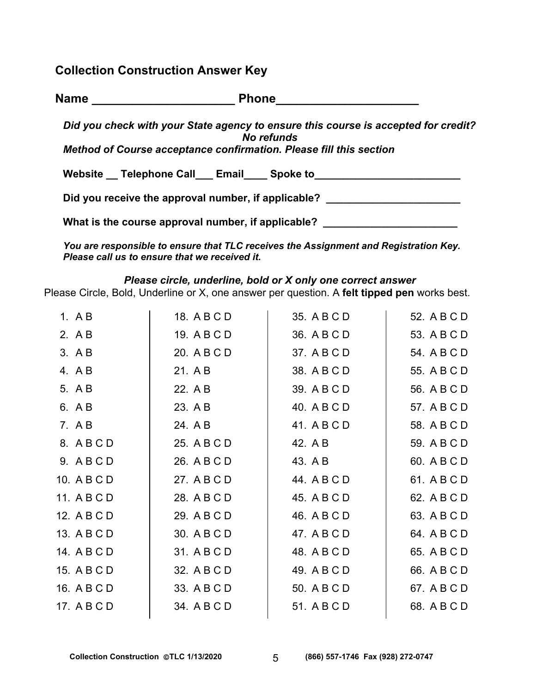**Collection Construction Answer Key** 

| <b>Name</b> | <b>Phone</b> |  |
|-------------|--------------|--|
|             |              |  |

*Did you check with your State agency to ensure this course is accepted for credit? No refunds* 

*Method of Course acceptance confirmation. Please fill this section* 

Website Telephone Call Email Spoke to

Did you receive the approval number, if applicable?

What is the course approval number, if applicable? \_\_\_\_\_\_\_\_\_\_\_\_\_\_\_\_\_\_\_\_\_\_\_\_\_\_\_\_\_

*You are responsible to ensure that TLC receives the Assignment and Registration Key. Please call us to ensure that we received it.* 

# *Please circle, underline, bold or X only one correct answer*

Please Circle, Bold, Underline or X, one answer per question. A **felt tipped pen** works best.

| 1. $AB$     | 18. A B C D | 35. A B C D | 52. A B C D |
|-------------|-------------|-------------|-------------|
| 2. A B      | 19. A B C D | 36. A B C D | 53. A B C D |
| 3. A B      | 20. A B C D | 37. A B C D | 54. A B C D |
| 4. A B      | 21. A B     | 38. A B C D | 55. A B C D |
| 5. A B      | 22. A B     | 39. A B C D | 56. A B C D |
| 6. A B      | 23. A B     | 40. A B C D | 57. A B C D |
| 7. A B      | 24. A B     | 41. A B C D | 58. A B C D |
| 8. ABCD     | 25. A B C D | 42. A B     | 59. A B C D |
| 9. ABCD     | 26. A B C D | 43. A B     | 60. A B C D |
| 10. A B C D | 27. A B C D | 44. A B C D | 61. A B C D |
| 11. A B C D | 28. A B C D | 45. A B C D | 62. A B C D |
| 12. A B C D | 29. A B C D | 46. A B C D | 63. A B C D |
| 13. A B C D | 30. A B C D | 47. A B C D | 64. A B C D |
| 14. A B C D | 31. A B C D | 48. A B C D | 65. A B C D |
| 15. A B C D | 32. A B C D | 49. A B C D | 66. A B C D |
| 16. A B C D | 33. A B C D | 50. A B C D | 67. A B C D |
| 17. A B C D | 34. A B C D | 51. A B C D | 68. A B C D |
|             |             |             |             |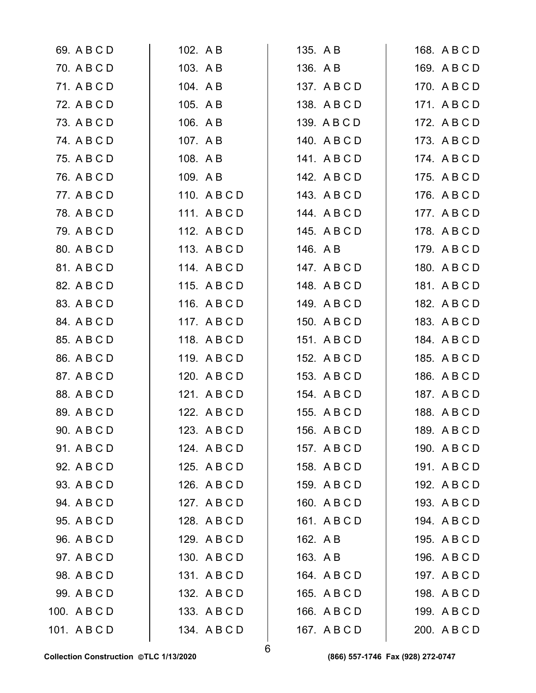| 69. A B C D  | 102. AB      | 135. A B     | 168. A B C D |
|--------------|--------------|--------------|--------------|
| 70. A B C D  | 103. A B     | 136. A B     | 169. A B C D |
| 71. A B C D  | 104. A B     | 137. A B C D | 170. A B C D |
| 72. A B C D  | 105. A B     | 138. A B C D | 171. A B C D |
| 73. A B C D  | 106. A B     | 139. A B C D | 172. A B C D |
| 74. A B C D  | 107. A B     | 140. ABCD    | 173. A B C D |
| 75. A B C D  | 108. A B     | 141. ABCD    | 174. A B C D |
| 76. A B C D  | 109. A B     | 142. A B C D | 175. A B C D |
| 77. A B C D  | 110. ABCD    | 143. A B C D | 176. A B C D |
| 78. A B C D  | 111. ABCD    | 144. A B C D | 177. ABCD    |
| 79. A B C D  | 112. ABCD    | 145. A B C D | 178. A B C D |
| 80. A B C D  | 113. A B C D | 146. A B     | 179. A B C D |
| 81. A B C D  | 114. ABCD    | 147. A B C D | 180. ABCD    |
| 82. A B C D  | 115. ABCD    | 148. ABCD    | 181. ABCD    |
| 83. A B C D  | 116. A B C D | 149. A B C D | 182. A B C D |
| 84. A B C D  | 117. A B C D | 150. A B C D | 183. A B C D |
| 85. A B C D  | 118. ABCD    | 151. ABCD    | 184. A B C D |
| 86. A B C D  | 119. ABCD    | 152. A B C D | 185. A B C D |
| 87. A B C D  | 120. ABCD    | 153. A B C D | 186. A B C D |
| 88. A B C D  | 121. ABCD    | 154. A B C D | 187. A B C D |
| 89. A B C D  | 122. A B C D | 155. A B C D | 188. A B C D |
| 90. A B C D  | 123. A B C D | 156. A B C D | 189. A B C D |
| 91. A B C D  | 124. A B C D | 157. ABCD    | 190. A B C D |
| 92. A B C D  | 125. A B C D | 158. A B C D | 191. ABCD    |
| 93. A B C D  | 126. A B C D | 159. A B C D | 192. A B C D |
| 94. A B C D  | 127. ABCD    | 160. A B C D | 193. A B C D |
| 95. A B C D  | 128. A B C D | 161. ABCD    | 194. A B C D |
| 96. A B C D  | 129. ABCD    | 162. A B     | 195. A B C D |
| 97. A B C D  | 130. ABCD    | 163. A B     | 196. A B C D |
| 98. A B C D  | 131. ABCD    | 164. A B C D | 197. A B C D |
| 99. A B C D  | 132. A B C D | 165. A B C D | 198. A B C D |
| 100. A B C D | 133. A B C D | 166. A B C D | 199. ABCD    |
| 101. ABCD    | 134. ABCD    | 167. A B C D | 200. A B C D |
|              |              |              |              |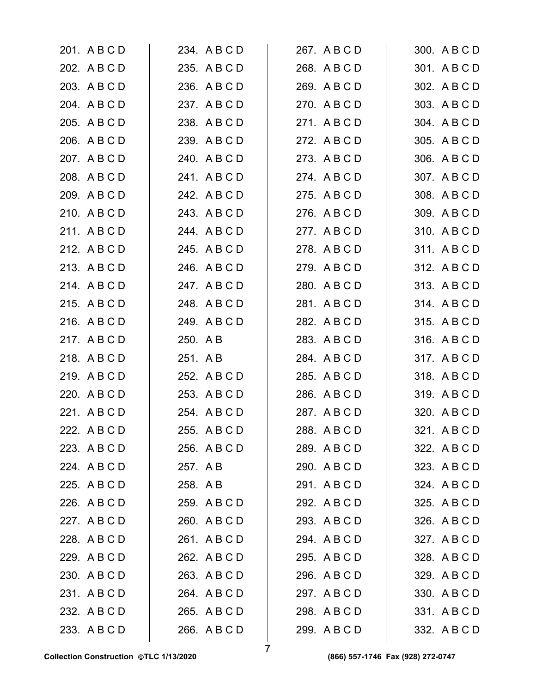| 201. A B C D | 234. A B C D | 267. ABCD    | 300. A B C D |
|--------------|--------------|--------------|--------------|
| 202. A B C D | 235. A B C D | 268. A B C D | 301. A B C D |
| 203. A B C D | 236. A B C D | 269. A B C D | 302. A B C D |
| 204. A B C D | 237. A B C D | 270. A B C D | 303. A B C D |
| 205. A B C D | 238. A B C D | 271. ABCD    | 304. A B C D |
| 206. A B C D | 239. A B C D | 272. A B C D | 305. A B C D |
| 207. A B C D | 240. A B C D | 273. A B C D | 306. A B C D |
| 208. A B C D | 241. ABCD    | 274. ABCD    | 307. ABCD    |
| 209. A B C D | 242. A B C D | 275. A B C D | 308. A B C D |
| 210. A B C D | 243. A B C D | 276. A B C D | 309. A B C D |
| 211. ABCD    | 244. A B C D | 277. ABCD    | 310. A B C D |
| 212. A B C D | 245. A B C D | 278. ABCD    | 311. ABCD    |
| 213. ABCD    | 246. A B C D | 279. ABCD    | 312. A B C D |
| 214. ABCD    | 247. A B C D | 280. A B C D | 313. A B C D |
| 215. A B C D | 248. A B C D | 281. A B C D | 314. ABCD    |
| 216. A B C D | 249. ABCD    | 282. A B C D | 315. A B C D |
| 217. ABCD    | 250. A B     | 283. A B C D | 316. A B C D |
| 218. ABCD    | 251. A B     | 284. A B C D | 317. ABCD    |
| 219. ABCD    | 252. A B C D | 285. A B C D | 318. ABCD    |
| 220. A B C D | 253. A B C D | 286. A B C D | 319. ABCD    |
| 221. A B C D | 254. A B C D | 287. A B C D | 320. A B C D |
| 222. A B C D | 255. A B C D | 288. A B C D | 321. A B C D |
| 223. A B C D | 256. A B C D | 289. A B C D | 322. A B C D |
| 224. A B C D | 257. A B     | 290. A B C D | 323. A B C D |
| 225. A B C D | 258. A B     | 291. ABCD    | 324. A B C D |
| 226. A B C D | 259. ABCD    | 292. A B C D | 325. A B C D |
| 227. A B C D | 260. A B C D | 293. A B C D | 326. A B C D |
| 228. A B C D | 261. A B C D | 294. A B C D | 327. A B C D |
| 229. A B C D | 262. A B C D | 295. A B C D | 328. A B C D |
| 230. A B C D | 263. A B C D | 296. A B C D | 329. A B C D |
| 231. A B C D | 264. A B C D | 297. A B C D | 330. A B C D |
| 232. A B C D | 265. A B C D | 298. A B C D | 331. A B C D |
| 233. A B C D | 266. A B C D | 299. A B C D | 332. A B C D |
|              |              |              |              |

7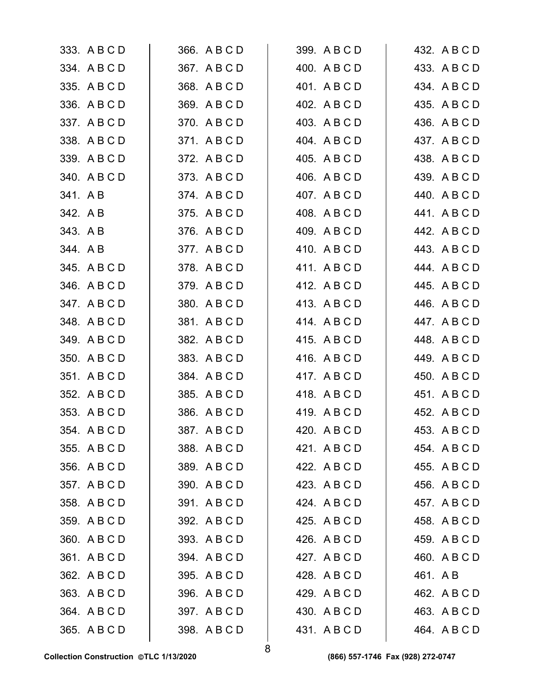| 333. A B C D | 366. A B C D | 399. A B C D | 432. A B C D |
|--------------|--------------|--------------|--------------|
| 334. A B C D | 367. A B C D | 400. A B C D | 433. A B C D |
| 335. A B C D | 368. A B C D | 401. A B C D | 434. A B C D |
| 336. A B C D | 369. A B C D | 402. A B C D | 435. A B C D |
| 337. A B C D | 370. ABCD    | 403. A B C D | 436. A B C D |
| 338. A B C D | 371. ABCD    | 404. A B C D | 437. A B C D |
| 339. A B C D | 372. A B C D | 405. A B C D | 438. A B C D |
| 340. ABCD    | 373. A B C D | 406. A B C D | 439. A B C D |
| 341. AB      | 374. ABCD    | 407. A B C D | 440. A B C D |
| 342. A B     | 375. A B C D | 408. A B C D | 441. ABCD    |
| 343. AB      | 376. A B C D | 409. A B C D | 442. A B C D |
| 344. AB      | 377. ABCD    | 410. A B C D | 443. A B C D |
| 345. A B C D | 378. ABCD    | 411. ABCD    | 444. A B C D |
| 346. A B C D | 379. A B C D | 412. A B C D | 445. A B C D |
| 347. ABCD    | 380. A B C D | 413. A B C D | 446. A B C D |
| 348. A B C D | 381. A B C D | 414. ABCD    | 447. ABCD    |
| 349. ABCD    | 382. A B C D | 415. A B C D | 448. A B C D |
| 350. A B C D | 383. A B C D | 416. A B C D | 449. A B C D |
| 351. ABCD    | 384. A B C D | 417. ABCD    | 450. A B C D |
| 352. A B C D | 385. A B C D | 418. A B C D | 451. A B C D |
| 353. A B C D | 386. A B C D | 419. A B C D | 452. A B C D |
| 354. A B C D | 387. A B C D | 420. A B C D | 453. A B C D |
| 355. A B C D | 388. A B C D | 421. A B C D | 454. A B C D |
| 356. A B C D | 389. A B C D | 422. A B C D | 455. A B C D |
| 357. A B C D | 390. A B C D | 423. A B C D | 456. A B C D |
| 358. A B C D | 391. ABCD    | 424. A B C D | 457. A B C D |
| 359. A B C D | 392. A B C D | 425. A B C D | 458. A B C D |
| 360. A B C D | 393. A B C D | 426. A B C D | 459. A B C D |
| 361. ABCD    | 394. A B C D | 427. ABCD    | 460. A B C D |
| 362. A B C D | 395. A B C D | 428. A B C D | 461. A B     |
| 363. A B C D | 396. A B C D | 429. A B C D | 462. A B C D |
| 364. A B C D | 397. A B C D | 430. A B C D | 463. A B C D |
| 365. A B C D | 398. A B C D | 431. ABCD    | 464. A B C D |
|              |              |              |              |

8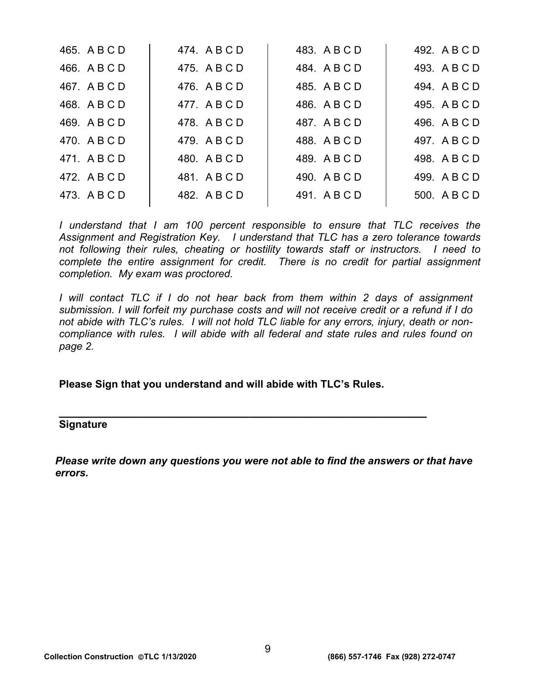| 465. A B C D | 474. ABCD    | 483. A B C D | 492. A B C D |
|--------------|--------------|--------------|--------------|
| 466. A B C D | 475. A B C D | 484. A B C D | 493. A B C D |
| 467. A B C D | 476. A B C D | 485. A B C D | 494. A B C D |
| 468. A B C D | 477. ABCD    | 486. A B C D | 495. A B C D |
| 469. A B C D | 478. ABCD    | 487. A B C D | 496. A B C D |
| 470. A B C D | 479. A B C D | 488. A B C D | 497. A B C D |
| 471. ABCD    | 480. A B C D | 489. A B C D | 498. A B C D |
| 472. A B C D | 481. ABCD    | 490. A B C D | 499. A B C D |
| 473. A B C D | 482. A B C D | 491. ABCD    | 500. A B C D |
|              |              |              |              |

*I* understand that *I* am 100 percent responsible to ensure that TLC receives the *Assignment and Registration Key. I understand that TLC has a zero tolerance towards not following their rules, cheating or hostility towards staff or instructors. I need to*  complete the entire assignment for credit. There is no credit for partial assignment *completion. My exam was proctored.* 

*I* will contact TLC if I do not hear back from them within 2 days of assignment *submission. I will forfeit my purchase costs and will not receive credit or a refund if I do not abide with TLC's rules. I will not hold TLC liable for any errors, injury, death or noncompliance with rules. I will abide with all federal and state rules and rules found on page 2.* 

**Please Sign that you understand and will abide with TLC's Rules.** 

**\_\_\_\_\_\_\_\_\_\_\_\_\_\_\_\_\_\_\_\_\_\_\_\_\_\_\_\_\_\_\_\_\_\_\_\_\_\_\_\_\_\_\_\_\_\_\_\_\_\_\_\_\_\_** 

## **Signature**

*Please write down any questions you were not able to find the answers or that have errors.*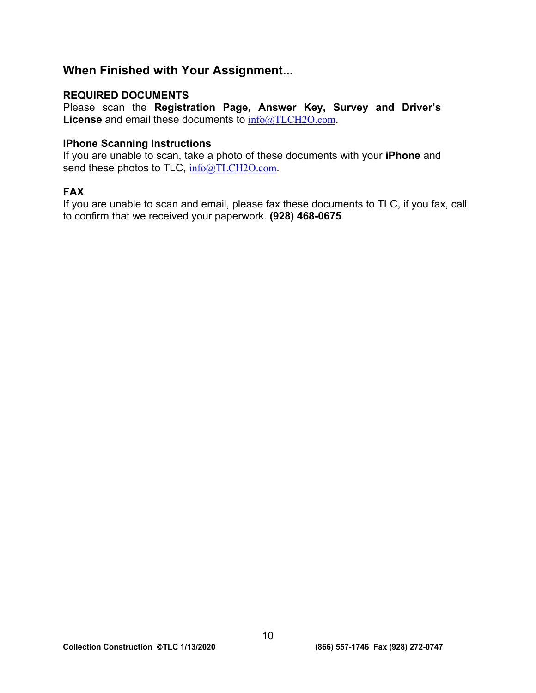# **When Finished with Your Assignment...**

# **REQUIRED DOCUMENTS**

Please scan the **Registration Page, Answer Key, Survey and Driver's License** and email these documents to [info@TLCH2O.com](mailto:info@TLCH2O.com).

# **IPhone Scanning Instructions**

If you are unable to scan, take a photo of these documents with your **iPhone** and send these photos to TLC, [info@TLCH2O.com](mailto:info@TLCH2O.com).

# **FAX**

If you are unable to scan and email, please fax these documents to TLC, if you fax, call to confirm that we received your paperwork. **(928) 468-0675**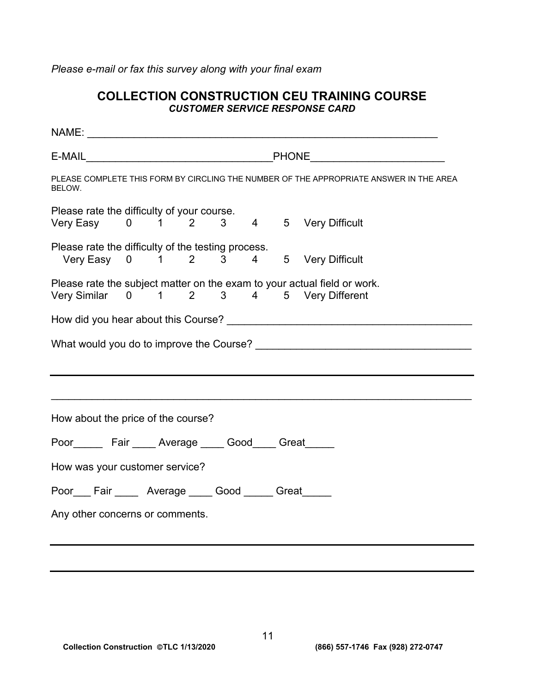*Please e-mail or fax this survey along with your final exam* 

# **COLLECTION CONSTRUCTION CEU TRAINING COURSE**  *CUSTOMER SERVICE RESPONSE CARD*

| PLEASE COMPLETE THIS FORM BY CIRCLING THE NUMBER OF THE APPROPRIATE ANSWER IN THE AREA<br>BELOW.                      |  |  |  |  |  |  |  |
|-----------------------------------------------------------------------------------------------------------------------|--|--|--|--|--|--|--|
| Please rate the difficulty of your course.<br>Very Easy 0 1 2 3 4 5 Very Difficult                                    |  |  |  |  |  |  |  |
| Please rate the difficulty of the testing process.<br>Very Easy 0 1 2 3 4 5 Very Difficult                            |  |  |  |  |  |  |  |
| Please rate the subject matter on the exam to your actual field or work.<br>Very Similar 0 1 2 3 4 5 Very Different   |  |  |  |  |  |  |  |
|                                                                                                                       |  |  |  |  |  |  |  |
|                                                                                                                       |  |  |  |  |  |  |  |
| <u> 1989 - Johann Harry Harry Harry Harry Harry Harry Harry Harry Harry Harry Harry Harry Harry Harry Harry Harry</u> |  |  |  |  |  |  |  |
| How about the price of the course?                                                                                    |  |  |  |  |  |  |  |
| Poor________ Fair _____ Average _____ Good_____ Great______                                                           |  |  |  |  |  |  |  |
| How was your customer service?                                                                                        |  |  |  |  |  |  |  |
| Poor___Fair _____ Average ____ Good _____ Great_____                                                                  |  |  |  |  |  |  |  |
| Any other concerns or comments.                                                                                       |  |  |  |  |  |  |  |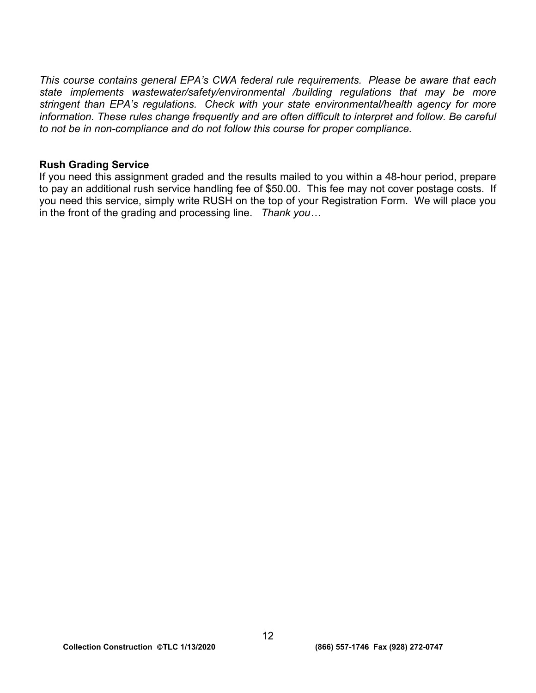*This course contains general EPA's CWA federal rule requirements. Please be aware that each state implements wastewater/safety/environmental /building regulations that may be more stringent than EPA's regulations. Check with your state environmental/health agency for more information. These rules change frequently and are often difficult to interpret and follow. Be careful to not be in non-compliance and do not follow this course for proper compliance.* 

## **Rush Grading Service**

If you need this assignment graded and the results mailed to you within a 48-hour period, prepare to pay an additional rush service handling fee of \$50.00. This fee may not cover postage costs. If you need this service, simply write RUSH on the top of your Registration Form. We will place you in the front of the grading and processing line. *Thank you…*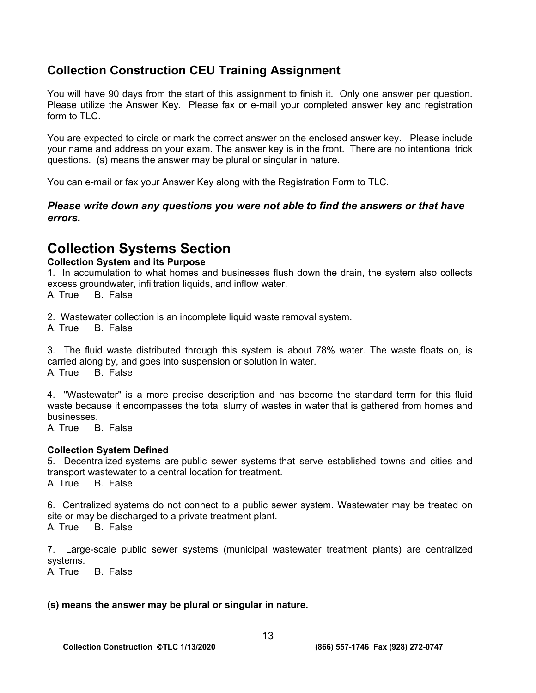# **Collection Construction CEU Training Assignment**

You will have 90 days from the start of this assignment to finish it. Only one answer per question. Please utilize the Answer Key. Please fax or e-mail your completed answer key and registration form to TLC.

You are expected to circle or mark the correct answer on the enclosed answer key. Please include your name and address on your exam. The answer key is in the front. There are no intentional trick questions. (s) means the answer may be plural or singular in nature.

You can e-mail or fax your Answer Key along with the Registration Form to TLC.

# *Please write down any questions you were not able to find the answers or that have errors.*

# **Collection Systems Section**

# **Collection System and its Purpose**

1. In accumulation to what homes and businesses flush down the drain, the system also collects excess groundwater, infiltration liquids, and inflow water.

A. True B. False

2. Wastewater collection is an incomplete liquid waste removal system.

A. True B. False

3. The fluid waste distributed through this system is about 78% water. The waste floats on, is carried along by, and goes into suspension or solution in water. A. True B. False

4. "Wastewater" is a more precise description and has become the standard term for this fluid waste because it encompasses the total slurry of wastes in water that is gathered from homes and businesses.

A. True B. False

# **Collection System Defined**

5. Decentralized systems are public sewer systems that serve established towns and cities and transport wastewater to a central location for treatment.

A. True B. False

6. Centralized systems do not connect to a public sewer system. Wastewater may be treated on site or may be discharged to a private treatment plant.

A. True B. False

7. Large-scale public sewer systems (municipal wastewater treatment plants) are centralized systems.

A. True B. False

# **(s) means the answer may be plural or singular in nature.**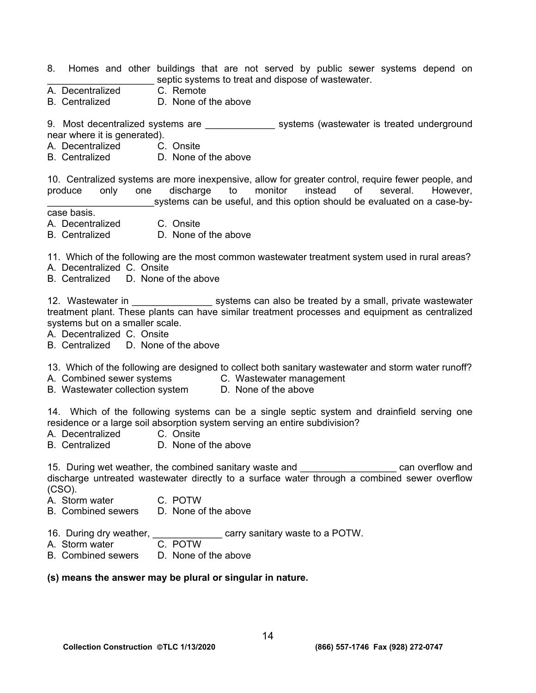- 8. Homes and other buildings that are not served by public sewer systems depend on septic systems to treat and dispose of wastewater.
- A. Decentralized C. Remote
- B. Centralized D. None of the above

9. Most decentralized systems are \_\_\_\_\_\_\_\_\_\_\_\_\_\_\_ systems (wastewater is treated underground near where it is generated).

- A. Decentralized C. Onsite
- B. Centralized D. None of the above

10. Centralized systems are more inexpensive, allow for greater control, require fewer people, and produce only one discharge to monitor instead of several. However, systems can be useful, and this option should be evaluated on a case-by-

case basis.

- A. Decentralized C. Onsite
- B. Centralized D. None of the above

11. Which of the following are the most common wastewater treatment system used in rural areas?

- A. Decentralized C. Onsite
- B. Centralized D. None of the above

12. Wastewater in **the systems can also be treated by a small**, private wastewater treatment plant. These plants can have similar treatment processes and equipment as centralized systems but on a smaller scale.

A. Decentralized C. Onsite

B. Centralized D. None of the above

13. Which of the following are designed to collect both sanitary wastewater and storm water runoff?

- A. Combined sewer systems **C. Wastewater management** 
	-
- B. Wastewater collection system D. None of the above

14. Which of the following systems can be a single septic system and drainfield serving one residence or a large soil absorption system serving an entire subdivision?

- A. Decentralized C. Onsite
- B. Centralized D. None of the above

15. During wet weather, the combined sanitary waste and **the computer of the can overflow and** discharge untreated wastewater directly to a surface water through a combined sewer overflow (CSO).

- A. Storm water C. POTW
- B. Combined sewers D. None of the above
- 16. During dry weather, \_\_\_\_\_\_\_\_\_\_\_\_\_\_ carry sanitary waste to a POTW.
- A. Storm water C. POTW
- B. Combined sewers D. None of the above

#### **(s) means the answer may be plural or singular in nature.**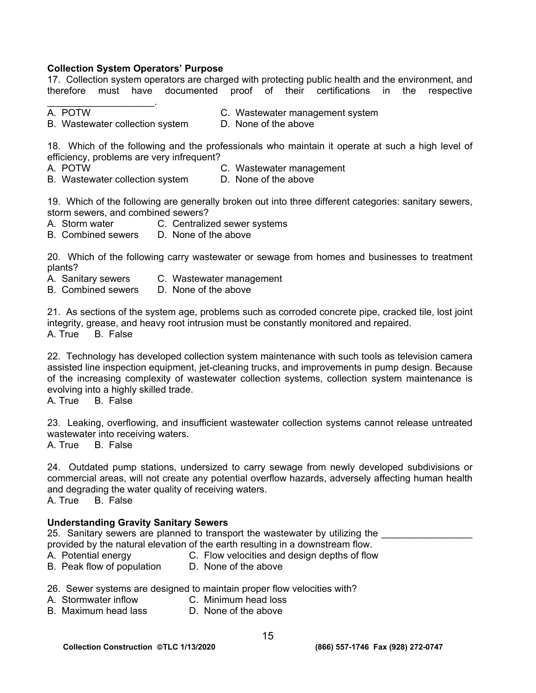## **Collection System Operators' Purpose**

17. Collection system operators are charged with protecting public health and the environment, and therefore must have documented proof of their certifications in the respective

- $\mathcal{L}_\text{max}$  and  $\mathcal{L}_\text{max}$  and  $\mathcal{L}_\text{max}$
- B. Wastewater collection system D. None of the above
- A. POTW C. Wastewater management system

18. Which of the following and the professionals who maintain it operate at such a high level of efficiency, problems are very infrequent?

A. POTW C. Wastewater management

B. Wastewater collection system D. None of the above

19. Which of the following are generally broken out into three different categories: sanitary sewers, storm sewers, and combined sewers?

- A. Storm water C. Centralized sewer systems
- B. Combined sewers D. None of the above

20. Which of the following carry wastewater or sewage from homes and businesses to treatment plants?

- A. Sanitary sewers C. Wastewater management
- B. Combined sewers D. None of the above

21. As sections of the system age, problems such as corroded concrete pipe, cracked tile, lost joint integrity, grease, and heavy root intrusion must be constantly monitored and repaired. A. True B. False

22. Technology has developed collection system maintenance with such tools as television camera assisted line inspection equipment, jet-cleaning trucks, and improvements in pump design. Because of the increasing complexity of wastewater collection systems, collection system maintenance is evolving into a highly skilled trade.

A. True B. False

23. Leaking, overflowing, and insufficient wastewater collection systems cannot release untreated wastewater into receiving waters.

A. True B. False

24. Outdated pump stations, undersized to carry sewage from newly developed subdivisions or commercial areas, will not create any potential overflow hazards, adversely affecting human health and degrading the water quality of receiving waters. A. True B. False

## **Understanding Gravity Sanitary Sewers**

25. Sanitary sewers are planned to transport the wastewater by utilizing the

provided by the natural elevation of the earth resulting in a downstream flow.

- A. Potential energy C. Flow velocities and design depths of flow
- B. Peak flow of population D. None of the above
- 26. Sewer systems are designed to maintain proper flow velocities with?
- A. Stormwater inflow C. Minimum head loss
- B. Maximum head lass D. None of the above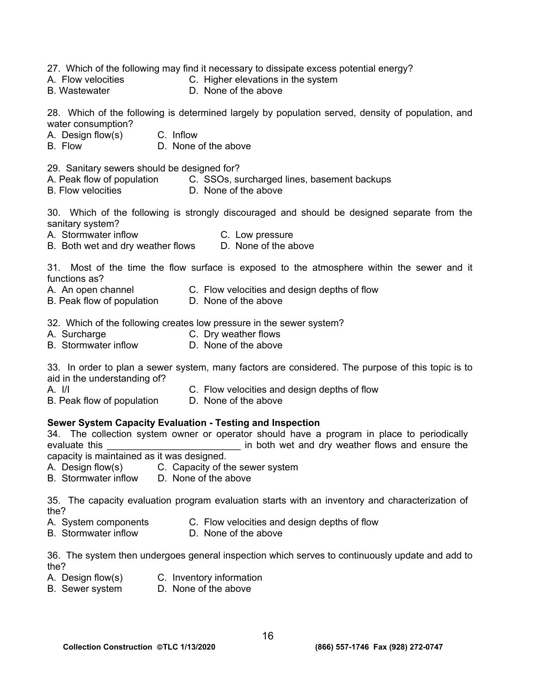27. Which of the following may find it necessary to dissipate excess potential energy?

- A. Flow velocities C. Higher elevations in the system
- B. Wastewater **D. None of the above**

28. Which of the following is determined largely by population served, density of population, and water consumption?

- A. Design flow(s) C. Inflow
- B. Flow D. None of the above

29. Sanitary sewers should be designed for?

- A. Peak flow of population C. SSOs, surcharged lines, basement backups
- B. Flow velocities **D.** None of the above

30. Which of the following is strongly discouraged and should be designed separate from the sanitary system?

A. Stormwater inflow C. Low pressure

B. Both wet and dry weather flows D. None of the above

31. Most of the time the flow surface is exposed to the atmosphere within the sewer and it functions as?

- A. An open channel C. Flow velocities and design depths of flow
- B. Peak flow of population D. None of the above

32. Which of the following creates low pressure in the sewer system?

- A. Surcharge C. Dry weather flows
- B. Stormwater inflow D. None of the above

33. In order to plan a sewer system, many factors are considered. The purpose of this topic is to aid in the understanding of?

- 
- A. I/I C. Flow velocities and design depths of flow
- B. Peak flow of population D. None of the above

#### **Sewer System Capacity Evaluation - Testing and Inspection**

34. The collection system owner or operator should have a program in place to periodically evaluate this **EXECUTE:** The both wet and dry weather flows and ensure the capacity is maintained as it was designed.

- A. Design flow(s) C. Capacity of the sewer system
- B. Stormwater inflow D. None of the above

35. The capacity evaluation program evaluation starts with an inventory and characterization of the?

- A. System components C. Flow velocities and design depths of flow
- B. Stormwater inflow D. None of the above

36. The system then undergoes general inspection which serves to continuously update and add to the?

- A. Design flow(s) C. Inventory information
- B. Sewer system D. None of the above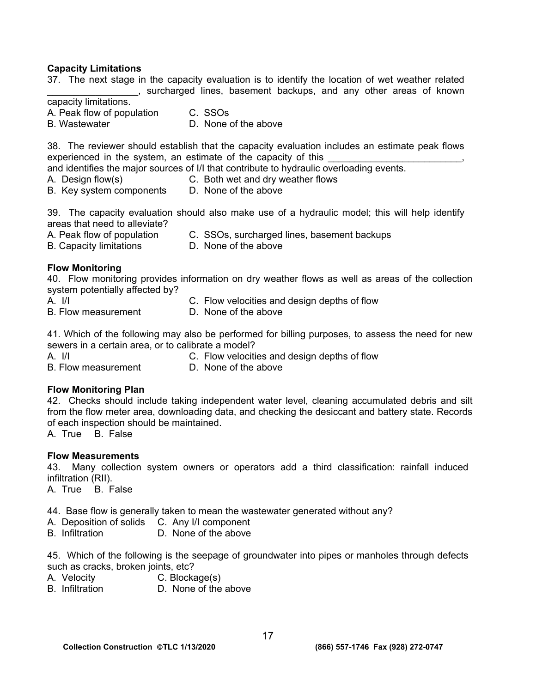### **Capacity Limitations**

37. The next stage in the capacity evaluation is to identify the location of wet weather related \_\_\_\_\_\_\_\_\_\_\_\_\_\_\_\_\_, surcharged lines, basement backups, and any other areas of known capacity limitations. A. Peak flow of population C. SSOs B. Wastewater D. None of the above 38. The reviewer should establish that the capacity evaluation includes an estimate peak flows experienced in the system, an estimate of the capacity of this and identifies the major sources of I/I that contribute to hydraulic overloading events. A. Design flow(s) C. Both wet and dry weather flows B. Key system components D. None of the above 39. The capacity evaluation should also make use of a hydraulic model; this will help identify areas that need to alleviate? A. Peak flow of population C. SSOs, surcharged lines, basement backups B. Capacity limitations D. None of the above **Flow Monitoring**  40. Flow monitoring provides information on dry weather flows as well as areas of the collection system potentially affected by? A. I/I C. Flow velocities and design depths of flow B. Flow measurement D. None of the above

41. Which of the following may also be performed for billing purposes, to assess the need for new sewers in a certain area, or to calibrate a model?<br>A. I/I C. Flow velociti

C. Flow velocities and design depths of flow B. Flow measurement D. None of the above

# **Flow Monitoring Plan**

42. Checks should include taking independent water level, cleaning accumulated debris and silt from the flow meter area, downloading data, and checking the desiccant and battery state. Records of each inspection should be maintained.

A. True B. False

# **Flow Measurements**

43. Many collection system owners or operators add a third classification: rainfall induced infiltration (RII).

A. True B. False

44. Base flow is generally taken to mean the wastewater generated without any?

- A. Deposition of solids C. Any I/I component
- B. Infiltration D. None of the above

45. Which of the following is the seepage of groundwater into pipes or manholes through defects such as cracks, broken joints, etc?

- A. Velocity C. Blockage(s)
- B. Infiltration D. None of the above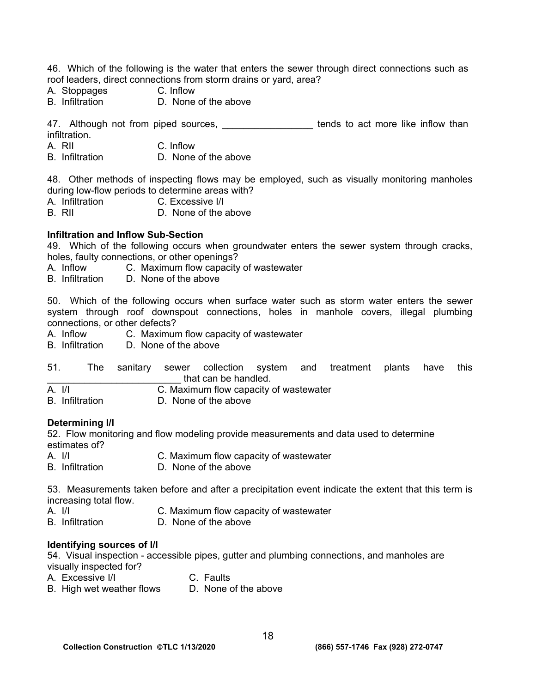46. Which of the following is the water that enters the sewer through direct connections such as roof leaders, direct connections from storm drains or yard, area?

- A. Stoppages C. Inflow
- D. None of the above

47. Although not from piped sources, \_\_\_\_\_\_\_\_\_\_\_\_\_\_\_\_\_\_\_ tends to act more like inflow than infiltration.

- A. RII C. Inflow
- B. Infiltration D. None of the above

48. Other methods of inspecting flows may be employed, such as visually monitoring manholes during low-flow periods to determine areas with?

- A. Infiltration C. Excessive I/I
- B. RII D. None of the above

#### **Infiltration and Inflow Sub-Section**

49. Which of the following occurs when groundwater enters the sewer system through cracks, holes, faulty connections, or other openings?

- A. Inflow C. Maximum flow capacity of wastewater
- B. Infiltration D. None of the above

50. Which of the following occurs when surface water such as storm water enters the sewer system through roof downspout connections, holes in manhole covers, illegal plumbing connections, or other defects?

A. Inflow C. Maximum flow capacity of wastewater

B. Infiltration D. None of the above

| 51. |  |                      |  | The sanitary sewer collection system and treatment plants have this |  |  |
|-----|--|----------------------|--|---------------------------------------------------------------------|--|--|
|     |  | that can be handled. |  |                                                                     |  |  |

A. I/I C. Maximum flow capacity of wastewater

B. Infiltration D. None of the above

#### **Determining I/I**

52. Flow monitoring and flow modeling provide measurements and data used to determine estimates of?

- A. I/I C. Maximum flow capacity of wastewater
- B. Infiltration D. None of the above

53. Measurements taken before and after a precipitation event indicate the extent that this term is increasing total flow.

- A. I/I C. Maximum flow capacity of wastewater<br>B. Infiltration D. None of the above
- D. None of the above

#### **Identifying sources of I/I**

54. Visual inspection - accessible pipes, gutter and plumbing connections, and manholes are visually inspected for?

- A. Excessive I/I C. Faults
	-
- B. High wet weather flows D. None of the above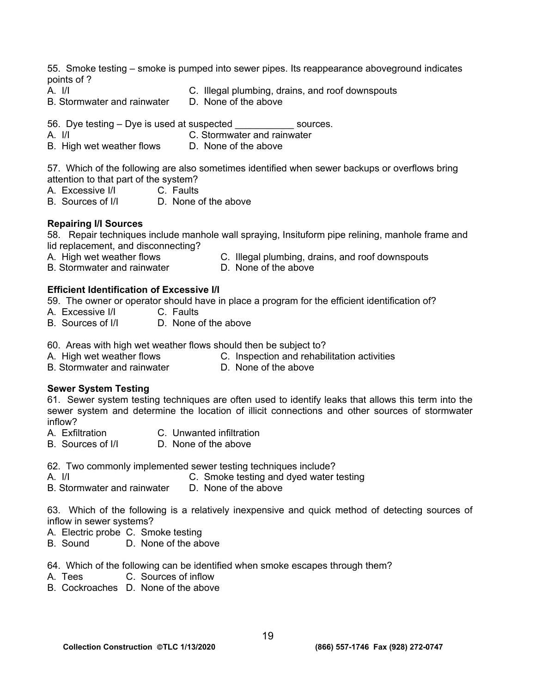55. Smoke testing – smoke is pumped into sewer pipes. Its reappearance aboveground indicates points of ?

- 
- A. I/I C. Illegal plumbing, drains, and roof downspouts<br>B. Stormwater and rainwater D. None of the above
- B. Stormwater and rainwater

56. Dye testing – Dye is used at suspected sources.

- A. I/I C. Stormwater and rainwater
- B. High wet weather flows D. None of the above

57. Which of the following are also sometimes identified when sewer backups or overflows bring attention to that part of the system?

- A. Excessive I/I C. Faults
- B. Sources of I/I D. None of the above

## **Repairing I/I Sources**

58. Repair techniques include manhole wall spraying, Insituform pipe relining, manhole frame and lid replacement, and disconnecting?

- A. High wet weather flows C. Illegal plumbing, drains, and roof downspouts<br>B. Stormwater and rainwater D. None of the above
- B. Stormwater and rainwater

# **Efficient Identification of Excessive I/I**

59. The owner or operator should have in place a program for the efficient identification of?

- A. Excessive I/I C. Faults
- B. Sources of I/I D. None of the above
- 60. Areas with high wet weather flows should then be subject to?
- A. High wet weather flows C. Inspection and rehabilitation activities
- B. Stormwater and rainwater **D. None of the above**

## **Sewer System Testing**

61. Sewer system testing techniques are often used to identify leaks that allows this term into the sewer system and determine the location of illicit connections and other sources of stormwater inflow?

- A. Exfiltration C. Unwanted infiltration
- B. Sources of I/I D. None of the above

62. Two commonly implemented sewer testing techniques include?<br>A. I/I<br>C. Smoke testing and dved water t

C. Smoke testing and dyed water testing B. Stormwater and rainwater D. None of the above

63. Which of the following is a relatively inexpensive and quick method of detecting sources of inflow in sewer systems?

A. Electric probe C. Smoke testing

- B. Sound D. None of the above
- 64. Which of the following can be identified when smoke escapes through them?
- A. Tees C. Sources of inflow
- B. Cockroaches D. None of the above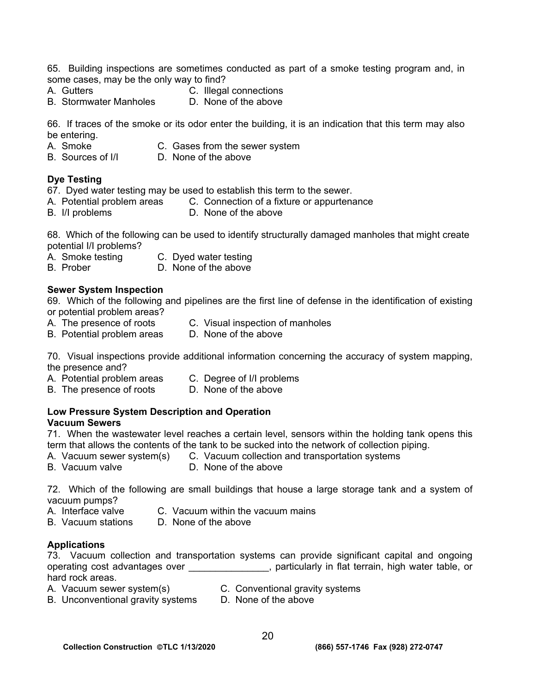65. Building inspections are sometimes conducted as part of a smoke testing program and, in some cases, may be the only way to find?

- 
- A. Gutters C. Illegal connections
- B. Stormwater Manholes D. None of the above

66. If traces of the smoke or its odor enter the building, it is an indication that this term may also be entering.

- A. Smoke C. Gases from the sewer system
- B. Sources of I/I D. None of the above

# **Dye Testing**

67. Dyed water testing may be used to establish this term to the sewer.

- A. Potential problem areas C. Connection of a fixture or appurtenance
- B. I/I problems D. None of the above

68. Which of the following can be used to identify structurally damaged manholes that might create potential I/I problems?

- A. Smoke testing C. Dyed water testing
- B. Prober D. None of the above

## **Sewer System Inspection**

69. Which of the following and pipelines are the first line of defense in the identification of existing or potential problem areas?

- A. The presence of roots C. Visual inspection of manholes<br>B. Potential problem areas D. None of the above
- B. Potential problem areas
- 

70. Visual inspections provide additional information concerning the accuracy of system mapping, the presence and?

- A. Potential problem areas C. Degree of I/I problems
- B. The presence of roots D. None of the above

#### **Low Pressure System Description and Operation Vacuum Sewers**

71. When the wastewater level reaches a certain level, sensors within the holding tank opens this term that allows the contents of the tank to be sucked into the network of collection piping.

- A. Vacuum sewer system(s) C. Vacuum collection and transportation systems
	-
- B. Vacuum valve D. None of the above

#### 72. Which of the following are small buildings that house a large storage tank and a system of vacuum pumps?

- A. Interface valve C. Vacuum within the vacuum mains
- B. Vacuum stations D. None of the above

## **Applications**

73. Vacuum collection and transportation systems can provide significant capital and ongoing operating cost advantages over \_\_\_\_\_\_\_\_\_\_\_\_\_\_, particularly in flat terrain, high water table, or hard rock areas.

- A. Vacuum sewer system(s) C. Conventional gravity systems
- B. Unconventional gravity systems D. None of the above
-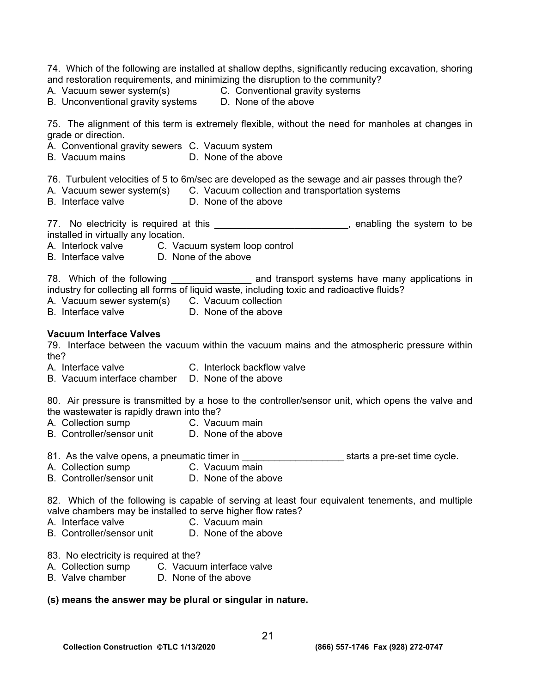74. Which of the following are installed at shallow depths, significantly reducing excavation, shoring and restoration requirements, and minimizing the disruption to the community? A. Vacuum sewer system(s) C. Conventional gravity systems B. Unconventional gravity systems D. None of the above 75. The alignment of this term is extremely flexible, without the need for manholes at changes in grade or direction. A. Conventional gravity sewers C. Vacuum system B. Vacuum mains **D. None of the above** 76. Turbulent velocities of 5 to 6m/sec are developed as the sewage and air passes through the? A. Vacuum sewer system(s) C. Vacuum collection and transportation systems B. Interface valve **D.** None of the above 77. No electricity is required at this \_\_\_\_\_\_\_\_\_\_\_\_\_\_\_\_\_\_\_\_\_\_\_\_\_, enabling the system to be installed in virtually any location. A. Interlock valve C. Vacuum system loop control B. Interface valve D. None of the above 78. Which of the following \_\_\_\_\_\_\_\_\_\_\_\_\_\_\_\_\_ and transport systems have many applications in industry for collecting all forms of liquid waste, including toxic and radioactive fluids? A. Vacuum sewer system(s) C. Vacuum collection B. Interface valve D. None of the above **Vacuum Interface Valves** 79. Interface between the vacuum within the vacuum mains and the atmospheric pressure within the? A. Interface valve C. Interlock backflow valve B. Vacuum interface chamber D. None of the above 80. Air pressure is transmitted by a hose to the controller/sensor unit, which opens the valve and the wastewater is rapidly drawn into the? A. Collection sump C. Vacuum main B. Controller/sensor unit D. None of the above 81. As the valve opens, a pneumatic timer in \_\_\_\_\_\_\_\_\_\_\_\_\_\_\_\_\_\_\_ starts a pre-set time cycle. A. Collection sump **C. Vacuum main** B. Controller/sensor unit D. None of the above 82. Which of the following is capable of serving at least four equivalent tenements, and multiple valve chambers may be installed to serve higher flow rates? A. Interface valve C. Vacuum main B. Controller/sensor unit D. None of the above 83. No electricity is required at the? A. Collection sump C. Vacuum interface valve<br>B. Valve chamber D. None of the above D. None of the above

#### **(s) means the answer may be plural or singular in nature.**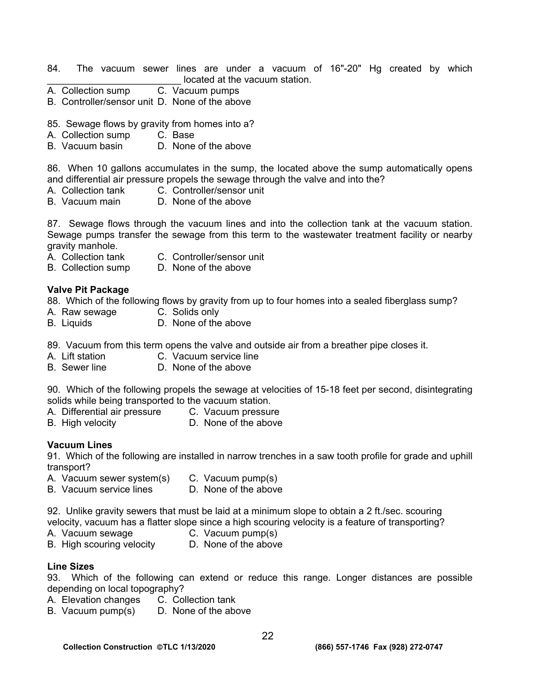- 84. The vacuum sewer lines are under a vacuum of 16"-20" Hg created by which located at the vacuum station.
- A. Collection sump C. Vacuum pumps
- B. Controller/sensor unit D. None of the above
- 85. Sewage flows by gravity from homes into a?
- A. Collection sump C. Base
- B. Vacuum basin D. None of the above

86. When 10 gallons accumulates in the sump, the located above the sump automatically opens and differential air pressure propels the sewage through the valve and into the?

- A. Collection tank C. Controller/sensor unit
- B. Vacuum main D. None of the above

87. Sewage flows through the vacuum lines and into the collection tank at the vacuum station. Sewage pumps transfer the sewage from this term to the wastewater treatment facility or nearby gravity manhole.

- A. Collection tank C. Controller/sensor unit
- B. Collection sump D. None of the above
- **Valve Pit Package**

88. Which of the following flows by gravity from up to four homes into a sealed fiberglass sump?

- A. Raw sewage C. Solids only
- B. Liquids D. None of the above

89. Vacuum from this term opens the valve and outside air from a breather pipe closes it.

- A. Lift station C. Vacuum service line
- B. Sewer line D. None of the above

90. Which of the following propels the sewage at velocities of 15-18 feet per second, disintegrating solids while being transported to the vacuum station.<br>A. Differential air pressure C. Vacuum pressure

- A. Differential air pressure
- B. High velocity D. None of the above

#### **Vacuum Lines**

91. Which of the following are installed in narrow trenches in a saw tooth profile for grade and uphill transport?

- A. Vacuum sewer system(s) C. Vacuum pump(s)
	-
- B. Vacuum service lines D. None of the above

92. Unlike gravity sewers that must be laid at a minimum slope to obtain a 2 ft./sec. scouring velocity, vacuum has a flatter slope since a high scouring velocity is a feature of transporting?

- A. Vacuum sewage C. Vacuum pump(s)
- B. High scouring velocity D. None of the above

#### **Line Sizes**

93. Which of the following can extend or reduce this range. Longer distances are possible depending on local topography?

- A. Elevation changes C. Collection tank
- B. Vacuum pump(s) D. None of the above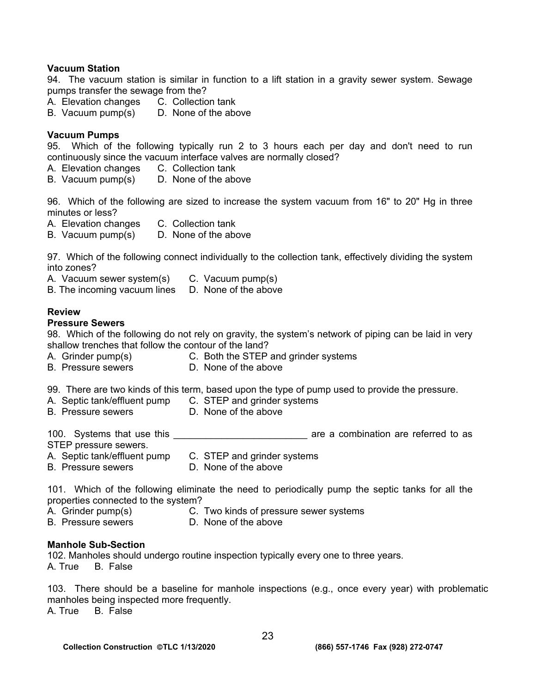### **Vacuum Station**

94. The vacuum station is similar in function to a lift station in a gravity sewer system. Sewage pumps transfer the sewage from the?

- A. Elevation changes C. Collection tank
- B. Vacuum pump(s) D. None of the above

## **Vacuum Pumps**

95. Which of the following typically run 2 to 3 hours each per day and don't need to run continuously since the vacuum interface valves are normally closed?

- A. Elevation changes C. Collection tank
- B. Vacuum pump(s) D. None of the above

96. Which of the following are sized to increase the system vacuum from 16" to 20" Hg in three minutes or less?

- A. Elevation changes C. Collection tank
- B. Vacuum pump(s) D. None of the above

97. Which of the following connect individually to the collection tank, effectively dividing the system into zones?

A. Vacuum sewer system(s) C. Vacuum pump(s)

B. The incoming vacuum lines D. None of the above

## **Review**

## **Pressure Sewers**

98. Which of the following do not rely on gravity, the system's network of piping can be laid in very shallow trenches that follow the contour of the land?

- A. Grinder pump(s) C. Both the STEP and grinder systems
- B. Pressure sewers **D. None of the above**

99. There are two kinds of this term, based upon the type of pump used to provide the pressure.

- A. Septic tank/effluent pump C. STEP and grinder systems
- B. Pressure sewers **D. None of the above**
- 

100. Systems that use this **that is a set of the set of the set of the set of the set of the set of the set of t** 

- STEP pressure sewers.
- A. Septic tank/effluent pump C. STEP and grinder systems
- B. Pressure sewers **D. None of the above**

101. Which of the following eliminate the need to periodically pump the septic tanks for all the properties connected to the system?

- 
- A. Grinder pump(s) C. Two kinds of pressure sewer systems
- 
- B. Pressure sewers **D. None of the above**

#### **Manhole Sub-Section**

102. Manholes should undergo routine inspection typically every one to three years. A. True B. False

103. There should be a baseline for manhole inspections (e.g., once every year) with problematic manholes being inspected more frequently.

A. True B. False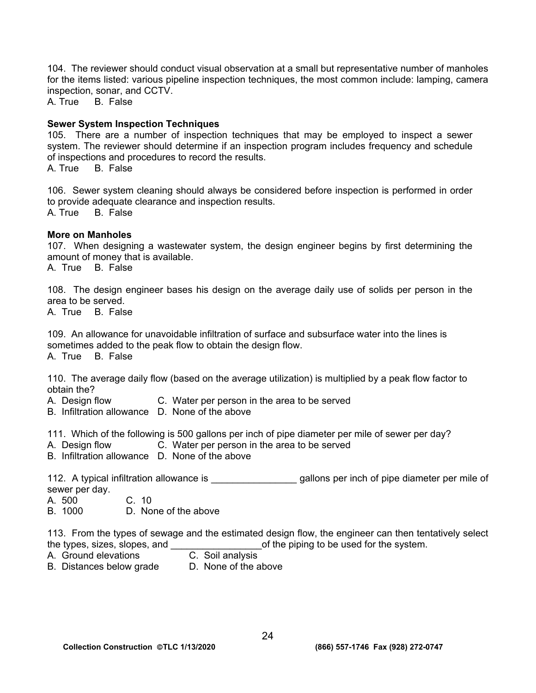104. The reviewer should conduct visual observation at a small but representative number of manholes for the items listed: various pipeline inspection techniques, the most common include: lamping, camera inspection, sonar, and CCTV.<br>A. True B. False

B. False

## **Sewer System Inspection Techniques**

105. There are a number of inspection techniques that may be employed to inspect a sewer system. The reviewer should determine if an inspection program includes frequency and schedule of inspections and procedures to record the results.

A. True B. False

106. Sewer system cleaning should always be considered before inspection is performed in order to provide adequate clearance and inspection results. A. True B. False

### **More on Manholes**

107. When designing a wastewater system, the design engineer begins by first determining the amount of money that is available.

A. True B. False

108. The design engineer bases his design on the average daily use of solids per person in the area to be served.

A. True B. False

109. An allowance for unavoidable infiltration of surface and subsurface water into the lines is sometimes added to the peak flow to obtain the design flow.

A. True B. False

110. The average daily flow (based on the average utilization) is multiplied by a peak flow factor to obtain the?

- A. Design flow C. Water per person in the area to be served
- B. Infiltration allowance D. None of the above

111. Which of the following is 500 gallons per inch of pipe diameter per mile of sewer per day?

- A. Design flow C. Water per person in the area to be served
- B. Infiltration allowance D. None of the above

112. A typical infiltration allowance is \_\_\_\_\_\_\_\_\_\_\_\_\_\_\_\_\_\_\_\_\_ gallons per inch of pipe diameter per mile of sewer per day.

- A. 500 C. 10
- B. 1000 D. None of the above

113. From the types of sewage and the estimated design flow, the engineer can then tentatively select the types, sizes, slopes, and  $\blacksquare$  of the piping to be used for the system.

- A. Ground elevations C. Soil analysis
- B. Distances below grade D. None of the above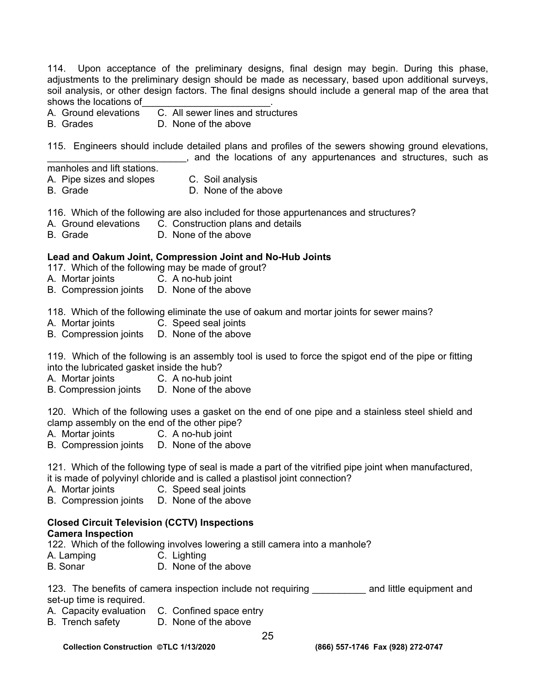114. Upon acceptance of the preliminary designs, final design may begin. During this phase, adjustments to the preliminary design should be made as necessary, based upon additional surveys, soil analysis, or other design factors. The final designs should include a general map of the area that shows the locations of

A. Ground elevations C. All sewer lines and structures

B. Grades D. None of the above

115. Engineers should include detailed plans and profiles of the sewers showing ground elevations,  $\Box$ , and the locations of any appurtenances and structures, such as

manholes and lift stations.

A. Pipe sizes and slopes C. Soil analysis

- 
- 
- B. Grade D. None of the above

116. Which of the following are also included for those appurtenances and structures?

- A. Ground elevations C. Construction plans and details
- B. Grade D. None of the above

# **Lead and Oakum Joint, Compression Joint and No-Hub Joints**

117. Which of the following may be made of grout?

- A. Mortar joints C. A no-hub joint
- B. Compression joints D. None of the above

118. Which of the following eliminate the use of oakum and mortar joints for sewer mains?

- A. Mortar joints C. Speed seal joints
- B. Compression joints D. None of the above

119. Which of the following is an assembly tool is used to force the spigot end of the pipe or fitting into the lubricated gasket inside the hub?

- A. Mortar joints C. A no-hub joint
- B. Compression joints D. None of the above

120. Which of the following uses a gasket on the end of one pipe and a stainless steel shield and clamp assembly on the end of the other pipe?<br>A. Mortar joints C. A no-hub joint

- C. A no-hub joint
- B. Compression joints D. None of the above

121. Which of the following type of seal is made a part of the vitrified pipe joint when manufactured, it is made of polyvinyl chloride and is called a plastisol joint connection?

A. Mortar joints C. Speed seal joints<br>B. Compression joints D. None of the above

B. Compression joints

#### **Closed Circuit Television (CCTV) Inspections Camera Inspection**

122. Which of the following involves lowering a still camera into a manhole?

- A. Lamping C. Lighting
- B. Sonar D. None of the above

123. The benefits of camera inspection include not requiring The and little equipment and set-up time is required.

- A. Capacity evaluation C. Confined space entry
- B. Trench safety D. None of the above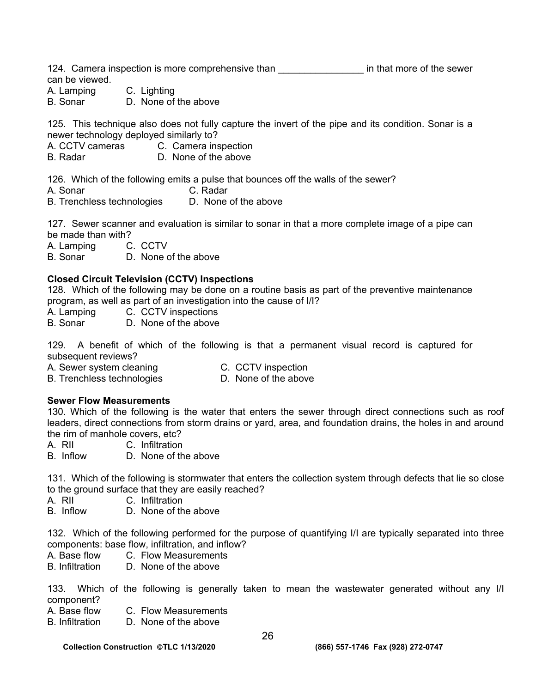124. Camera inspection is more comprehensive than **confinition** in that more of the sewer can be viewed.

A. Lamping C. Lighting

B. Sonar D. None of the above

125. This technique also does not fully capture the invert of the pipe and its condition. Sonar is a newer technology deployed similarly to?

- A. CCTV cameras C. Camera inspection
- B. Radar D. None of the above

126. Which of the following emits a pulse that bounces off the walls of the sewer?

- A. Sonar C. Radar
- B. Trenchless technologies D. None of the above

127. Sewer scanner and evaluation is similar to sonar in that a more complete image of a pipe can be made than with?

A. Lamping C. CCTV

B. Sonar D. None of the above

# **Closed Circuit Television (CCTV) Inspections**

128. Which of the following may be done on a routine basis as part of the preventive maintenance program, as well as part of an investigation into the cause of I/I?

A. Lamping C. CCTV inspections

B. Sonar D. None of the above

129. A benefit of which of the following is that a permanent visual record is captured for subsequent reviews?

A. Sewer system cleaning C. CCTV inspection<br>B. Trenchless technologies D. None of the above B. Trenchless technologies

## **Sewer Flow Measurements**

130. Which of the following is the water that enters the sewer through direct connections such as roof leaders, direct connections from storm drains or yard, area, and foundation drains, the holes in and around the rim of manhole covers, etc?

A. RII C. Infiltration

B. Inflow D. None of the above

131. Which of the following is stormwater that enters the collection system through defects that lie so close to the ground surface that they are easily reached?

- A. RII C. Infiltration
- B. Inflow D. None of the above

132. Which of the following performed for the purpose of quantifying I/I are typically separated into three components: base flow, infiltration, and inflow?

A. Base flow C. Flow Measurements

B. Infiltration D. None of the above

133. Which of the following is generally taken to mean the wastewater generated without any I/I component?

- A. Base flow C. Flow Measurements
- B. Infiltration D. None of the above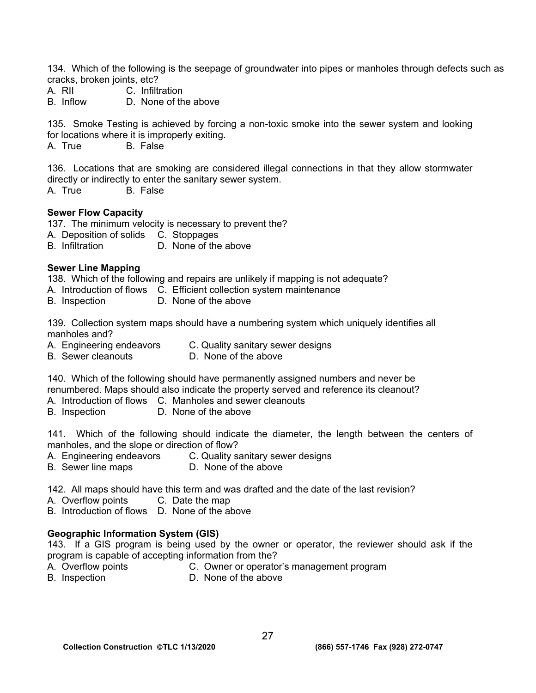134. Which of the following is the seepage of groundwater into pipes or manholes through defects such as cracks, broken joints, etc?

- A. RII C. Infiltration
- B. Inflow D. None of the above

135. Smoke Testing is achieved by forcing a non-toxic smoke into the sewer system and looking for locations where it is improperly exiting.

A. True B. False

136. Locations that are smoking are considered illegal connections in that they allow stormwater directly or indirectly to enter the sanitary sewer system.

A. True B. False

### **Sewer Flow Capacity**

137. The minimum velocity is necessary to prevent the?

- A. Deposition of solids C. Stoppages
- B. Infiltration D. None of the above

## **Sewer Line Mapping**

138. Which of the following and repairs are unlikely if mapping is not adequate?

- A. Introduction of flows C. Efficient collection system maintenance
- B. Inspection D. None of the above

139. Collection system maps should have a numbering system which uniquely identifies all manholes and?

- A. Engineering endeavors C. Quality sanitary sewer designs
- B. Sewer cleanouts D. None of the above

140. Which of the following should have permanently assigned numbers and never be renumbered. Maps should also indicate the property served and reference its cleanout? A. Introduction of flows C. Manholes and sewer cleanouts

B. Inspection D. None of the above

141. Which of the following should indicate the diameter, the length between the centers of manholes, and the slope or direction of flow?

- A. Engineering endeavors C. Quality sanitary sewer designs
- B. Sewer line maps D. None of the above

142. All maps should have this term and was drafted and the date of the last revision?

A. Overflow points C. Date the map

B. Introduction of flows D. None of the above

## **Geographic Information System (GIS)**

143. If a GIS program is being used by the owner or operator, the reviewer should ask if the program is capable of accepting information from the?

- 
- A. Overflow points C. Owner or operator's management program
- 
- B. Inspection D. None of the above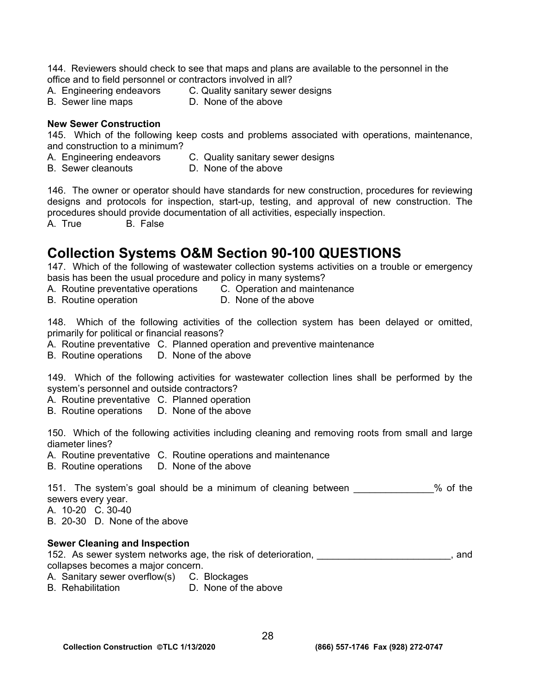144. Reviewers should check to see that maps and plans are available to the personnel in the office and to field personnel or contractors involved in all?

- A. Engineering endeavors C. Quality sanitary sewer designs
- 
- B. Sewer line maps D. None of the above

## **New Sewer Construction**

145. Which of the following keep costs and problems associated with operations, maintenance, and construction to a minimum?

- A. Engineering endeavors C. Quality sanitary sewer designs
- B. Sewer cleanouts D. None of the above
	-

146. The owner or operator should have standards for new construction, procedures for reviewing designs and protocols for inspection, start-up, testing, and approval of new construction. The procedures should provide documentation of all activities, especially inspection.

A. True B. False

# **Collection Systems O&M Section 90-100 QUESTIONS**

147. Which of the following of wastewater collection systems activities on a trouble or emergency basis has been the usual procedure and policy in many systems?

- A. Routine preventative operations C. Operation and maintenance
- 
- B. Routine operation **D.** None of the above

148. Which of the following activities of the collection system has been delayed or omitted, primarily for political or financial reasons?

- A. Routine preventative C. Planned operation and preventive maintenance
- B. Routine operations D. None of the above

149. Which of the following activities for wastewater collection lines shall be performed by the system's personnel and outside contractors?

- A. Routine preventative C. Planned operation
- B. Routine operations D. None of the above

150. Which of the following activities including cleaning and removing roots from small and large diameter lines?

- A. Routine preventative C. Routine operations and maintenance
- B. Routine operations D. None of the above

151. The system's goal should be a minimum of cleaning between  $\%$  of the sewers every year.

- A. 10-20 C. 30-40
- B. 20-30 D. None of the above

## **Sewer Cleaning and Inspection**

152. As sewer system networks age, the risk of deterioration, \_\_\_\_\_\_\_\_\_\_\_\_\_\_\_\_\_\_\_\_\_\_\_\_\_, and collapses becomes a major concern.

- A. Sanitary sewer overflow(s) C. Blockages
- B. Rehabilitation D. None of the above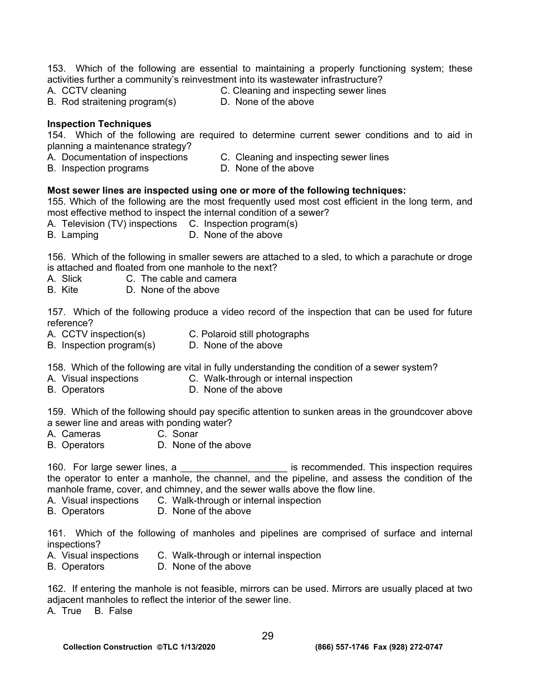153. Which of the following are essential to maintaining a properly functioning system; these activities further a community's reinvestment into its wastewater infrastructure?

- 
- A. CCTV cleaning  $\begin{array}{ccc} \text{A. } \text{CCTV} \text{ cleaning} & \text{B. } \text{R.} \text{Total} \end{array}$  C. Cleaning and inspecting sewer lines B. Rod straitening program(s)
- B. Rod straitening program(s)
	-

## **Inspection Techniques**

154. Which of the following are required to determine current sewer conditions and to aid in planning a maintenance strategy?

- A. Documentation of inspections C. Cleaning and inspecting sewer lines
- B. Inspection programs D. None of the above

# **Most sewer lines are inspected using one or more of the following techniques:**

155. Which of the following are the most frequently used most cost efficient in the long term, and most effective method to inspect the internal condition of a sewer?

- A. Television (TV) inspections C. Inspection program(s)
- B. Lamping D. None of the above

156. Which of the following in smaller sewers are attached to a sled, to which a parachute or droge is attached and floated from one manhole to the next?

- A. Slick C. The cable and camera
- B. Kite D. None of the above

157. Which of the following produce a video record of the inspection that can be used for future reference?

- A. CCTV inspection(s) C. Polaroid still photographs
- B. Inspection program(s) D. None of the above
- 

158. Which of the following are vital in fully understanding the condition of a sewer system?

- A. Visual inspections C. Walk-through or internal inspection
- B. Operators **D. None of the above**

159. Which of the following should pay specific attention to sunken areas in the groundcover above a sewer line and areas with ponding water?

- A. Cameras C. Sonar
- B. Operators D. None of the above

160. For large sewer lines, a **we allocate the set of the set of the set of the set of the set of the set of the set of the set of the set of the set of the set of the set of the set of the set of the set of the set of the** the operator to enter a manhole, the channel, and the pipeline, and assess the condition of the manhole frame, cover, and chimney, and the sewer walls above the flow line.

- A. Visual inspections C. Walk-through or internal inspection
- B. Operators D. None of the above

161. Which of the following of manholes and pipelines are comprised of surface and internal inspections?

- A. Visual inspections C. Walk-through or internal inspection
- B. Operators D. None of the above

162. If entering the manhole is not feasible, mirrors can be used. Mirrors are usually placed at two adjacent manholes to reflect the interior of the sewer line.

A. True B. False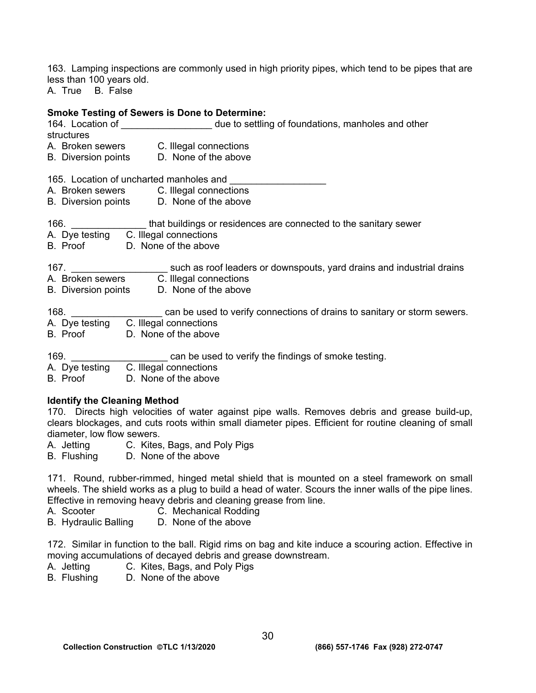163. Lamping inspections are commonly used in high priority pipes, which tend to be pipes that are less than 100 years old.

A. True B. False

## **Smoke Testing of Sewers is Done to Determine:**

|            | 164. Location of The State of the to settling of foundations, manholes and other                                               |
|------------|--------------------------------------------------------------------------------------------------------------------------------|
| structures |                                                                                                                                |
|            | A. Broken sewers C. Illegal connections                                                                                        |
|            | B. Diversion points D. None of the above                                                                                       |
|            | 165. Location of uncharted manholes and                                                                                        |
|            | A. Broken sewers C. Illegal connections                                                                                        |
|            | B. Diversion points D. None of the above                                                                                       |
|            | 166. ________________that buildings or residences are connected to the sanitary sewer<br>A. Dye testing C. Illegal connections |
|            |                                                                                                                                |
|            | B. Proof D. None of the above                                                                                                  |
|            | 167. _____________________________ such as roof leaders or downspouts, yard drains and industrial drains                       |
|            | A. Broken sewers C. Illegal connections                                                                                        |
|            | B. Diversion points D. None of the above                                                                                       |
| 168.       | can be used to verify connections of drains to sanitary or storm sewers.                                                       |
|            | A. Dye testing C. Illegal connections                                                                                          |
| B. Proof   | D. None of the above                                                                                                           |
|            | 169. Can be used to verify the findings of smoke testing.                                                                      |
|            | A. Dye testing C. Illegal connections                                                                                          |
| B. Proof   | D. None of the above                                                                                                           |

## **Identify the Cleaning Method**

170. Directs high velocities of water against pipe walls. Removes debris and grease build-up, clears blockages, and cuts roots within small diameter pipes. Efficient for routine cleaning of small diameter, low flow sewers.

A. Jetting C. Kites, Bags, and Poly Pigs

B. Flushing D. None of the above

171. Round, rubber-rimmed, hinged metal shield that is mounted on a steel framework on small wheels. The shield works as a plug to build a head of water. Scours the inner walls of the pipe lines. Effective in removing heavy debris and cleaning grease from line.

- A. Scooter C. Mechanical Rodding
- B. Hydraulic Balling D. None of the above

172. Similar in function to the ball. Rigid rims on bag and kite induce a scouring action. Effective in moving accumulations of decayed debris and grease downstream.

- A. Jetting C. Kites, Bags, and Poly Pigs<br>B. Flushing D. None of the above
- D. None of the above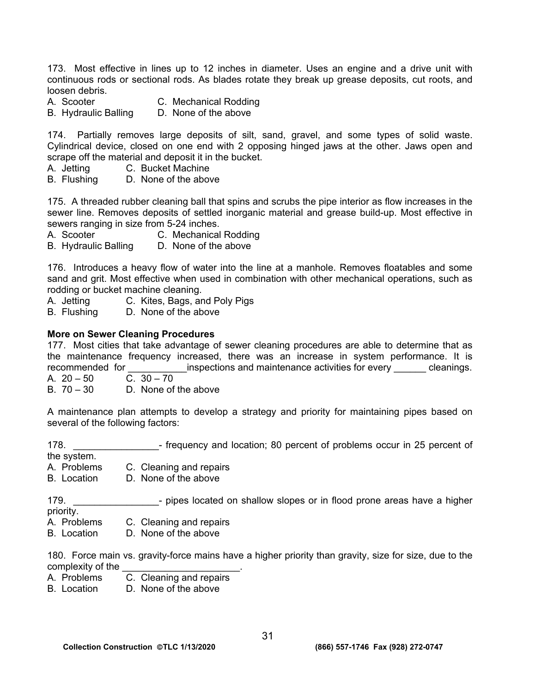173. Most effective in lines up to 12 inches in diameter. Uses an engine and a drive unit with continuous rods or sectional rods. As blades rotate they break up grease deposits, cut roots, and loosen debris.

- A. Scooter C. Mechanical Rodding
- B. Hydraulic Balling D. None of the above

174. Partially removes large deposits of silt, sand, gravel, and some types of solid waste. Cylindrical device, closed on one end with 2 opposing hinged jaws at the other. Jaws open and scrape off the material and deposit it in the bucket.

- A. Jetting C. Bucket Machine
- B. Flushing D. None of the above

175. A threaded rubber cleaning ball that spins and scrubs the pipe interior as flow increases in the sewer line. Removes deposits of settled inorganic material and grease build-up. Most effective in sewers ranging in size from 5-24 inches.

- A. Scooter C. Mechanical Rodding
- B. Hydraulic Balling D. None of the above

176. Introduces a heavy flow of water into the line at a manhole. Removes floatables and some sand and grit. Most effective when used in combination with other mechanical operations, such as rodding or bucket machine cleaning.

- A. Jetting C. Kites, Bags, and Poly Pigs
- B. Flushing D. None of the above

### **More on Sewer Cleaning Procedures**

177. Most cities that take advantage of sewer cleaning procedures are able to determine that as the maintenance frequency increased, there was an increase in system performance. It is recommended for **Example 2** inspections and maintenance activities for every <u>equal</u> cleanings. A.  $20 - 50$  C.  $30 - 70$ 

B. 70 – 30 D. None of the above

A maintenance plan attempts to develop a strategy and priority for maintaining pipes based on several of the following factors:

178. **Example 178.** The equency and location; 80 percent of problems occur in 25 percent of

the system.

A. Problems C. Cleaning and repairs

B. Location D. None of the above

179. **Example 179.** - pipes located on shallow slopes or in flood prone areas have a higher priority.

- A. Problems C. Cleaning and repairs
- B. Location D. None of the above

180. Force main vs. gravity-force mains have a higher priority than gravity, size for size, due to the complexity of the \_\_\_\_\_\_\_\_\_\_\_\_\_\_\_\_\_\_\_\_\_\_.

C. Cleaning and repairs

B. Location D. None of the above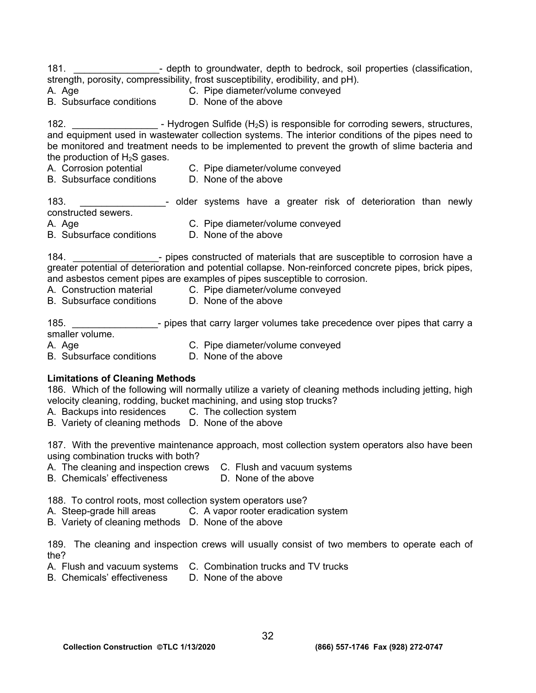181. \_\_\_\_\_\_\_\_\_\_\_\_\_\_\_\_\_\_\_\_\_- depth to groundwater, depth to bedrock, soil properties (classification, strength, porosity, compressibility, frost susceptibility, erodibility, and pH).

A. Age C. Pipe diameter/volume conveyed B. Subsurface conditions D. None of the above

182.  $\blacksquare$  - Hydrogen Sulfide (H<sub>2</sub>S) is responsible for corroding sewers, structures, and equipment used in wastewater collection systems. The interior conditions of the pipes need to

be monitored and treatment needs to be implemented to prevent the growth of slime bacteria and the production of  $H_2S$  gases.

- A. Corrosion potential C. Pipe diameter/volume conveyed<br>B. Subsurface conditions D. None of the above
- B. Subsurface conditions

183. \_\_\_\_\_\_\_\_\_\_\_\_\_\_\_\_- older systems have a greater risk of deterioration than newly constructed sewers.

- A. Age **C. Pipe diameter/volume conveyed**
- B. Subsurface conditions D. None of the above

184. **184. 184. 184. 184. 189. 189. 189. 189. 189. 189. 189. 189. 189. 189. 189. 189. 189. 189. 189. 189. 189. 189. 189. 189. 189. 189. 189. 189. 189. 189. 189.** greater potential of deterioration and potential collapse. Non-reinforced concrete pipes, brick pipes, and asbestos cement pipes are examples of pipes susceptible to corrosion.

- A. Construction material C. Pipe diameter/volume conveved
- B. Subsurface conditions D. None of the above

185. **Example 185.** The pipes that carry larger volumes take precedence over pipes that carry a smaller volume. A. Age **C. Pipe diameter/volume conveyed** 

B. Subsurface conditions D. None of the above

# **Limitations of Cleaning Methods**

186. Which of the following will normally utilize a variety of cleaning methods including jetting, high velocity cleaning, rodding, bucket machining, and using stop trucks?

A. Backups into residences C. The collection system

B. Variety of cleaning methods D. None of the above

187. With the preventive maintenance approach, most collection system operators also have been using combination trucks with both?

- A. The cleaning and inspection crews C. Flush and vacuum systems
- B. Chemicals' effectiveness D. None of the above

188. To control roots, most collection system operators use?

- A. Steep-grade hill areas C. A vapor rooter eradication system
- B. Variety of cleaning methods D. None of the above

189. The cleaning and inspection crews will usually consist of two members to operate each of the?

- A. Flush and vacuum systems C. Combination trucks and TV trucks<br>B. Chemicals' effectiveness D. None of the above
- B. Chemicals' effectiveness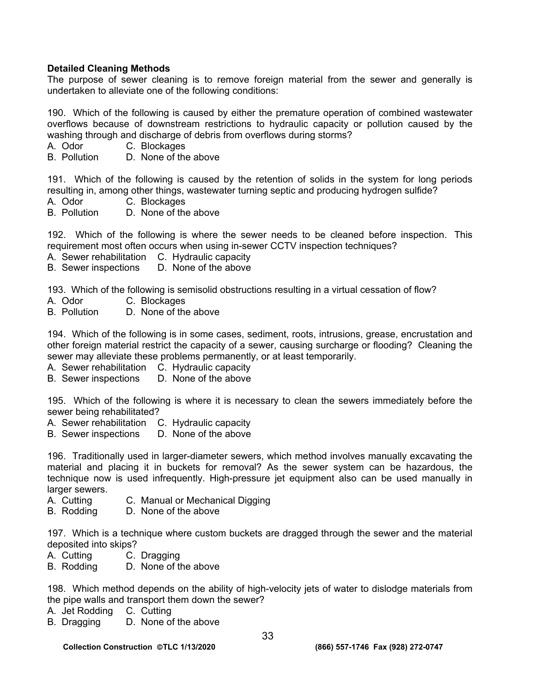# **Detailed Cleaning Methods**

The purpose of sewer cleaning is to remove foreign material from the sewer and generally is undertaken to alleviate one of the following conditions:

190. Which of the following is caused by either the premature operation of combined wastewater overflows because of downstream restrictions to hydraulic capacity or pollution caused by the washing through and discharge of debris from overflows during storms?

- A. Odor C. Blockages
- B. Pollution D. None of the above

191. Which of the following is caused by the retention of solids in the system for long periods resulting in, among other things, wastewater turning septic and producing hydrogen sulfide?

- A. Odor C. Blockages
- B. Pollution D. None of the above

192. Which of the following is where the sewer needs to be cleaned before inspection. This requirement most often occurs when using in-sewer CCTV inspection techniques?

- A. Sewer rehabilitation C. Hydraulic capacity
- B. Sewer inspections D. None of the above

193. Which of the following is semisolid obstructions resulting in a virtual cessation of flow?

- A. Odor C. Blockages
- B. Pollution D. None of the above

194. Which of the following is in some cases, sediment, roots, intrusions, grease, encrustation and other foreign material restrict the capacity of a sewer, causing surcharge or flooding? Cleaning the sewer may alleviate these problems permanently, or at least temporarily.

- A. Sewer rehabilitation C. Hydraulic capacity
- B. Sewer inspections D. None of the above

195. Which of the following is where it is necessary to clean the sewers immediately before the sewer being rehabilitated?

- A. Sewer rehabilitation C. Hydraulic capacity
- B. Sewer inspections D. None of the above

196. Traditionally used in larger-diameter sewers, which method involves manually excavating the material and placing it in buckets for removal? As the sewer system can be hazardous, the technique now is used infrequently. High-pressure jet equipment also can be used manually in larger sewers.

- A. Cutting C. Manual or Mechanical Digging
- B. Rodding D. None of the above

197. Which is a technique where custom buckets are dragged through the sewer and the material deposited into skips?

- A. Cutting C. Dragging
- B. Rodding D. None of the above

198. Which method depends on the ability of high-velocity jets of water to dislodge materials from the pipe walls and transport them down the sewer?

- A. Jet Rodding C. Cutting
- B. Dragging D. None of the above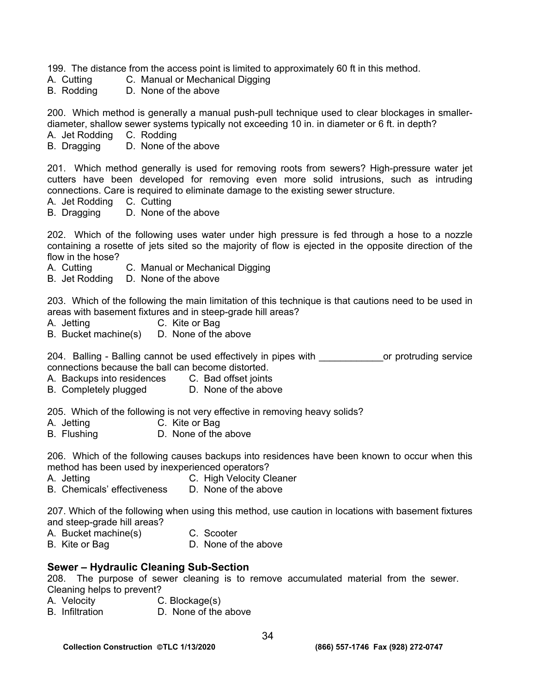199. The distance from the access point is limited to approximately 60 ft in this method.

A. Cutting C. Manual or Mechanical Digging

B. Rodding D. None of the above

200. Which method is generally a manual push-pull technique used to clear blockages in smallerdiameter, shallow sewer systems typically not exceeding 10 in. in diameter or 6 ft. in depth?

A. Jet Rodding C. Rodding

B. Dragging D. None of the above

201. Which method generally is used for removing roots from sewers? High-pressure water jet cutters have been developed for removing even more solid intrusions, such as intruding connections. Care is required to eliminate damage to the existing sewer structure.

A. Jet Rodding C. Cutting

B. Dragging D. None of the above

202. Which of the following uses water under high pressure is fed through a hose to a nozzle containing a rosette of jets sited so the majority of flow is ejected in the opposite direction of the flow in the hose?

A. Cutting C. Manual or Mechanical Digging

B. Jet Rodding D. None of the above

203. Which of the following the main limitation of this technique is that cautions need to be used in areas with basement fixtures and in steep-grade hill areas?

- A. Jetting C. Kite or Bag
- B. Bucket machine(s) D. None of the above

204. Balling - Balling cannot be used effectively in pipes with example or protruding service connections because the ball can become distorted.

- A. Backups into residences C. Bad offset joints
- B. Completely plugged D. None of the above

205. Which of the following is not very effective in removing heavy solids?

- 
- A. Jetting C. Kite or Bag<br>B. Flushing D. None of the D. None of the above

206. Which of the following causes backups into residences have been known to occur when this method has been used by inexperienced operators?

- A. Jetting **C. High Velocity Cleaner**
- B. Chemicals' effectiveness D. None of the above

207. Which of the following when using this method, use caution in locations with basement fixtures and steep-grade hill areas?

- A. Bucket machine(s) C. Scooter
- B. Kite or Bag D. None of the above

## **Sewer – Hydraulic Cleaning Sub-Section**

208. The purpose of sewer cleaning is to remove accumulated material from the sewer. Cleaning helps to prevent?

- A. Velocity C. Blockage(s)
- B. Infiltration D. None of the above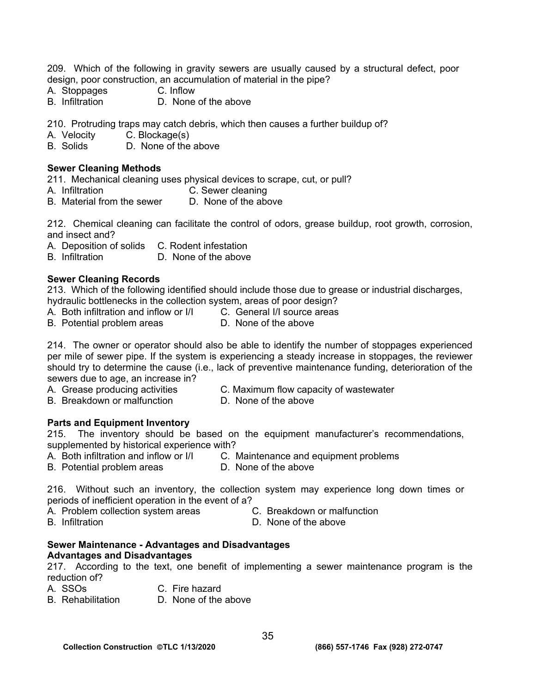209. Which of the following in gravity sewers are usually caused by a structural defect, poor design, poor construction, an accumulation of material in the pipe?

- A. Stoppages C. Inflow<br>B. Infiltration C. None
- D. None of the above

210. Protruding traps may catch debris, which then causes a further buildup of?

A. Velocity C. Blockage(s)

B. Solids D. None of the above

### **Sewer Cleaning Methods**

211. Mechanical cleaning uses physical devices to scrape, cut, or pull?

- A. Infiltration C. Sewer cleaning
- B. Material from the sewer D. None of the above

212. Chemical cleaning can facilitate the control of odors, grease buildup, root growth, corrosion, and insect and?

- A. Deposition of solids C. Rodent infestation
- B. Infiltration D. None of the above

### **Sewer Cleaning Records**

213. Which of the following identified should include those due to grease or industrial discharges,

- hydraulic bottlenecks in the collection system, areas of poor design?
- A. Both infiltration and inflow or I/I C. General I/I source areas
- B. Potential problem areas **D.** None of the above

214. The owner or operator should also be able to identify the number of stoppages experienced per mile of sewer pipe. If the system is experiencing a steady increase in stoppages, the reviewer should try to determine the cause (i.e., lack of preventive maintenance funding, deterioration of the sewers due to age, an increase in?

- 
- A. Grease producing activities C. Maximum flow capacity of wastewater
- B. Breakdown or malfunction D. None of the above
- 

## **Parts and Equipment Inventory**

215. The inventory should be based on the equipment manufacturer's recommendations, supplemented by historical experience with?

- A. Both infiltration and inflow or I/I C. Maintenance and equipment problems
- B. Potential problem areas **D. None of the above**

216. Without such an inventory, the collection system may experience long down times or periods of inefficient operation in the event of a?

- A. Problem collection system areas C. Breakdown or malfunction
- B. Infiltration D. None of the above

#### **Sewer Maintenance - Advantages and Disadvantages Advantages and Disadvantages**

217. According to the text, one benefit of implementing a sewer maintenance program is the reduction of?

- 
- A. SSOs C. Fire hazard
- B. Rehabilitation D. None of the above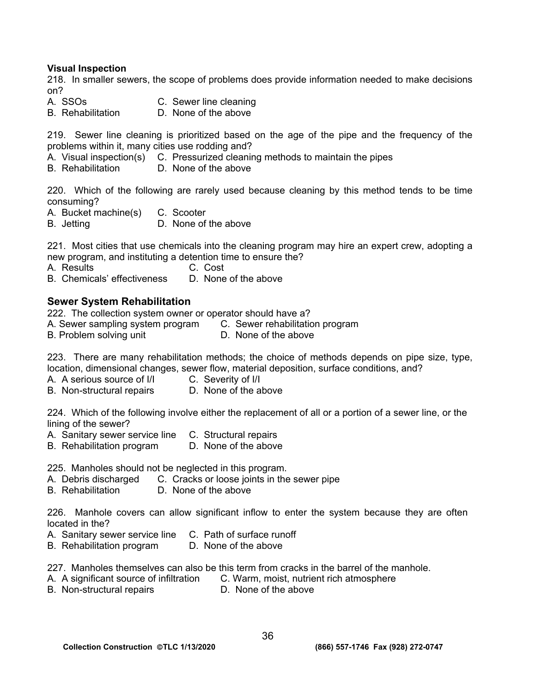## **Visual Inspection**

218. In smaller sewers, the scope of problems does provide information needed to make decisions on?<br>A. SSOs

- C. Sewer line cleaning
- B. Rehabilitation D. None of the above

219. Sewer line cleaning is prioritized based on the age of the pipe and the frequency of the problems within it, many cities use rodding and?

- A. Visual inspection(s) C. Pressurized cleaning methods to maintain the pipes
- B. Rehabilitation D. None of the above

220. Which of the following are rarely used because cleaning by this method tends to be time consuming?

- A. Bucket machine(s) C. Scooter
- B. Jetting **D.** None of the above

221. Most cities that use chemicals into the cleaning program may hire an expert crew, adopting a new program, and instituting a detention time to ensure the?

- A. Results C. Cost
- B. Chemicals' effectiveness D. None of the above

# **Sewer System Rehabilitation**

222. The collection system owner or operator should have a?

- A. Sewer sampling system program C. Sewer rehabilitation program
- B. Problem solving unit **D.** None of the above

223. There are many rehabilitation methods; the choice of methods depends on pipe size, type, location, dimensional changes, sewer flow, material deposition, surface conditions, and?

- A. A serious source of I/I C. Severity of I/I
- B. Non-structural repairs D. None of the above

224. Which of the following involve either the replacement of all or a portion of a sewer line, or the lining of the sewer?

- A. Sanitary sewer service line C. Structural repairs
- B. Rehabilitation program D. None of the above

225. Manholes should not be neglected in this program.

- A. Debris discharged C. Cracks or loose joints in the sewer pipe
- B. Rehabilitation D. None of the above

226. Manhole covers can allow significant inflow to enter the system because they are often located in the?

- A. Sanitary sewer service line C. Path of surface runoff
- B. Rehabilitation program D. None of the above

227. Manholes themselves can also be this term from cracks in the barrel of the manhole.

- A. A significant source of infiltration C. Warm, moist, nutrient rich atmosphere
- B. Non-structural repairs **D.** None of the above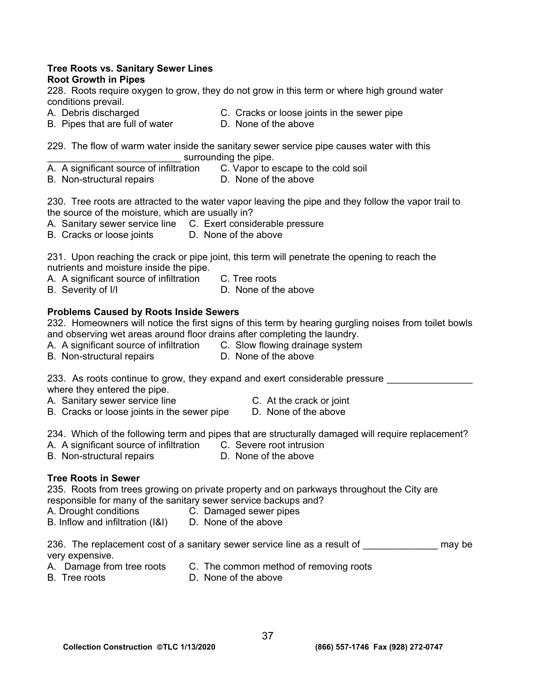#### **Tree Roots vs. Sanitary Sewer Lines Root Growth in Pipes**

228. Roots require oxygen to grow, they do not grow in this term or where high ground water conditions prevail.

- 
- A. Debris discharged C. Cracks or loose joints in the sewer pipe
- B. Pipes that are full of water **D. None of the above**
- 

229. The flow of warm water inside the sanitary sewer service pipe causes water with this surrounding the pipe.

- A. A significant source of infiltration C. Vapor to escape to the cold soil<br>B. Non-structural repairs D. None of the above
- B. Non-structural repairs

230. Tree roots are attracted to the water vapor leaving the pipe and they follow the vapor trail to the source of the moisture, which are usually in?

- A. Sanitary sewer service line C. Exert considerable pressure
- B. Cracks or loose joints D. None of the above

231. Upon reaching the crack or pipe joint, this term will penetrate the opening to reach the nutrients and moisture inside the pipe.

- A. A significant source of infiltration C. Tree roots
- B. Severity of I/I **D.** None of the above

# **Problems Caused by Roots Inside Sewers**

232. Homeowners will notice the first signs of this term by hearing gurgling noises from toilet bowls and observing wet areas around floor drains after completing the laundry.

- A. A significant source of infiltration C. Slow flowing drainage system
- B. Non-structural repairs **D. None of the above**

233. As roots continue to grow, they expand and exert considerable pressure where they entered the pipe.

- A. Sanitary sewer service line The C. At the crack or joint
- B. Cracks or loose joints in the sewer pipe D. None of the above

234. Which of the following term and pipes that are structurally damaged will require replacement?

- A. A significant source of infiltration C. Severe root intrusion
- B. Non-structural repairs **D.** None of the above

# **Tree Roots in Sewer**

235. Roots from trees growing on private property and on parkways throughout the City are responsible for many of the sanitary sewer service backups and?

- A. Drought conditions C. Damaged sewer pipes
- B. Inflow and infiltration (I&I) D. None of the above

- 
- A. Damage from tree roots C. The common method of removing roots<br>B. Tree roots C. None of the above
- 

D. None of the above

<sup>236.</sup> The replacement cost of a sanitary sewer service line as a result of **The and Standard may be** very expensive.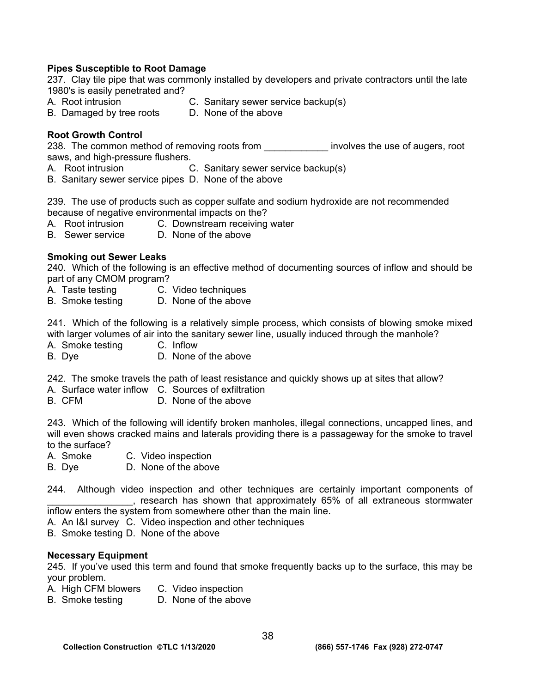## **Pipes Susceptible to Root Damage**

237. Clay tile pipe that was commonly installed by developers and private contractors until the late 1980's is easily penetrated and?

- 
- A. Root intrusion C. Sanitary sewer service backup(s)
- B. Damaged by tree roots D. None of the above
- 

## **Root Growth Control**

238. The common method of removing roots from **the endominator involves the use of augers**, root saws, and high-pressure flushers.

- A. Root intrusion C. Sanitary sewer service backup(s)
- B. Sanitary sewer service pipes D. None of the above

239. The use of products such as copper sulfate and sodium hydroxide are not recommended because of negative environmental impacts on the?

- A. Root intrusion C. Downstream receiving water
- B. Sewer service D. None of the above

## **Smoking out Sewer Leaks**

240. Which of the following is an effective method of documenting sources of inflow and should be part of any CMOM program?

- A. Taste testing C. Video techniques
- B. Smoke testing D. None of the above

241. Which of the following is a relatively simple process, which consists of blowing smoke mixed with larger volumes of air into the sanitary sewer line, usually induced through the manhole?

- A. Smoke testing C. Inflow
- B. Dye D. None of the above

242. The smoke travels the path of least resistance and quickly shows up at sites that allow?

- A. Surface water inflow C. Sources of exfiltration
- B. CFM D. None of the above

243. Which of the following will identify broken manholes, illegal connections, uncapped lines, and will even shows cracked mains and laterals providing there is a passageway for the smoke to travel to the surface?

- A. Smoke C. Video inspection
- B. Dye D. None of the above
- 244. Although video inspection and other techniques are certainly important components of \_\_\_\_\_\_\_\_\_\_\_\_\_\_\_\_, research has shown that approximately 65% of all extraneous stormwater inflow enters the system from somewhere other than the main line.

A. An I&I survey C. Video inspection and other techniques

B. Smoke testing D. None of the above

#### **Necessary Equipment**

245. If you've used this term and found that smoke frequently backs up to the surface, this may be your problem.

- A. High CFM blowers C. Video inspection
- B. Smoke testing D. None of the above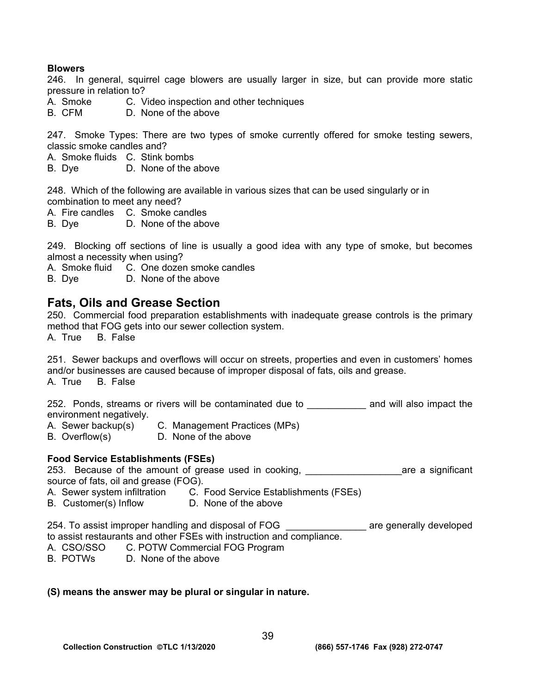## **Blowers**

246. In general, squirrel cage blowers are usually larger in size, but can provide more static pressure in relation to?

- A. Smoke C. Video inspection and other techniques
- B. CFM D. None of the above

247. Smoke Types: There are two types of smoke currently offered for smoke testing sewers, classic smoke candles and?

- A. Smoke fluids C. Stink bombs
- B. Dye D. None of the above

248. Which of the following are available in various sizes that can be used singularly or in combination to meet any need?

A. Fire candles C. Smoke candles

B. Dye D. None of the above

249. Blocking off sections of line is usually a good idea with any type of smoke, but becomes almost a necessity when using?

A. Smoke fluid C. One dozen smoke candles

B. Dye D. None of the above

# **Fats, Oils and Grease Section**

250. Commercial food preparation establishments with inadequate grease controls is the primary method that FOG gets into our sewer collection system.

A. True B. False

251. Sewer backups and overflows will occur on streets, properties and even in customers' homes and/or businesses are caused because of improper disposal of fats, oils and grease. A. True B. False

252. Ponds, streams or rivers will be contaminated due to **and will also impact the** environment negatively.

- A. Sewer backup(s) C. Management Practices (MPs)
- B. Overflow(s) D. None of the above

#### **Food Service Establishments (FSEs)**

253. Because of the amount of grease used in cooking, and the same a significant source of fats, oil and grease (FOG).

- A. Sewer system infiltration C. Food Service Establishments (FSEs)
- B. Customer(s) Inflow D. None of the above

254. To assist improper handling and disposal of FOG \_\_\_\_\_\_\_ are generally developed to assist restaurants and other FSEs with instruction and compliance.

- A. CSO/SSO C. POTW Commercial FOG Program
- B. POTWs D. None of the above

#### **(S) means the answer may be plural or singular in nature.**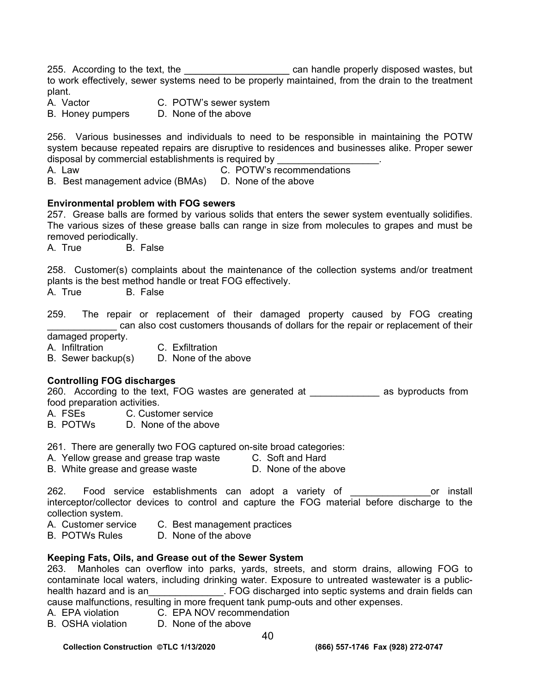255. According to the text, the \_\_\_\_\_\_\_\_\_\_\_\_\_\_\_\_\_\_\_\_\_\_ can handle properly disposed wastes, but to work effectively, sewer systems need to be properly maintained, from the drain to the treatment plant.

A. Vactor **C. POTW's sewer system** 

B. Honey pumpers D. None of the above

256. Various businesses and individuals to need to be responsible in maintaining the POTW system because repeated repairs are disruptive to residences and businesses alike. Proper sewer disposal by commercial establishments is required by

A. Law C. POTW's recommendations

B. Best management advice (BMAs) D. None of the above

### **Environmental problem with FOG sewers**

257. Grease balls are formed by various solids that enters the sewer system eventually solidifies. The various sizes of these grease balls can range in size from molecules to grapes and must be removed periodically.

A. True B. False

258. Customer(s) complaints about the maintenance of the collection systems and/or treatment plants is the best method handle or treat FOG effectively.

A. True B. False

259. The repair or replacement of their damaged property caused by FOG creating can also cost customers thousands of dollars for the repair or replacement of their

damaged property.

A. Infiltration C. Exfiltration

B. Sewer backup(s) D. None of the above

## **Controlling FOG discharges**

260. According to the text, FOG wastes are generated at \_\_\_\_\_\_\_\_\_\_\_\_\_\_ as byproducts from food preparation activities.

- A. FSEs C. Customer service
- B. POTWs D. None of the above

261. There are generally two FOG captured on-site broad categories:

- A. Yellow grease and grease trap waste C. Soft and Hard
- B. White grease and grease waste D. None of the above

262. Food service establishments can adopt a variety of The Manus or install interceptor/collector devices to control and capture the FOG material before discharge to the collection system.

- A. Customer service C. Best management practices<br>B. POTWs Rules D. None of the above
- D. None of the above

#### **Keeping Fats, Oils, and Grease out of the Sewer System**

263. Manholes can overflow into parks, yards, streets, and storm drains, allowing FOG to contaminate local waters, including drinking water. Exposure to untreated wastewater is a publichealth hazard and is an\_\_\_\_\_\_\_\_\_\_\_\_\_\_. FOG discharged into septic systems and drain fields can cause malfunctions, resulting in more frequent tank pump-outs and other expenses.

- A. EPA violation C. EPA NOV recommendation
- B. OSHA violation D. None of the above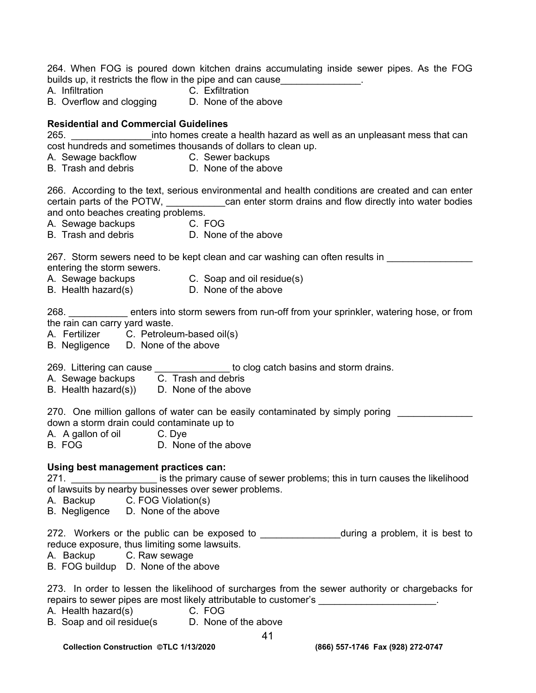264. When FOG is poured down kitchen drains accumulating inside sewer pipes. As the FOG builds up, it restricts the flow in the pipe and can cause\_\_\_\_\_\_\_\_\_\_\_\_\_\_\_.

- 
- A. Infiltration C. Exfiltration
- B. Overflow and clogging D. None of the above

## **Residential and Commercial Guidelines**

265. \_\_\_\_\_\_\_\_\_\_\_\_\_\_\_into homes create a health hazard as well as an unpleasant mess that can cost hundreds and sometimes thousands of dollars to clean up.

- A. Sewage backflow C. Sewer backups
- B. Trash and debris **D.** None of the above

266. According to the text, serious environmental and health conditions are created and can enter certain parts of the POTW, ean enter storm drains and flow directly into water bodies and onto beaches creating problems.

A. Sewage backups C. FOG

B. Trash and debris **D.** None of the above

267. Storm sewers need to be kept clean and car washing can often results in entering the storm sewers.

- 
- A. Sewage backups C. Soap and oil residue(s)
- B. Health hazard(s) D. None of the above

268. \_\_\_\_\_\_\_\_\_\_\_ enters into storm sewers from run-off from your sprinkler, watering hose, or from the rain can carry yard waste.

- A. Fertilizer C. Petroleum-based oil(s)
- B. Negligence D. None of the above

269. Littering can cause **Letter is a cause** to clog catch basins and storm drains.

- A. Sewage backups **C. Trash and debris**
- B. Health hazard(s)) D. None of the above
- 270. One million gallons of water can be easily contaminated by simply poring down a storm drain could contaminate up to
- A. A gallon of oil C. Dye
- B. FOG D. None of the above

## **Using best management practices can:**

271. \_\_\_\_\_\_\_\_\_\_\_\_\_\_\_\_\_\_\_\_\_ is the primary cause of sewer problems; this in turn causes the likelihood of lawsuits by nearby businesses over sewer problems.

A. Backup C. FOG Violation(s)

B. Negligence D. None of the above

272. Workers or the public can be exposed to \_\_\_\_\_\_\_\_\_\_\_\_\_\_\_\_\_during a problem, it is best to reduce exposure, thus limiting some lawsuits.

- A. Backup C. Raw sewage
- B. FOG buildup D. None of the above

273. In order to lessen the likelihood of surcharges from the sewer authority or chargebacks for repairs to sewer pipes are most likely attributable to customer's

- A. Health hazard(s) C. FOG
- B. Soap and oil residue(s D. None of the above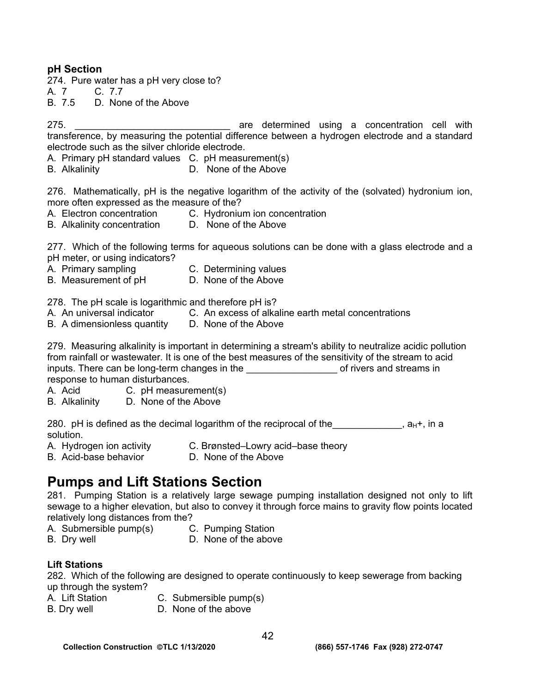# **pH Section**

274. Pure water has a pH very close to?

A. 7 C. 7.7

B. 7.5 D. None of the Above

275. \_\_\_\_\_\_\_\_\_\_\_\_\_\_\_\_\_\_\_\_\_\_\_\_\_\_\_\_\_ are determined using a concentration cell with transference, by measuring the potential difference between a hydrogen electrode and a standard electrode such as the silver chloride electrode.

A. Primary pH standard values C. pH measurement(s)

B. Alkalinity D. None of the Above

276. Mathematically, pH is the negative logarithm of the activity of the (solvated) hydronium ion, more often expressed as the measure of the?

- A. Electron concentration C. Hydronium ion concentration
- B. Alkalinity concentration D. None of the Above

277. Which of the following terms for aqueous solutions can be done with a glass electrode and a pH meter, or using indicators?

- A. Primary sampling C. Determining values
- B. Measurement of pH D. None of the Above

278. The pH scale is logarithmic and therefore pH is?

- A. An universal indicator C. An excess of alkaline earth metal concentrations
- B. A dimensionless quantity D. None of the Above

279. Measuring alkalinity is important in determining a stream's ability to neutralize acidic pollution from rainfall or wastewater. It is one of the best measures of the sensitivity of the stream to acid inputs. There can be long-term changes in the **with the set of rivers and streams in** response to human disturbances.

- A. Acid C. pH measurement(s)
- B. Alkalinity D. None of the Above

280. pH is defined as the decimal logarithm of the reciprocal of the  $a_{H^+}$ , in a solution.

- A. Hydrogen ion activity C. Brønsted–Lowry acid–base theory
- B. Acid-base behavior **D. None of the Above**

# **Pumps and Lift Stations Section**

281. Pumping Station is a relatively large sewage pumping installation designed not only to lift sewage to a higher elevation, but also to convey it through force mains to gravity flow points located relatively long distances from the?

- A. Submersible pump(s) C. Pumping Station
- 
- B. Dry well **D.** None of the above

## **Lift Stations**

282. Which of the following are designed to operate continuously to keep sewerage from backing up through the system?

- A. Lift Station C. Submersible pump(s)
- B. Dry well **D.** None of the above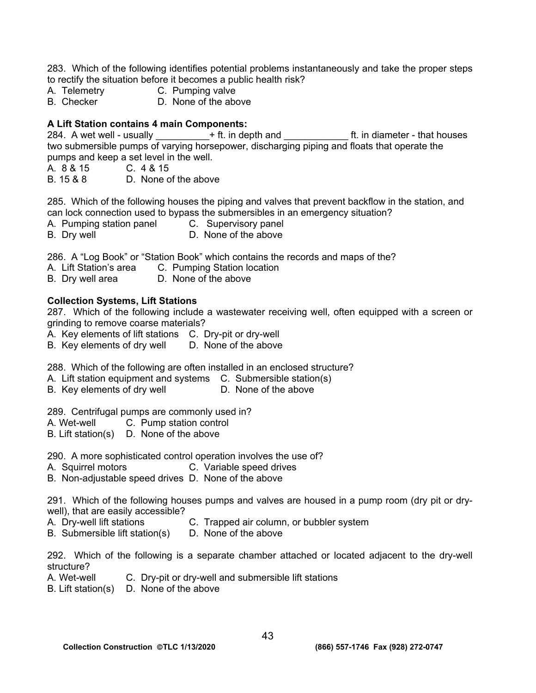283. Which of the following identifies potential problems instantaneously and take the proper steps to rectify the situation before it becomes a public health risk?

- A. Telemetry C. Pumping valve
- B. Checker D. None of the above

# **A Lift Station contains 4 main Components:**

284. A wet well - usually  $+$  ft. in depth and  $-$  ft. in diameter - that houses two submersible pumps of varying horsepower, discharging piping and floats that operate the pumps and keep a set level in the well.

A. 8 & 15 C. 4 & 15

B. 15 & 8 D. None of the above

285. Which of the following houses the piping and valves that prevent backflow in the station, and can lock connection used to bypass the submersibles in an emergency situation?

- A. Pumping station panel C. Supervisory panel
- B. Dry well **D.** None of the above

286. A "Log Book" or "Station Book" which contains the records and maps of the?

- A. Lift Station's area C. Pumping Station location
- B. Dry well area D. None of the above

## **Collection Systems, Lift Stations**

287. Which of the following include a wastewater receiving well, often equipped with a screen or grinding to remove coarse materials?

- A. Key elements of lift stations C. Dry-pit or dry-well
- B. Key elements of dry well D. None of the above

288. Which of the following are often installed in an enclosed structure?

- A. Lift station equipment and systems C. Submersible station(s)
- B. Key elements of dry well **D.** None of the above

289. Centrifugal pumps are commonly used in?

- A. Wet-well C. Pump station control
- B. Lift station(s) D. None of the above

290. A more sophisticated control operation involves the use of?

- A. Squirrel motors C. Variable speed drives
- B. Non-adjustable speed drives D. None of the above

291. Which of the following houses pumps and valves are housed in a pump room (dry pit or drywell), that are easily accessible?

- A. Dry-well lift stations C. Trapped air column, or bubbler system
- B. Submersible lift station(s) D. None of the above

292. Which of the following is a separate chamber attached or located adjacent to the dry-well structure?

- A. Wet-well C. Dry-pit or dry-well and submersible lift stations
- B. Lift station(s) D. None of the above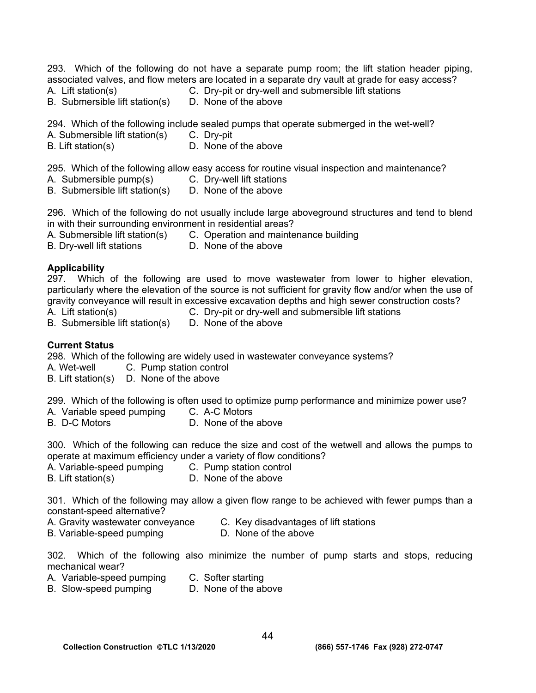293. Which of the following do not have a separate pump room; the lift station header piping, associated valves, and flow meters are located in a separate dry vault at grade for easy access?

- 
- A. Lift station(s) C. Dry-pit or dry-well and submersible lift stations<br>B. Submersible lift station(s) D. None of the above

294. Which of the following include sealed pumps that operate submerged in the wet-well?

A. Submersible lift station(s) C. Dry-pit

- 
- B. Lift station(s) D. None of the above

295. Which of the following allow easy access for routine visual inspection and maintenance?

A. Submersible pump(s) C. Dry-well lift stations

B. Submersible lift station(s)

- 
- B. Submersible lift station(s) D. None of the above

296. Which of the following do not usually include large aboveground structures and tend to blend in with their surrounding environment in residential areas?

A. Submersible lift station(s) C. Operation and maintenance building

B. Dry-well lift stations D. None of the above

# **Applicability**

297. Which of the following are used to move wastewater from lower to higher elevation, particularly where the elevation of the source is not sufficient for gravity flow and/or when the use of gravity conveyance will result in excessive excavation depths and high sewer construction costs?

- 
- A. Lift station(s) C. Dry-pit or dry-well and submersible lift stations
- B. Submersible lift station(s) D. None of the above

# **Current Status**

298. Which of the following are widely used in wastewater conveyance systems?

A. Wet-well C. Pump station control

B. Lift station(s) D. None of the above

299. Which of the following is often used to optimize pump performance and minimize power use?

- A. Variable speed pumping C. A-C Motors<br>B. D-C Motors D. None of the
- D. None of the above

300. Which of the following can reduce the size and cost of the wetwell and allows the pumps to operate at maximum efficiency under a variety of flow conditions?

- A. Variable-speed pumping C. Pump station control
- B. Lift station(s) D. None of the above

301. Which of the following may allow a given flow range to be achieved with fewer pumps than a constant-speed alternative?

- A. Gravity wastewater conveyance C. Key disadvantages of lift stations
- B. Variable-speed pumping D. None of the above

302. Which of the following also minimize the number of pump starts and stops, reducing mechanical wear?

- A. Variable-speed pumping C. Softer starting
- B. Slow-speed pumping D. None of the above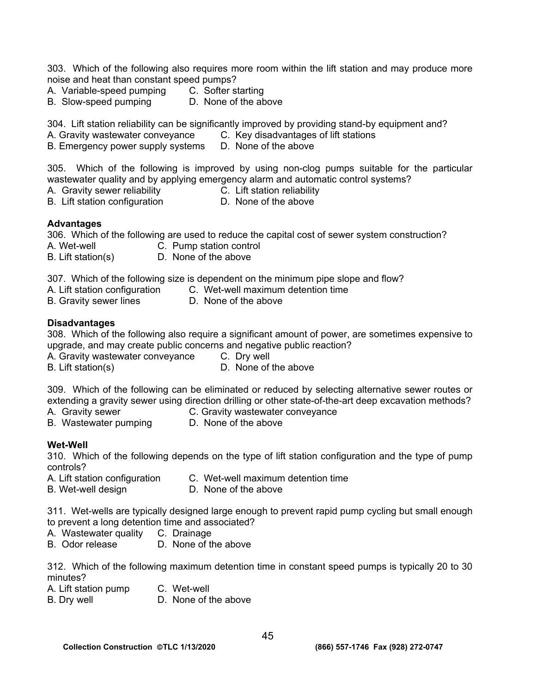303. Which of the following also requires more room within the lift station and may produce more noise and heat than constant speed pumps?

- A. Variable-speed pumping C. Softer starting
- 
- 
- B. Slow-speed pumping D. None of the above

304. Lift station reliability can be significantly improved by providing stand-by equipment and?

- A. Gravity wastewater conveyance C. Key disadvantages of lift stations
- B. Emergency power supply systems D. None of the above

305. Which of the following is improved by using non-clog pumps suitable for the particular wastewater quality and by applying emergency alarm and automatic control systems?

- A. Gravity sewer reliability  $\tilde{C}$ . Lift station reliability
	-
- B. Lift station configuration **D.** None of the above
- **Advantages**

306. Which of the following are used to reduce the capital cost of sewer system construction?

- A. Wet-well C. Pump station control
- B. Lift station(s) D. None of the above
- 307. Which of the following size is dependent on the minimum pipe slope and flow?
- A. Lift station configuration C. Wet-well maximum detention time
- B. Gravity sewer lines **D. None of the above**

# **Disadvantages**

308. Which of the following also require a significant amount of power, are sometimes expensive to upgrade, and may create public concerns and negative public reaction?

- A. Gravity wastewater conveyance C. Dry well
- B. Lift station(s) B. Lift station(s)
- 

309. Which of the following can be eliminated or reduced by selecting alternative sewer routes or extending a gravity sewer using direction drilling or other state-of-the-art deep excavation methods?

- A. Gravity sewer **C. Gravity wastewater conveyance**
- B. Wastewater pumping D. None of the above

# **Wet-Well**

310. Which of the following depends on the type of lift station configuration and the type of pump controls?

- A. Lift station configuration C. Wet-well maximum detention time
- B. Wet-well design **D. None of the above**

311. Wet-wells are typically designed large enough to prevent rapid pump cycling but small enough to prevent a long detention time and associated?

- A. Wastewater quality C. Drainage
- B. Odor release D. None of the above

312. Which of the following maximum detention time in constant speed pumps is typically 20 to 30 minutes?

- A. Lift station pump C. Wet-well
- B. Dry well **D.** None of the above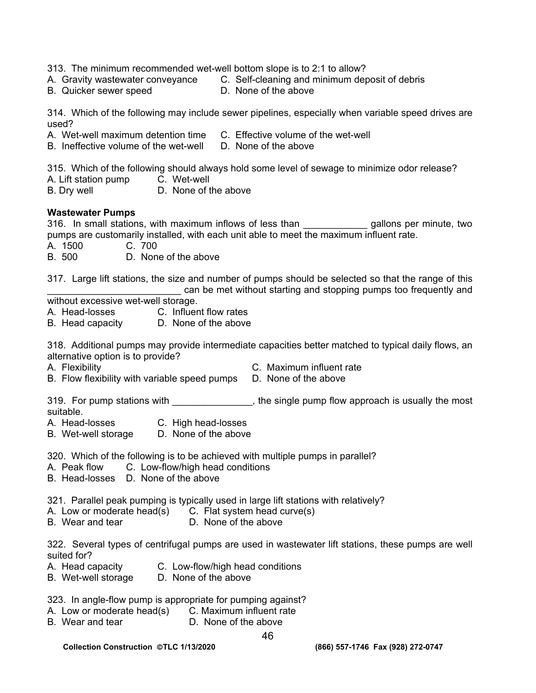- 313. The minimum recommended wet-well bottom slope is to 2:1 to allow?
- A. Gravity wastewater conveyance C. Self-cleaning and minimum deposit of debris
- B. Quicker sewer speed D. None of the above

314. Which of the following may include sewer pipelines, especially when variable speed drives are used?

- A. Wet-well maximum detention time C. Effective volume of the wet-well
- B. Ineffective volume of the wet-well D. None of the above

315. Which of the following should always hold some level of sewage to minimize odor release?

- A. Lift station pump C. Wet-well
- B. Dry well **D.** None of the above

## **Wastewater Pumps**

316. In small stations, with maximum inflows of less than **the solution of gallons per minute**, two pumps are customarily installed, with each unit able to meet the maximum influent rate.

- A. 1500 C. 700
- B. 500 D. None of the above

317. Large lift stations, the size and number of pumps should be selected so that the range of this can be met without starting and stopping pumps too frequently and

without excessive wet-well storage.

- A. Head-losses C. Influent flow rates
- B. Head capacity D. None of the above

318. Additional pumps may provide intermediate capacities better matched to typical daily flows, an alternative option is to provide?

- 
- A. Flexibility C. Maximum influent rate
- B. Flow flexibility with variable speed pumps D. None of the above

319. For pump stations with \_\_\_\_\_\_\_\_\_\_\_\_\_\_, the single pump flow approach is usually the most suitable.

- A. Head-losses C. High head-losses
- B. Wet-well storage D. None of the above

320. Which of the following is to be achieved with multiple pumps in parallel?

- A. Peak flow C. Low-flow/high head conditions
- B. Head-losses D. None of the above

321. Parallel peak pumping is typically used in large lift stations with relatively?

- A. Low or moderate head(s)  $\overline{C}$ . Flat system head curve(s) <br>B. Wear and tear  $\overline{D}$ . None of the above
- D. None of the above

322. Several types of centrifugal pumps are used in wastewater lift stations, these pumps are well suited for?

- A. Head capacity C. Low-flow/high head conditions
- B. Wet-well storage D. None of the above

323. In angle-flow pump is appropriate for pumping against?

- A. Low or moderate head(s) C. Maximum influent rate
- B. Wear and tear D. None of the above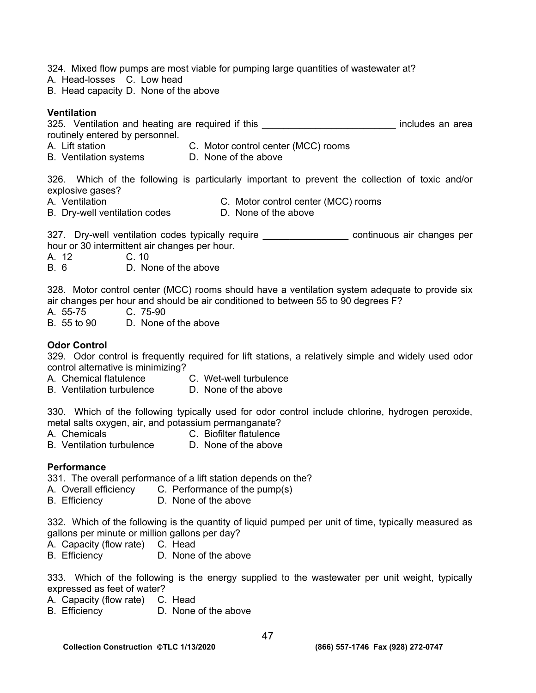324. Mixed flow pumps are most viable for pumping large quantities of wastewater at?

- A. Head-losses C. Low head
- B. Head capacity D. None of the above

# **Ventilation**

325. Ventilation and heating are required if this **Source 10 and 10 and 10 and 10 and 10** area routinely entered by personnel.

- A. Lift station C. Motor control center (MCC) rooms
- B. Ventilation systems D. None of the above

326. Which of the following is particularly important to prevent the collection of toxic and/or explosive gases?

- 
- A. Ventilation C. Motor control center (MCC) rooms B. Dry-well ventilation codes D. None of the above

327. Dry-well ventilation codes typically require \_\_\_\_\_\_\_\_\_\_\_\_\_\_\_\_\_\_\_ continuous air changes per hour or 30 intermittent air changes per hour.

A. 12 C. 10

B. 6 D. None of the above

328. Motor control center (MCC) rooms should have a ventilation system adequate to provide six air changes per hour and should be air conditioned to between 55 to 90 degrees F?

A. 55-75 C. 75-90

B. 55 to 90 D. None of the above

# **Odor Control**

329. Odor control is frequently required for lift stations, a relatively simple and widely used odor control alternative is minimizing?

- A. Chemical flatulence C. Wet-well turbulence
- B. Ventilation turbulence D. None of the above

330. Which of the following typically used for odor control include chlorine, hydrogen peroxide, metal salts oxygen, air, and potassium permanganate?

- A. Chemicals **C. Biofilter flatulence**
- B. Ventilation turbulence D. None of the above

## **Performance**

331. The overall performance of a lift station depends on the?

- A. Overall efficiency C. Performance of the pump(s)
- B. Efficiency D. None of the above

332. Which of the following is the quantity of liquid pumped per unit of time, typically measured as gallons per minute or million gallons per day?

- A. Capacity (flow rate) C. Head
- B. Efficiency D. None of the above

333. Which of the following is the energy supplied to the wastewater per unit weight, typically expressed as feet of water?

- A. Capacity (flow rate) C. Head
- B. Efficiency D. None of the above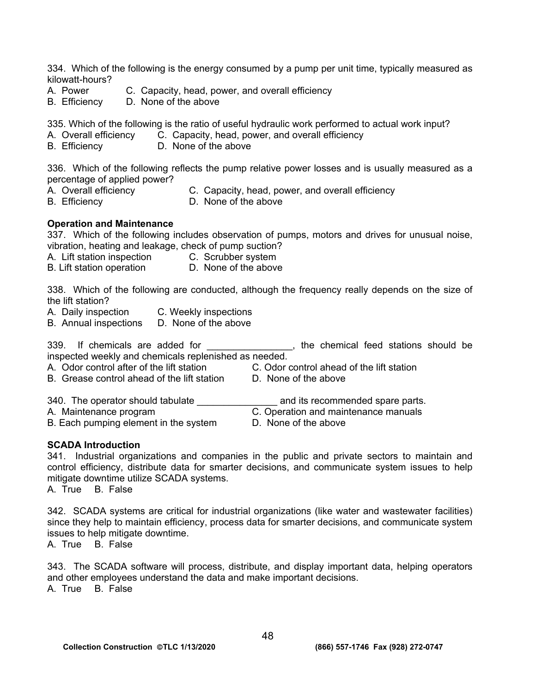334. Which of the following is the energy consumed by a pump per unit time, typically measured as kilowatt-hours?

- A. Power C. Capacity, head, power, and overall efficiency
- B. Efficiency D. None of the above

335. Which of the following is the ratio of useful hydraulic work performed to actual work input?

- A. Overall efficiency C. Capacity, head, power, and overall efficiency
- B. Efficiency D. None of the above

336. Which of the following reflects the pump relative power losses and is usually measured as a percentage of applied power?

- 
- A. Overall efficiency C. Capacity, head, power, and overall efficiency
- 
- B. Efficiency D. None of the above

## **Operation and Maintenance**

337. Which of the following includes observation of pumps, motors and drives for unusual noise, vibration, heating and leakage, check of pump suction?

- A. Lift station inspection C. Scrubber system
- B. Lift station operation **D.** None of the above

338. Which of the following are conducted, although the frequency really depends on the size of the lift station?

- A. Daily inspection C. Weekly inspections
- B. Annual inspections D. None of the above

339. If chemicals are added for the stations should be stations should be inspected weekly and chemicals replenished as needed.

A. Odor control after of the lift station C. Odor control ahead of the lift station

- B. Grease control ahead of the lift station D. None of the above
- -
- 
- 340. The operator should tabulate **Example 20** and its recommended spare parts.

A. Maintenance program **C.** Operation and maintenance manuals

- B. Each pumping element in the system D. None of the above
- 

#### **SCADA Introduction**

341. Industrial organizations and companies in the public and private sectors to maintain and control efficiency, distribute data for smarter decisions, and communicate system issues to help mitigate downtime utilize SCADA systems.

A. True B. False

342. SCADA systems are critical for industrial organizations (like water and wastewater facilities) since they help to maintain efficiency, process data for smarter decisions, and communicate system issues to help mitigate downtime.

A. True B. False

343. The SCADA software will process, distribute, and display important data, helping operators and other employees understand the data and make important decisions. A. True B. False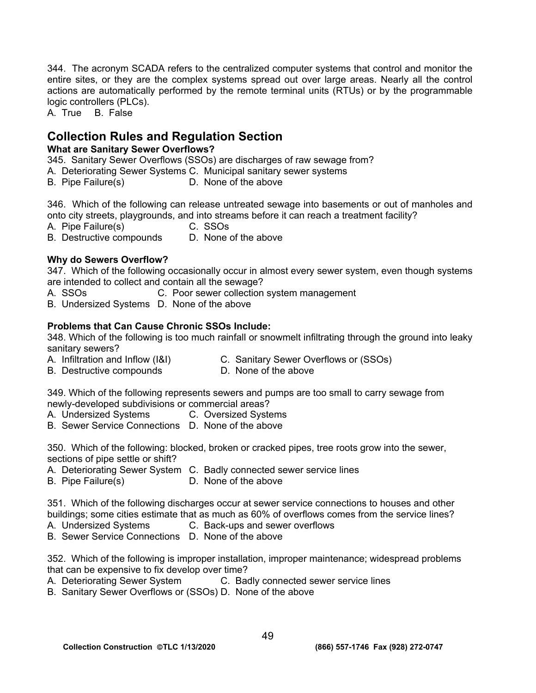344. The acronym SCADA refers to the centralized computer systems that control and monitor the entire sites, or they are the complex systems spread out over large areas. Nearly all the control actions are automatically performed by the remote terminal units (RTUs) or by the programmable logic controllers (PLCs).

A. True B. False

# **Collection Rules and Regulation Section**

# **What are Sanitary Sewer Overflows?**

345. Sanitary Sewer Overflows (SSOs) are discharges of raw sewage from?

- A. Deteriorating Sewer Systems C. Municipal sanitary sewer systems
- B. Pipe Failure(s) D. None of the above

346. Which of the following can release untreated sewage into basements or out of manholes and onto city streets, playgrounds, and into streams before it can reach a treatment facility?

- A. Pipe Failure(s) C. SSOs
- B. Destructive compounds D. None of the above

# **Why do Sewers Overflow?**

347. Which of the following occasionally occur in almost every sewer system, even though systems are intended to collect and contain all the sewage?

- A. SSOs **C. Poor sewer collection system management**
- B. Undersized Systems D. None of the above

# **Problems that Can Cause Chronic SSOs Include:**

348. Which of the following is too much rainfall or snowmelt infiltrating through the ground into leaky sanitary sewers?

- A. Infiltration and Inflow (I&I) C. Sanitary Sewer Overflows or (SSOs)
- B. Destructive compounds D. None of the above
- 

349. Which of the following represents sewers and pumps are too small to carry sewage from newly-developed subdivisions or commercial areas?<br>
A. Undersized Systems C. Oversized Syste

- C. Oversized Systems
- B. Sewer Service Connections D. None of the above

350. Which of the following: blocked, broken or cracked pipes, tree roots grow into the sewer, sections of pipe settle or shift?

- A. Deteriorating Sewer System C. Badly connected sewer service lines
- B. Pipe Failure(s) D. None of the above

351. Which of the following discharges occur at sewer service connections to houses and other buildings; some cities estimate that as much as 60% of overflows comes from the service lines?

- A. Undersized Systems C. Back-ups and sewer overflows
- B. Sewer Service Connections D. None of the above

352. Which of the following is improper installation, improper maintenance; widespread problems that can be expensive to fix develop over time?

- A. Deteriorating Sewer System C. Badly connected sewer service lines
- B. Sanitary Sewer Overflows or (SSOs) D. None of the above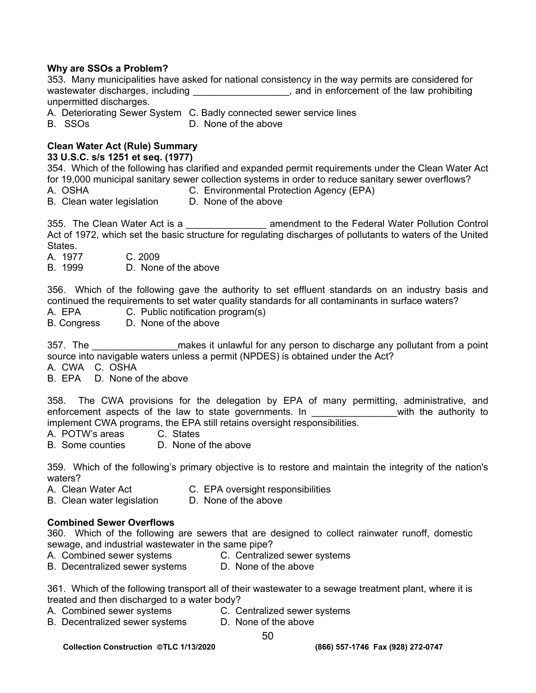# **Why are SSOs a Problem?**

|  | 353. Many municipalities have asked for national consistency in the way permits are considered for |  |  |                                           |
|--|----------------------------------------------------------------------------------------------------|--|--|-------------------------------------------|
|  | wastewater discharges, including                                                                   |  |  | and in enforcement of the law prohibiting |
|  | unpermitted discharges.                                                                            |  |  |                                           |

- A. Deteriorating Sewer System C. Badly connected sewer service lines
- B. SSOs D. None of the above

# **Clean Water Act (Rule) Summary**

## **33 U.S.C. s/s 1251 et seq. (1977)**

354. Which of the following has clarified and expanded permit requirements under the Clean Water Act for 19,000 municipal sanitary sewer collection systems in order to reduce sanitary sewer overflows?

- 
- A. OSHA C. Environmental Protection Agency (EPA)

B. Clean water legislation D. None of the above

355. The Clean Water Act is a \_\_\_\_\_\_\_\_\_\_\_\_\_\_\_ amendment to the Federal Water Pollution Control Act of 1972, which set the basic structure for regulating discharges of pollutants to waters of the United States.

- A. 1977 C. 2009
- B. 1999 D. None of the above

356. Which of the following gave the authority to set effluent standards on an industry basis and continued the requirements to set water quality standards for all contaminants in surface waters?

A. EPA C. Public notification program(s)

B. Congress D. None of the above

357. The **the sume of the set of the set of the set of the set of the set of the set of the set of the set of t** source into navigable waters unless a permit (NPDES) is obtained under the Act?

A. CWA C. OSHA

B. EPA D. None of the above

358. The CWA provisions for the delegation by EPA of many permitting, administrative, and enforcement aspects of the law to state governments. In The with the authority to implement CWA programs, the EPA still retains oversight responsibilities.<br>A. POTW's areas C. States

- A. POTW's areas
- B. Some counties D. None of the above

359. Which of the following's primary objective is to restore and maintain the integrity of the nation's waters?

- A. Clean Water Act **C. EPA oversight responsibilities**
- B. Clean water legislation D. None of the above

## **Combined Sewer Overflows**

360. Which of the following are sewers that are designed to collect rainwater runoff, domestic sewage, and industrial wastewater in the same pipe?

- A. Combined sewer systems **C.** Centralized sewer systems
- B. Decentralized sewer systems D. None of the above

361. Which of the following transport all of their wastewater to a sewage treatment plant, where it is treated and then discharged to a water body?

- A. Combined sewer systems **C.** Centralized sewer systems
	-
- B. Decentralized sewer systems D. None of the above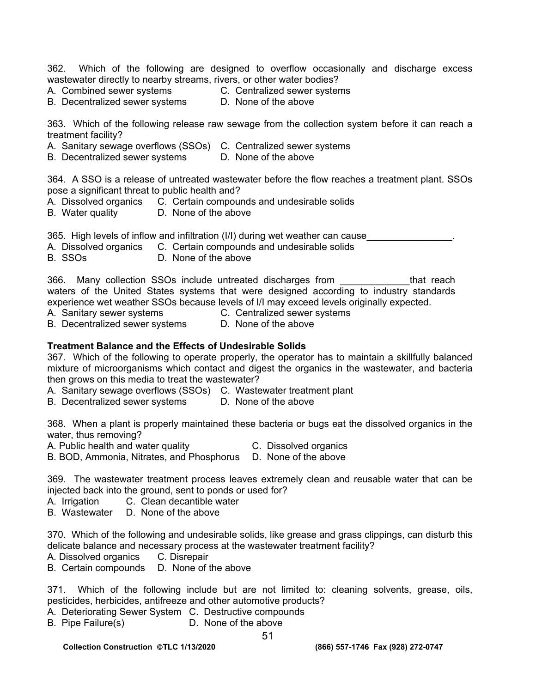362. Which of the following are designed to overflow occasionally and discharge excess wastewater directly to nearby streams, rivers, or other water bodies?

- A. Combined sewer systems **C. Centralized sewer systems**
- B. Decentralized sewer systems D. None of the above

363. Which of the following release raw sewage from the collection system before it can reach a treatment facility?

- A. Sanitary sewage overflows (SSOs) C. Centralized sewer systems
- B. Decentralized sewer systems D. None of the above

364. A SSO is a release of untreated wastewater before the flow reaches a treatment plant. SSOs pose a significant threat to public health and?

- A. Dissolved organics C. Certain compounds and undesirable solids
- B. Water quality D. None of the above

365. High levels of inflow and infiltration (I/I) during wet weather can cause

- A. Dissolved organics C. Certain compounds and undesirable solids
- B. SSOs D. None of the above

366. Many collection SSOs include untreated discharges from \_\_\_\_\_\_\_\_\_\_\_\_\_that reach waters of the United States systems that were designed according to industry standards experience wet weather SSOs because levels of I/I may exceed levels originally expected.

A. Sanitary sewer systems C. Centralized sewer systems

B. Decentralized sewer systems D. None of the above

## **Treatment Balance and the Effects of Undesirable Solids**

367. Which of the following to operate properly, the operator has to maintain a skillfully balanced mixture of microorganisms which contact and digest the organics in the wastewater, and bacteria then grows on this media to treat the wastewater?

- A. Sanitary sewage overflows (SSOs) C. Wastewater treatment plant
- B. Decentralized sewer systems D. None of the above

368. When a plant is properly maintained these bacteria or bugs eat the dissolved organics in the water, thus removing?

A. Public health and water quality **C.** Dissolved organics

B. BOD, Ammonia, Nitrates, and Phosphorus D. None of the above

369. The wastewater treatment process leaves extremely clean and reusable water that can be injected back into the ground, sent to ponds or used for?

A. Irrigation C. Clean decantible water

B. Wastewater D. None of the above

370. Which of the following and undesirable solids, like grease and grass clippings, can disturb this delicate balance and necessary process at the wastewater treatment facility?

- A. Dissolved organics C. Disrepair
- B. Certain compounds D. None of the above

371. Which of the following include but are not limited to: cleaning solvents, grease, oils, pesticides, herbicides, antifreeze and other automotive products?

A. Deteriorating Sewer System C. Destructive compounds

B. Pipe Failure(s) D. None of the above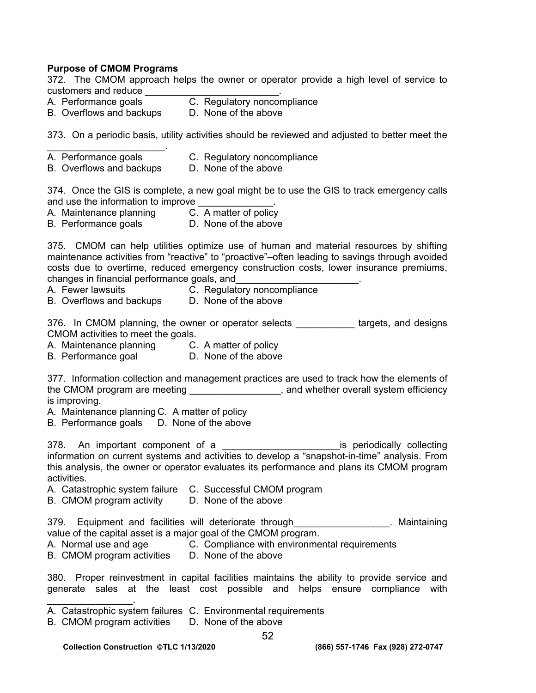## **Purpose of CMOM Programs**

372. The CMOM approach helps the owner or operator provide a high level of service to customers and reduce \_\_\_\_\_\_\_\_\_\_\_\_\_\_\_\_\_\_\_\_\_\_\_\_\_.

- A. Performance goals **C. Regulatory noncompliance**
- B. Overflows and backups D. None of the above

373. On a periodic basis, utility activities should be reviewed and adjusted to better meet the

- $\mathcal{L}_\text{max}$  and  $\mathcal{L}_\text{max}$  and  $\mathcal{L}_\text{max}$ A. Performance goals **C. Regulatory noncompliance**
- B. Overflows and backups D. None of the above

374. Once the GIS is complete, a new goal might be to use the GIS to track emergency calls and use the information to improve

- A. Maintenance planning C. A matter of policy
- B. Performance goals **D.** None of the above

375. CMOM can help utilities optimize use of human and material resources by shifting maintenance activities from "reactive" to "proactive"–often leading to savings through avoided costs due to overtime, reduced emergency construction costs, lower insurance premiums, changes in financial performance goals, and\_\_\_\_\_\_\_\_\_\_\_\_\_\_\_\_\_\_\_\_\_\_\_.

- A. Fewer lawsuits C. Regulatory noncompliance
	-
- B. Overflows and backups D. None of the above

376. In CMOM planning, the owner or operator selects \_\_\_\_\_\_\_\_\_\_\_ targets, and designs CMOM activities to meet the goals.

- A. Maintenance planning C. A matter of policy
- B. Performance goal **D.** None of the above

377. Information collection and management practices are used to track how the elements of the CMOM program are meeting **EXALL ARGO CONDUCTS**, and whether overall system efficiency is improving.

- A. Maintenance planning C. A matter of policy
- B. Performance goals D. None of the above

378. An important component of a \_\_\_\_\_\_\_\_\_\_\_\_\_\_\_\_\_\_\_\_\_\_\_\_\_\_\_is periodically collecting information on current systems and activities to develop a "snapshot-in-time" analysis. From this analysis, the owner or operator evaluates its performance and plans its CMOM program activities.

- A. Catastrophic system failure C. Successful CMOM program
- B. CMOM program activity D. None of the above
- 379. Equipment and facilities will deteriorate through The Controllection of the Maintaining value of the capital asset is a major goal of the CMOM program.
- A. Normal use and age **C. Compliance with environmental requirements**
- B. CMOM program activities D. None of the above

380. Proper reinvestment in capital facilities maintains the ability to provide service and generate sales at the least cost possible and helps ensure compliance with

- A. Catastrophic system failures C. Environmental requirements
- B. CMOM program activities D. None of the above

 $\mathcal{L}_\text{max}$  . The set of the set of the set of the set of the set of the set of the set of the set of the set of the set of the set of the set of the set of the set of the set of the set of the set of the set of the set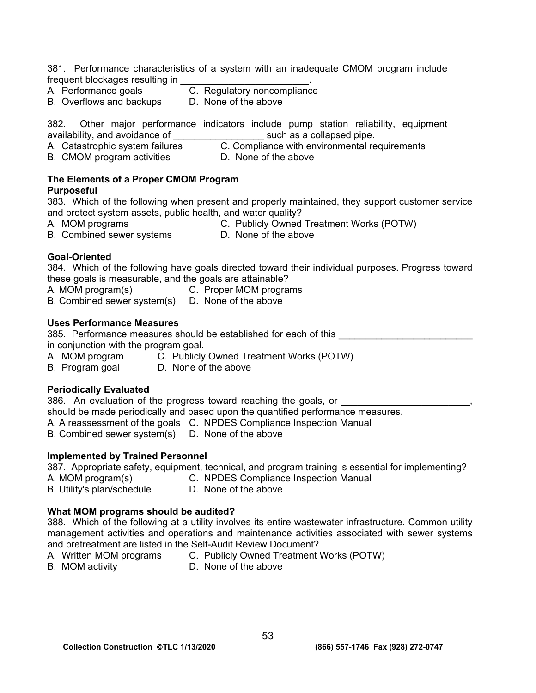381. Performance characteristics of a system with an inadequate CMOM program include frequent blockages resulting in

- A. Performance goals **C. Regulatory noncompliance**
- B. Overflows and backups D. None of the above

382. Other major performance indicators include pump station reliability, equipment availability, and avoidance of **with all accommodance** such as a collapsed pipe.

A. Catastrophic system failures **C. Compliance with environmental requirements** 

B. CMOM program activities D. None of the above

# **The Elements of a Proper CMOM Program**

# **Purposeful**

383. Which of the following when present and properly maintained, they support customer service and protect system assets, public health, and water quality?

A. MOM programs C. Publicly Owned Treatment Works (POTW)

B. Combined sewer systems D. None of the above

# **Goal-Oriented**

384. Which of the following have goals directed toward their individual purposes. Progress toward these goals is measurable, and the goals are attainable?

- A. MOM program(s) C. Proper MOM programs
- B. Combined sewer system(s) D. None of the above

# **Uses Performance Measures**

385. Performance measures should be established for each of this

in conjunction with the program goal.

- A. MOM program C. Publicly Owned Treatment Works (POTW)
- B. Program goal D. None of the above

# **Periodically Evaluated**

386. An evaluation of the progress toward reaching the goals, or should be made periodically and based upon the quantified performance measures. A. A reassessment of the goals C. NPDES Compliance Inspection Manual

B. Combined sewer system(s) D. None of the above

# **Implemented by Trained Personnel**

387. Appropriate safety, equipment, technical, and program training is essential for implementing?

- 
- A. MOM program(s) C. NPDES Compliance Inspection Manual
- B. Utility's plan/schedule D. None of the above

# **What MOM programs should be audited?**

388. Which of the following at a utility involves its entire wastewater infrastructure. Common utility management activities and operations and maintenance activities associated with sewer systems and pretreatment are listed in the Self-Audit Review Document?

- A. Written MOM programs C. Publicly Owned Treatment Works (POTW)
- B. MOM activity **D. None of the above**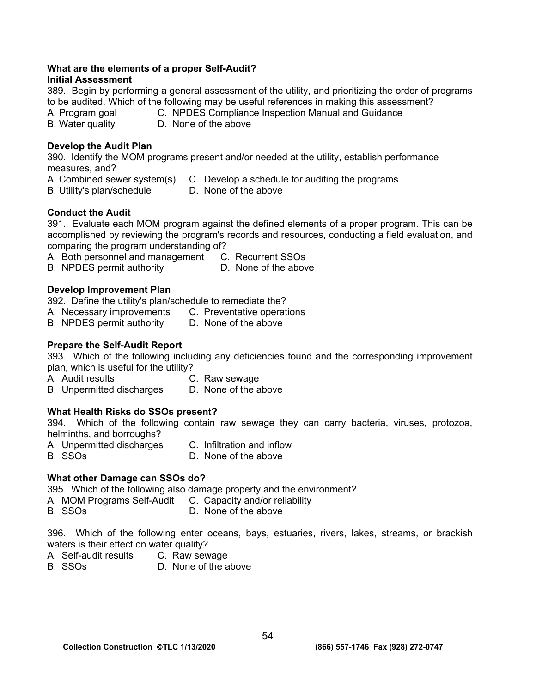## **What are the elements of a proper Self-Audit?**

# **Initial Assessment**

389. Begin by performing a general assessment of the utility, and prioritizing the order of programs to be audited. Which of the following may be useful references in making this assessment?

A. Program goal C. NPDES Compliance Inspection Manual and Guidance

B. Water quality D. None of the above

# **Develop the Audit Plan**

390. Identify the MOM programs present and/or needed at the utility, establish performance measures, and?

- A. Combined sewer system(s) C. Develop a schedule for auditing the programs
- B. Utility's plan/schedule D. None of the above

# **Conduct the Audit**

391. Evaluate each MOM program against the defined elements of a proper program. This can be accomplished by reviewing the program's records and resources, conducting a field evaluation, and comparing the program understanding of?

A. Both personnel and management C. Recurrent SSOs

B. NPDES permit authority **D.** None of the above

# **Develop Improvement Plan**

392. Define the utility's plan/schedule to remediate the?

- A. Necessary improvements C. Preventative operations
- B. NPDES permit authority D. None of the above

# **Prepare the Self-Audit Report**

393. Which of the following including any deficiencies found and the corresponding improvement plan, which is useful for the utility?

- A. Audit results C. Raw sewage
- B. Unpermitted discharges D. None of the above

# **What Health Risks do SSOs present?**

394. Which of the following contain raw sewage they can carry bacteria, viruses, protozoa, helminths, and borroughs?

- A. Unpermitted discharges C. Infiltration and inflow
	-
- B. SSOs D. None of the above

# **What other Damage can SSOs do?**

395. Which of the following also damage property and the environment?

- A. MOM Programs Self-Audit C. Capacity and/or reliability
- B. SSOs D. None of the above

396. Which of the following enter oceans, bays, estuaries, rivers, lakes, streams, or brackish waters is their effect on water quality?

- A. Self-audit results C. Raw sewage
- B. SSOs D. None of the above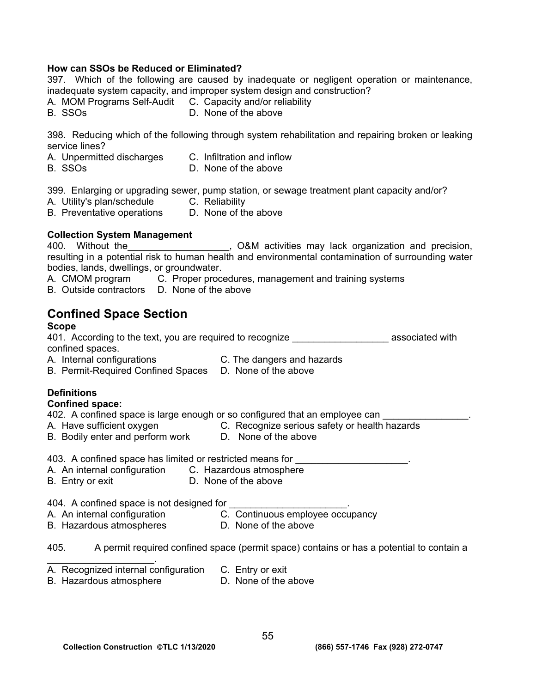## **How can SSOs be Reduced or Eliminated?**

397. Which of the following are caused by inadequate or negligent operation or maintenance, inadequate system capacity, and improper system design and construction?

- A. MOM Programs Self-Audit C. Capacity and/or reliability
- 
- B. SSOs D. None of the above

398. Reducing which of the following through system rehabilitation and repairing broken or leaking service lines?

- A. Unpermitted discharges C. Infiltration and inflow
	-
- 
- B. SSOs D. None of the above

399. Enlarging or upgrading sewer, pump station, or sewage treatment plant capacity and/or?

- A. Utility's plan/schedule C. Reliability
- B. Preventative operations D. None of the above

#### **Collection System Management**

400. Without the\_\_\_\_\_\_\_\_\_\_\_\_\_\_\_\_\_\_\_, O&M activities may lack organization and precision, resulting in a potential risk to human health and environmental contamination of surrounding water bodies, lands, dwellings, or groundwater.

- A. CMOM program C. Proper procedures, management and training systems
- B. Outside contractors D. None of the above

# **Confined Space Section**

### **Scope**

401. According to the text, you are required to recognize **Example 2014** associated with confined spaces.

- A. Internal configurations C. The dangers and hazards
	-
- B. Permit-Required Confined Spaces D. None of the above

# **Definitions**

#### **Confined space:**

402. A confined space is large enough or so configured that an employee can

- A. Have sufficient oxygen **C. Recognize serious safety or health hazards**
- 
- B. Bodily enter and perform work D. None of the above
- 403. A confined space has limited or restricted means for \_\_\_\_\_\_\_\_\_\_\_\_\_\_\_\_\_\_\_\_\_.
- A. An internal configuration C.Hazardous atmosphere
- B. Entry or exit D. None of the above

404. A confined space is not designed for \_\_\_\_\_\_\_\_\_\_\_\_\_\_\_\_\_\_\_\_\_\_.

- A. An internal configuration **C. Continuous employee occupancy**
- 
- B. Hazardous atmospheres D. None of the above
	-

405. A permit required confined space (permit space) contains or has a potential to contain a

- A. Recognized internal configuration C. Entry or exit
- B. Hazardous atmosphere **D.** None of the above

 $\mathcal{L}_\text{max}$  and  $\mathcal{L}_\text{max}$  and  $\mathcal{L}_\text{max}$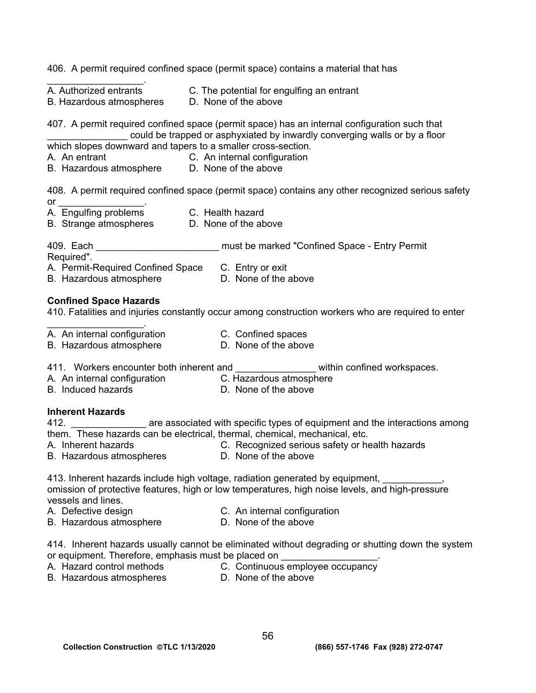|                                                                                                                                             | 406. A permit required confined space (permit space) contains a material that has                                                                                                                                                                          |
|---------------------------------------------------------------------------------------------------------------------------------------------|------------------------------------------------------------------------------------------------------------------------------------------------------------------------------------------------------------------------------------------------------------|
| B. Hazardous atmospheres D. None of the above                                                                                               | A. Authorized entrants C. The potential for engulfing an entrant                                                                                                                                                                                           |
| which slopes downward and tapers to a smaller cross-section.<br>A. An entrant<br>B. Hazardous atmosphere D. None of the above               | 407. A permit required confined space (permit space) has an internal configuration such that<br>could be trapped or asphyxiated by inwardly converging walls or by a floor<br>C. An internal configuration                                                 |
|                                                                                                                                             | 408. A permit required confined space (permit space) contains any other recognized serious safety                                                                                                                                                          |
| or ____________________________<br>B. Strange atmospheres D. None of the above                                                              |                                                                                                                                                                                                                                                            |
|                                                                                                                                             | 409. Each <b>Each Example 2018</b> 2019 11:30 must be marked "Confined Space - Entry Permit                                                                                                                                                                |
| Required".<br>A. Permit-Required Confined Space C. Entry or exit<br>B. Hazardous atmosphere                                                 | D. None of the above                                                                                                                                                                                                                                       |
| <b>Confined Space Hazards</b>                                                                                                               | 410. Fatalities and injuries constantly occur among construction workers who are required to enter                                                                                                                                                         |
| A. An internal configuration<br>B. Hazardous atmosphere                                                                                     | C. Confined spaces<br>D. None of the above                                                                                                                                                                                                                 |
| 411. Workers encounter both inherent and<br>A. An internal configuration C. Hazardous atmosphere<br>B. Induced hazards B. None of the above | within confined workspaces.                                                                                                                                                                                                                                |
| <b>Inherent Hazards</b>                                                                                                                     |                                                                                                                                                                                                                                                            |
| A. Inherent hazards<br>B. Hazardous atmospheres                                                                                             | 412. __________________ are associated with specific types of equipment and the interactions among<br>them. These hazards can be electrical, thermal, chemical, mechanical, etc.<br>C. Recognized serious safety or health hazards<br>D. None of the above |
| vessels and lines.                                                                                                                          | 413. Inherent hazards include high voltage, radiation generated by equipment, we make your control.<br>omission of protective features, high or low temperatures, high noise levels, and high-pressure                                                     |
| A. Defective design                                                                                                                         | C. An internal configuration<br>D. None of the above                                                                                                                                                                                                       |
| B. Hazardous atmosphere                                                                                                                     |                                                                                                                                                                                                                                                            |
| or equipment. Therefore, emphasis must be placed on                                                                                         | 414. Inherent hazards usually cannot be eliminated without degrading or shutting down the system                                                                                                                                                           |
| A. Hazard control methods                                                                                                                   | C. Continuous employee occupancy                                                                                                                                                                                                                           |

- B. Hazardous atmospheres **D. None of the above**
-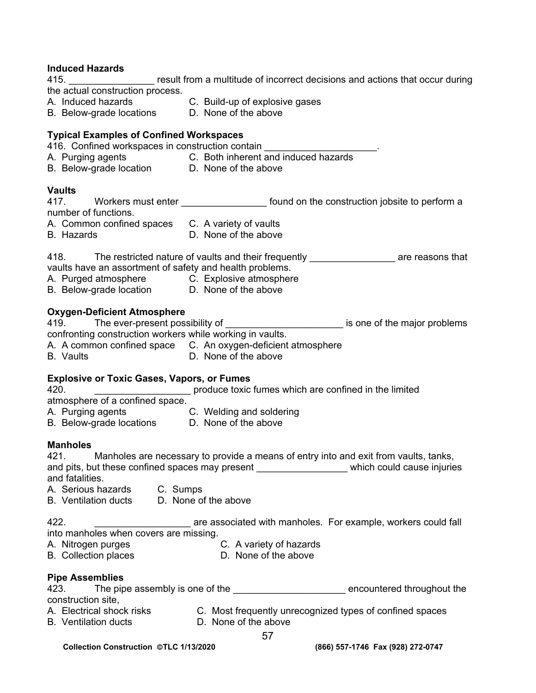## **Induced Hazards**

415. \_\_\_\_\_\_\_\_\_\_\_\_\_\_\_\_ result from a multitude of incorrect decisions and actions that occur during the actual construction process.

- A. Induced hazards C. Build-up of explosive gases
- B. Below-grade locations D. None of the above
- 

# **Typical Examples of Confined Workspaces**

416. Confined workspaces in construction contain

- A. Purging agents C. Both inherent and induced hazards
- B. Below-grade location **D. None of the above**

### **Vaults**

417. Workers must enter enter the stound on the construction jobsite to perform a number of functions.

A. Common confined spaces C. A variety of vaults

B. Hazards D. None of the above

418. The restricted nature of vaults and their frequently \_\_\_\_\_\_\_\_\_\_\_\_\_\_\_\_\_\_\_\_\_ are reasons that vaults have an assortment of safety and health problems.

- A. Purged atmosphere **C. Explosive atmosphere**
- B. Below-grade location **D. None of the above**

### **Oxygen-Deficient Atmosphere**

419. The ever-present possibility of \_\_\_\_\_\_\_\_\_\_\_\_\_\_\_\_\_\_\_\_\_\_\_\_\_\_\_\_ is one of the major problems confronting construction workers while working in vaults.

- A. A common confined space C. An oxygen-deficient atmosphere
- B. Vaults **D. None of the above**

## **Explosive or Toxic Gases, Vapors, or Fumes**

420. **\_\_\_\_\_\_\_\_\_\_\_\_\_\_\_\_\_\_\_** produce toxic fumes which are confined in the limited

- atmosphere of a confined space.
- A. Purging agents C. Welding and soldering
- B. Below-grade locations D. None of the above

## **Manholes**

421. Manholes are necessary to provide a means of entry into and exit from vaults, tanks, and pits, but these confined spaces may present \_\_\_\_\_\_\_\_\_\_\_\_\_\_\_\_\_\_\_\_\_ which could cause injuries and fatalities.

- A.Serious hazards C. Sumps
- B. Ventilation ducts D. None of the above

422. \_\_\_\_\_\_\_\_\_\_\_\_\_\_\_\_\_\_ are associated with manholes. For example, workers could fall into manholes when covers are missing.

A. Nitrogen purges C. A variety of hazards<br>B. Collection places C. None of the above

B. Collection places

## **Pipe Assemblies**

| 423.               | The pipe assembly is one of the | encountered throughout the |  |
|--------------------|---------------------------------|----------------------------|--|
| construction site, |                                 |                            |  |

- A. Electrical shock risks **C.** Most frequently unrecognized types of confined spaces
- B. Ventilation ducts D. None of the above
	-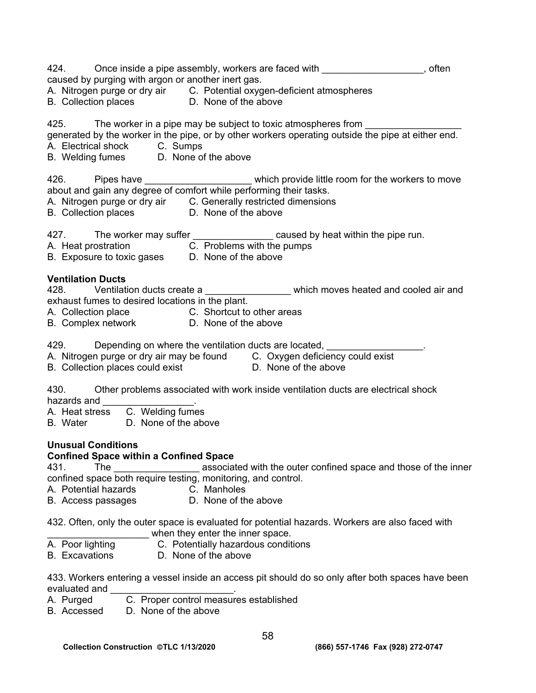| 424. Once inside a pipe assembly, workers are faced with _________________, often<br>caused by purging with argon or another inert gas.<br>A. Nitrogen purge or dry air C. Potential oxygen-deficient atmospheres<br>B. Collection places D. None of the above                                                     |  |
|--------------------------------------------------------------------------------------------------------------------------------------------------------------------------------------------------------------------------------------------------------------------------------------------------------------------|--|
| 425. The worker in a pipe may be subject to toxic atmospheres from _____________<br>generated by the worker in the pipe, or by other workers operating outside the pipe at either end.<br>A. Electrical shock C. Sumps<br>B. Welding fumes D. None of the above                                                    |  |
| 426. Pipes have _______________________which provide little room for the workers to move about and gain any degree of comfort while performing their tasks.<br>A. Nitrogen purge or dry air C. Generally restricted dimensions<br>B. Collection places D. None of the above                                        |  |
| 427. The worker may suffer $\frac{1}{2}$ caused by heat within the pipe run.<br>A. Heat prostration <b>C.</b> Problems with the pumps<br>B. Exposure to toxic gases D. None of the above                                                                                                                           |  |
| <b>Ventilation Ducts</b><br>428. Ventilation ducts create a _________________ which moves heated and cooled air and<br>exhaust fumes to desired locations in the plant.<br>A. Collection place C. Shortcut to other areas<br>B. Complex network D. None of the above                                               |  |
| 429. Depending on where the ventilation ducts are located, production Depending on where the ventilation ducts are located,<br>A. Nitrogen purge or dry air may be found C. Oxygen deficiency could exist<br>B. Collection places could exist <b>D. None of the above</b>                                          |  |
| 430. Other problems associated with work inside ventilation ducts are electrical shock<br>hazards and __________________<br>A. Heat stress C. Welding fumes<br>B. Water D. None of the above                                                                                                                       |  |
| <b>Unusual Conditions</b><br><b>Confined Space within a Confined Space</b><br>associated with the outer confined space and those of the inner<br>431.<br>The<br>confined space both require testing, monitoring, and control.<br>A. Potential hazards<br>C. Manholes<br>D. None of the above<br>B. Access passages |  |
| 432. Often, only the outer space is evaluated for potential hazards. Workers are also faced with<br>when they enter the inner space.<br>C. Potentially hazardous conditions<br>A. Poor lighting<br><b>B.</b> Excavations<br>D. None of the above                                                                   |  |
| 433. Workers entering a vessel inside an access pit should do so only after both spaces have been<br>evaluated and<br>C. Proper control measures established<br>A. Purged<br>D. None of the above<br>B. Accessed                                                                                                   |  |
| 58                                                                                                                                                                                                                                                                                                                 |  |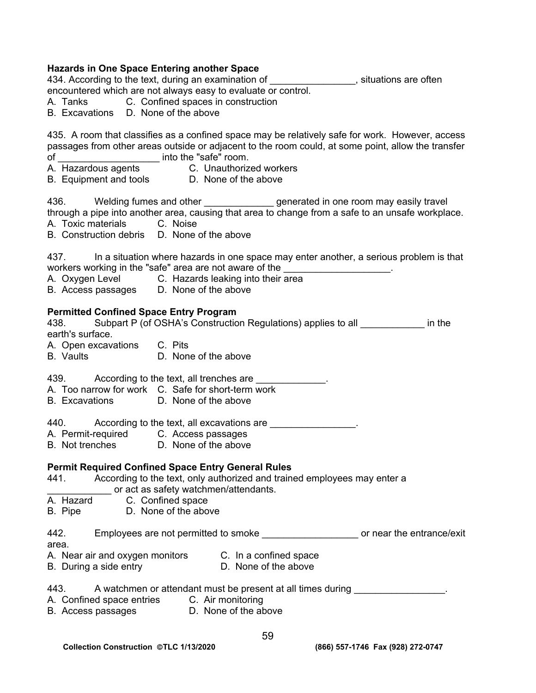# **Hazards in One Space Entering another Space**

434. According to the text, during an examination of \_\_\_\_\_\_\_\_\_\_\_\_\_\_\_\_, situations are often encountered which are not always easy to evaluate or control.

- A. Tanks C. Confined spaces in construction
- B. Excavations D. None of the above

435. A room that classifies as a confined space may be relatively safe for work. However, access passages from other areas outside or adjacent to the room could, at some point, allow the transfer of \_\_\_\_\_\_\_\_\_\_\_\_\_\_\_\_\_\_\_ into the "safe" room.

- A. Hazardous agents C. Unauthorized workers
- B. Equipment and tools **D. None of the above**

436. Welding fumes and other entity generated in one room may easily travel

through a pipe into another area, causing that area to change from a safe to an unsafe workplace.

A. Toxic materials C. Noise

B. Construction debris D. None of the above

437. In a situation where hazards in one space may enter another, a serious problem is that workers working in the "safe" area are not aware of the **ware as a constant of the**  $\cdot$ 

- A. Oxygen Level **C. Hazards leaking into their area**
- B. Access passages D. None of the above

## **Permitted Confined Space Entry Program**

438. Subpart P (of OSHA's Construction Regulations) applies to all \_\_\_\_\_\_\_\_\_\_\_\_ in the earth's surface. A. Open excavations C. Pits B. Vaults D. None of the above 439. According to the text, all trenches are <u>equal over the set of the set of the set of the set of the set of the set of the set of the set of the set of the set of the set of the set of the set of the set of the set of </u> A. Too narrow for work C. Safe for short-term work B. Excavations D. None of the above 440. According to the text, all excavations are **According to the text**, all excavations are A. Permit-required C. Access passages B. Not trenches D. None of the above

# **Permit Required Confined Space Entry General Rules**

- 441. According to the text, only authorized and trained employees may enter a or act as safety watchmen/attendants. A. Hazard C. Confined space B. Pipe D. None of the above 442. Employees are not permitted to smoke \_\_\_\_\_\_\_\_\_\_\_\_\_\_\_\_\_\_\_\_\_ or near the entrance/exit area. A. Near air and oxygen monitors C. In a confined space B. During a side entry **D.** None of the above 443. A watchmen or attendant must be present at all times during  $\blacksquare$ A. Confined space entries C. Air monitoring
- B. Access passages D. None of the above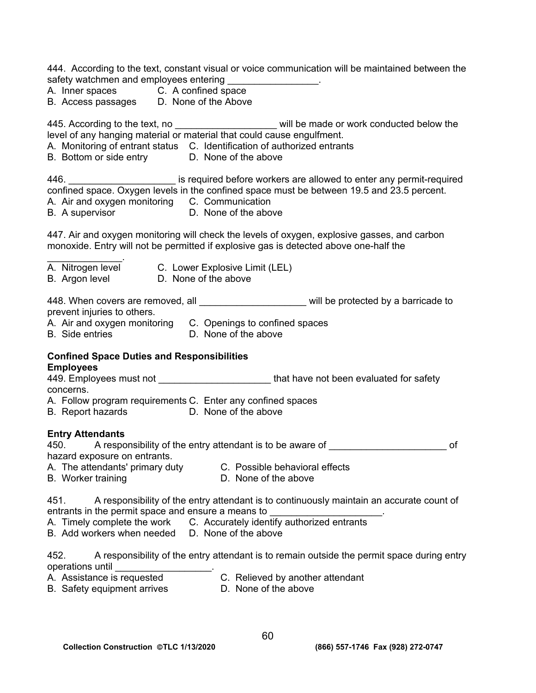444. According to the text, constant visual or voice communication will be maintained between the safety watchmen and employees entering

- A. Inner spaces C. A confined space
- B. Access passages D. None of the Above

445. According to the text, no \_\_\_\_\_\_\_\_\_\_\_\_\_\_\_\_\_\_\_\_\_\_\_ will be made or work conducted below the level of any hanging material or material that could cause engulfment.

- A. Monitoring of entrant status C. Identification of authorized entrants
- B. Bottom or side entry D. None of the above

446. \_\_\_\_\_\_\_\_\_\_\_\_\_\_\_\_\_\_\_\_ is required before workers are allowed to enter any permit-required confined space. Oxygen levels in the confined space must be between 19.5 and 23.5 percent.

- A. Air and oxygen monitoring C. Communication
- B. A supervisor **D.** None of the above

447. Air and oxygen monitoring will check the levels of oxygen, explosive gasses, and carbon monoxide. Entry will not be permitted if explosive gas is detected above one-half the

- $\mathcal{L}_\text{max}$  and  $\mathcal{L}_\text{max}$ A. Nitrogen level C. Lower Explosive Limit (LEL)
- B. Argon level D. None of the above

448. When covers are removed, all **the set of the set of the set of the set of the set of the set of the set of the set of the set of the set of the set of the set of the set of the set of the set of the set of the set of** prevent injuries to others.

- A. Air and oxygen monitoring C. Openings to confined spaces
- B. Side entries D. None of the above

#### **Confined Space Duties and Responsibilities Employees**

449. Employees must not \_\_\_\_\_\_\_\_\_\_\_\_\_\_\_\_\_\_\_\_\_\_\_\_\_\_\_that have not been evaluated for safety concerns.

- A. Follow program requirements C. Enter any confined spaces
- B. Report hazards **D. None of the above**

## **Entry Attendants**

| 450 | A responsibility of the entry attendant is to be aware of |  |  |  |  |  |
|-----|-----------------------------------------------------------|--|--|--|--|--|
|     | hazard exposure on entrants.                              |  |  |  |  |  |
| . . |                                                           |  |  |  |  |  |

- A. The attendants' primary duty C. Possible behavioral effects
- B. Worker training **D.** None of the above

451. A responsibility of the entry attendant is to continuously maintain an accurate count of entrants in the permit space and ensure a means to \_\_\_\_\_\_\_\_\_\_\_\_\_\_\_\_\_\_\_\_\_.

- A. Timely complete the work C. Accurately identify authorized entrants
- B. Add workers when needed D. None of the above

| 452              |  |  | A responsibility of the entry attendant is to remain outside the permit space during entry |  |
|------------------|--|--|--------------------------------------------------------------------------------------------|--|
| operations until |  |  |                                                                                            |  |

- A. Assistance is requested **C. Relieved by another attendant**
- B. Safety equipment arrives D. None of the above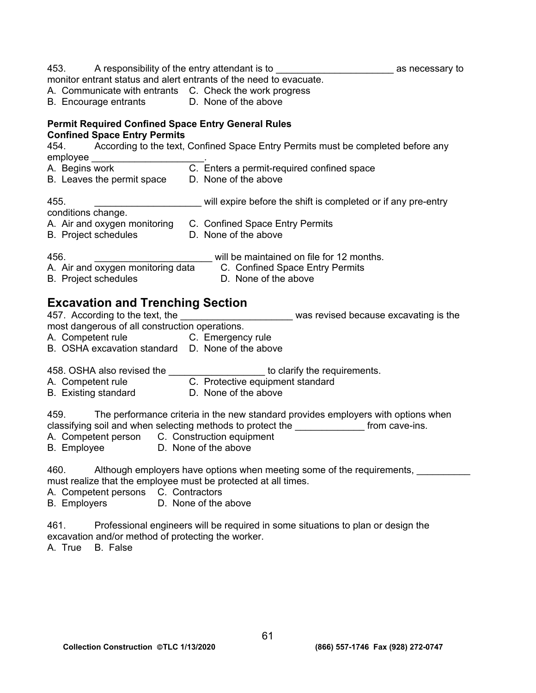|                     |                                                                                                  | 453. A responsibility of the entry attendant is to ______________________________ as necessary to |                                       |
|---------------------|--------------------------------------------------------------------------------------------------|---------------------------------------------------------------------------------------------------|---------------------------------------|
|                     |                                                                                                  | monitor entrant status and alert entrants of the need to evacuate.                                |                                       |
|                     |                                                                                                  | A. Communicate with entrants C. Check the work progress                                           |                                       |
|                     | B. Encourage entrants D. None of the above                                                       |                                                                                                   |                                       |
|                     | <b>Permit Required Confined Space Entry General Rules</b><br><b>Confined Space Entry Permits</b> |                                                                                                   |                                       |
| 454.                |                                                                                                  | According to the text, Confined Space Entry Permits must be completed before any                  |                                       |
| employee            |                                                                                                  |                                                                                                   |                                       |
| A. Begins work      |                                                                                                  | C. Enters a permit-required confined space                                                        |                                       |
|                     | B. Leaves the permit space                                                                       | D. None of the above                                                                              |                                       |
| 455.                |                                                                                                  | will expire before the shift is completed or if any pre-entry                                     |                                       |
| conditions change.  |                                                                                                  |                                                                                                   |                                       |
|                     |                                                                                                  | A. Air and oxygen monitoring C. Confined Space Entry Permits                                      |                                       |
|                     | <b>B.</b> Project schedules                                                                      | D. None of the above                                                                              |                                       |
| 456.                |                                                                                                  | will be maintained on file for 12 months.                                                         |                                       |
|                     |                                                                                                  | A. Air and oxygen monitoring data C. Confined Space Entry Permits                                 |                                       |
|                     | <b>B.</b> Project schedules                                                                      | D. None of the above                                                                              |                                       |
|                     |                                                                                                  |                                                                                                   |                                       |
|                     | <b>Excavation and Trenching Section</b>                                                          |                                                                                                   |                                       |
|                     | 457. According to the text, the                                                                  |                                                                                                   | was revised because excavating is the |
|                     | most dangerous of all construction operations.                                                   |                                                                                                   |                                       |
|                     | A. Competent rule C. Emergency rule                                                              |                                                                                                   |                                       |
|                     | B. OSHA excavation standard D. None of the above                                                 |                                                                                                   |                                       |
|                     |                                                                                                  | 458. OSHA also revised the _____________________ to clarify the requirements.                     |                                       |
|                     |                                                                                                  | A. Competent rule C. Protective equipment standard                                                |                                       |
|                     | <b>B.</b> Existing standard                                                                      | D. None of the above                                                                              |                                       |
|                     |                                                                                                  |                                                                                                   |                                       |
|                     |                                                                                                  | 459. The performance criteria in the new standard provides employers with options when            |                                       |
|                     |                                                                                                  | classifying soil and when selecting methods to protect the                                        | from cave-ins.                        |
|                     | A. Competent person C. Construction equipment                                                    |                                                                                                   |                                       |
|                     | B. Employee D. None of the above                                                                 |                                                                                                   |                                       |
| 460.                |                                                                                                  | Although employers have options when meeting some of the requirements,                            |                                       |
|                     |                                                                                                  | must realize that the employee must be protected at all times.                                    |                                       |
|                     | A. Competent persons C. Contractors                                                              |                                                                                                   |                                       |
| <b>B.</b> Employers |                                                                                                  | D. None of the above                                                                              |                                       |
|                     |                                                                                                  |                                                                                                   |                                       |
| 461.                |                                                                                                  | Professional engineers will be required in some situations to plan or design the                  |                                       |
|                     | excavation and/or method of protecting the worker.                                               |                                                                                                   |                                       |
| A. True             | B. False                                                                                         |                                                                                                   |                                       |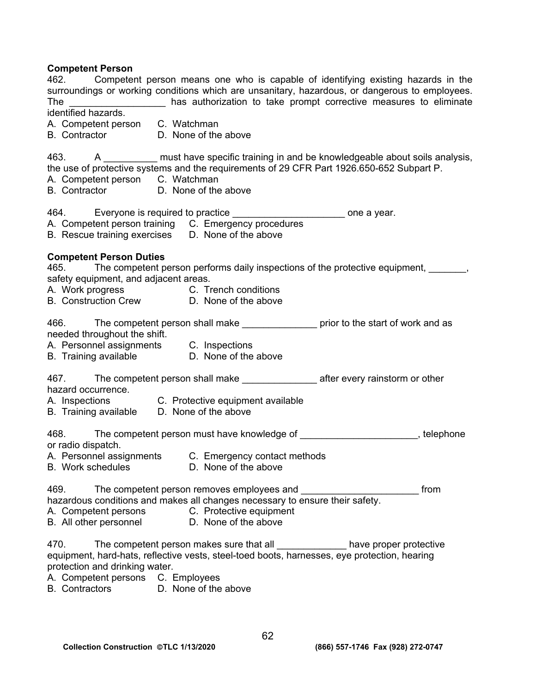# **Competent Person**

| 462. Competent person means one who is capable of identifying existing hazards in the<br>surroundings or working conditions which are unsanitary, hazardous, or dangerous to employees.<br>has authorization to take prompt corrective measures to eliminate<br>The<br>identified hazards.<br>A. Competent person C. Watchman<br>B. Contractor D. None of the above |      |
|---------------------------------------------------------------------------------------------------------------------------------------------------------------------------------------------------------------------------------------------------------------------------------------------------------------------------------------------------------------------|------|
| 463. A ___________ must have specific training in and be knowledgeable about soils analysis,<br>the use of protective systems and the requirements of 29 CFR Part 1926.650-652 Subpart P.<br>A. Competent person C. Watchman<br><b>B.</b> Contractor<br>D. None of the above                                                                                        |      |
| 464. Everyone is required to practice ___________________________ one a year.<br>A. Competent person training C. Emergency procedures<br>B. Rescue training exercises D. None of the above                                                                                                                                                                          |      |
| <b>Competent Person Duties</b><br>465. The competent person performs daily inspections of the protective equipment, 1997,<br>safety equipment, and adjacent areas.<br>A. Work progress C. Trench conditions<br>B. Construction Crew D. None of the above                                                                                                            |      |
| 466. The competent person shall make _______________ prior to the start of work and as<br>needed throughout the shift.<br>A. Personnel assignments C. Inspections<br>B. Training available <b>D. None of the above</b>                                                                                                                                              |      |
| 467. The competent person shall make ____________________ after every rainstorm or other<br>hazard occurrence.<br>A. Inspections C. Protective equipment available<br>B. Training available D. None of the above                                                                                                                                                    |      |
| 468. The competent person must have knowledge of ______________________, telephone<br>or radio dispatch.<br>A. Personnel assignments C. Emergency contact methods<br>B. Work schedules D. None of the above                                                                                                                                                         |      |
| 469.<br>The competent person removes employees and<br>hazardous conditions and makes all changes necessary to ensure their safety.<br>A. Competent persons C. Protective equipment<br>B. All other personnel<br>D. None of the above                                                                                                                                | from |
| 470.<br>The competent person makes sure that all _______________have proper protective<br>equipment, hard-hats, reflective vests, steel-toed boots, harnesses, eye protection, hearing<br>protection and drinking water.<br>A. Competent persons C. Employees<br>D. None of the above<br><b>B.</b> Contractors                                                      |      |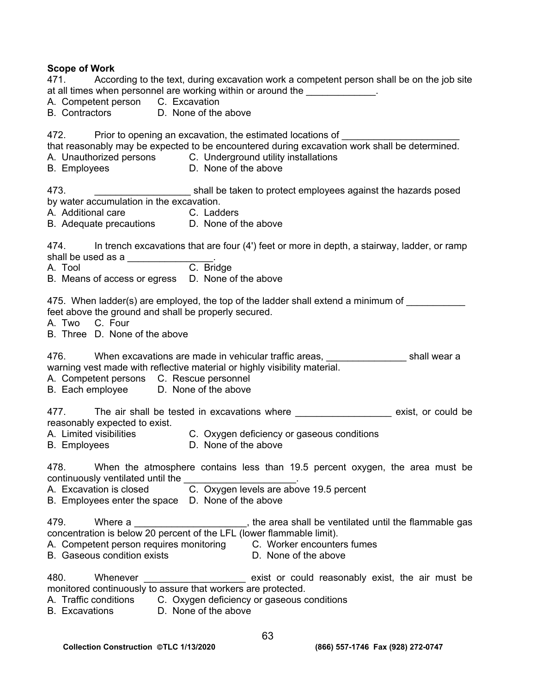# **Scope of Work**

| <b>JUUNG UI WUIN</b><br>471. According to the text, during excavation work a competent person shall be on the job site<br>at all times when personnel are working within or around the _____________.<br>A. Competent person C. Excavation<br>B. Contractors D. None of the above    |
|--------------------------------------------------------------------------------------------------------------------------------------------------------------------------------------------------------------------------------------------------------------------------------------|
| 472. Prior to opening an excavation, the estimated locations of<br>that reasonably may be expected to be encountered during excavation work shall be determined.<br>A. Unauthorized persons C. Underground utility installations<br>D. None of the above<br><b>B.</b> Employees      |
| shall be taken to protect employees against the hazards posed<br>473.<br>by water accumulation in the excavation.<br>A. Additional care <b>C. Ladders</b><br>B. Adequate precautions D. None of the above                                                                            |
| 474. In trench excavations that are four (4') feet or more in depth, a stairway, ladder, or ramp<br>$474.$ shall be used as a $\overline{C}$ . Bridge<br>B. Means of access or egress D. None of the above                                                                           |
| 475. When ladder(s) are employed, the top of the ladder shall extend a minimum of _________<br>feet above the ground and shall be properly secured.<br>A. Two C. Four<br>B. Three D. None of the above                                                                               |
| 476. When excavations are made in vehicular traffic areas, 1988 Morrow Shall wear a<br>warning vest made with reflective material or highly visibility material.<br>A. Competent persons C. Rescue personnel<br>B. Each employee D. None of the above                                |
| 477. The air shall be tested in excavations where ___________________ exist, or could be<br>reasonably expected to exist.<br>A. Limited visibilities C. Oxygen deficiency or gaseous conditions<br>D. None of the above<br><b>B.</b> Employees                                       |
| When the atmosphere contains less than 19.5 percent oxygen, the area must be<br>478.<br>continuously ventilated until the<br>C. Oxygen levels are above 19.5 percent<br>A. Excavation is closed<br>B. Employees enter the space D. None of the above                                 |
| the area shall be ventilated until the flammable gas<br>479.<br>Where a<br>concentration is below 20 percent of the LFL (lower flammable limit).<br>A. Competent person requires monitoring C. Worker encounters fumes<br><b>B.</b> Gaseous condition exists<br>D. None of the above |
| 480.<br>Whenever<br>exist or could reasonably exist, the air must be<br>monitored continuously to assure that workers are protected.<br>A. Traffic conditions C. Oxygen deficiency or gaseous conditions<br>D. None of the above<br><b>B.</b> Excavations                            |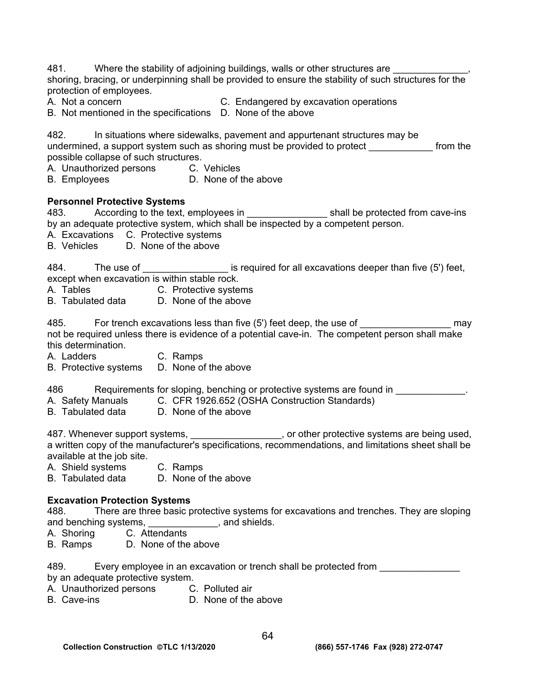481. Where the stability of adjoining buildings, walls or other structures are shoring, bracing, or underpinning shall be provided to ensure the stability of such structures for the protection of employees.

A. Not a concern C. Endangered by excavation operations

B. Not mentioned in the specifications D. None of the above

482. In situations where sidewalks, pavement and appurtenant structures may be undermined, a support system such as shoring must be provided to protect entity from the possible collapse of such structures.

- A. Unauthorized persons C. Vehicles
- B. Employees D. None of the above

# **Personnel Protective Systems**

483. According to the text, employees in \_\_\_\_\_\_\_\_\_\_\_\_\_\_\_ shall be protected from cave-ins by an adequate protective system, which shall be inspected by a competent person.

- A. Excavations C. Protective systems<br>B. Vehicles D. None of the above
- D. None of the above

484. The use of \_\_\_\_\_\_\_\_\_\_\_\_\_\_\_\_\_\_\_\_ is required for all excavations deeper than five (5') feet, except when excavation is within stable rock.

- A. Tables C. Protective systems
- B. Tabulated data D. None of the above

485. For trench excavations less than five (5') feet deep, the use of \_\_\_\_\_\_\_\_\_\_\_\_\_\_\_\_\_ may not be required unless there is evidence of a potential cave-in. The competent person shall make this determination.

- A. Ladders C. Ramps
- B. Protective systems D. None of the above

486 Requirements for sloping, benching or protective systems are found in \_\_\_\_\_\_\_\_\_\_\_\_.

- A. Safety Manuals C. CFR 1926.652 (OSHA Construction Standards)
- B. Tabulated data D. None of the above

487. Whenever support systems, <u>entitled and contract and or</u> or other protective systems are being used, a written copy of the manufacturer's specifications, recommendations, and limitations sheet shall be available at the job site.

- A. Shield systems C. Ramps
- B. Tabulated data D. None of the above

## **Excavation Protection Systems**

488. There are three basic protective systems for excavations and trenches. They are sloping and benching systems, \_\_\_\_\_\_\_\_\_\_\_\_\_, and shields.

- A. Shoring C. Attendants
- B. Ramps D. None of the above

489. Every employee in an excavation or trench shall be protected from **Exercise 20** 

- by an adequate protective system.
- A. Unauthorized persons C. Polluted air
- B. Cave-ins **D. None of the above**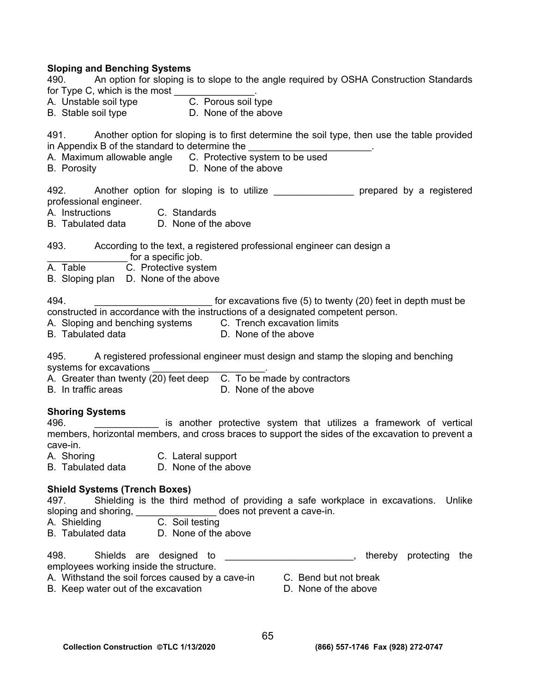# **Sloping and Benching Systems**

| 490. An option for sloping is to slope to the angle required by OSHA Construction Standards<br>B. Stable soil type D. None of the above                                                                                                                                                             |
|-----------------------------------------------------------------------------------------------------------------------------------------------------------------------------------------------------------------------------------------------------------------------------------------------------|
| 491. Another option for sloping is to first determine the soil type, then use the table provided<br>in Appendix B of the standard to determine the _________________________.<br>A. Maximum allowable angle C. Protective system to be used<br><b>B.</b> Porosity<br>D. None of the above           |
| 492. Another option for sloping is to utilize _________________ prepared by a registered<br>professional engineer.<br>A. Instructions C. Standards<br>B. Tabulated data D. None of the above                                                                                                        |
| 493. According to the text, a registered professional engineer can design a<br>for a specific job.<br>A. Table C. Protective system<br>B. Sloping plan D. None of the above                                                                                                                         |
| 494.<br>for excavations five (5) to twenty (20) feet in depth must be<br>constructed in accordance with the instructions of a designated competent person.<br>A. Sloping and benching systems C. Trench excavation limits<br>D. None of the above<br>B. Tabulated data                              |
| 495. A registered professional engineer must design and stamp the sloping and benching<br>B. In traffic areas<br><b>Example 10. None of the above</b>                                                                                                                                               |
| <b>Shoring Systems</b><br>496.<br>is another protective system that utilizes a framework of vertical<br>members, horizontal members, and cross braces to support the sides of the excavation to prevent a<br>cave-in.<br>A. Shoring<br>C. Lateral support<br>B. Tabulated data D. None of the above |
| <b>Shield Systems (Trench Boxes)</b><br>Shielding is the third method of providing a safe workplace in excavations.<br>497.<br>Unlike<br>sloping and shoring, ________________<br>does not prevent a cave-in.<br>C. Soil testing<br>A. Shielding<br>B. Tabulated data<br>D. None of the above       |
| 498.<br>Shields are designed to<br>the<br>employees working inside the structure.<br>A. Withstand the soil forces caused by a cave-in<br>C. Bend but not break<br>B. Keep water out of the excavation<br>D. None of the above                                                                       |